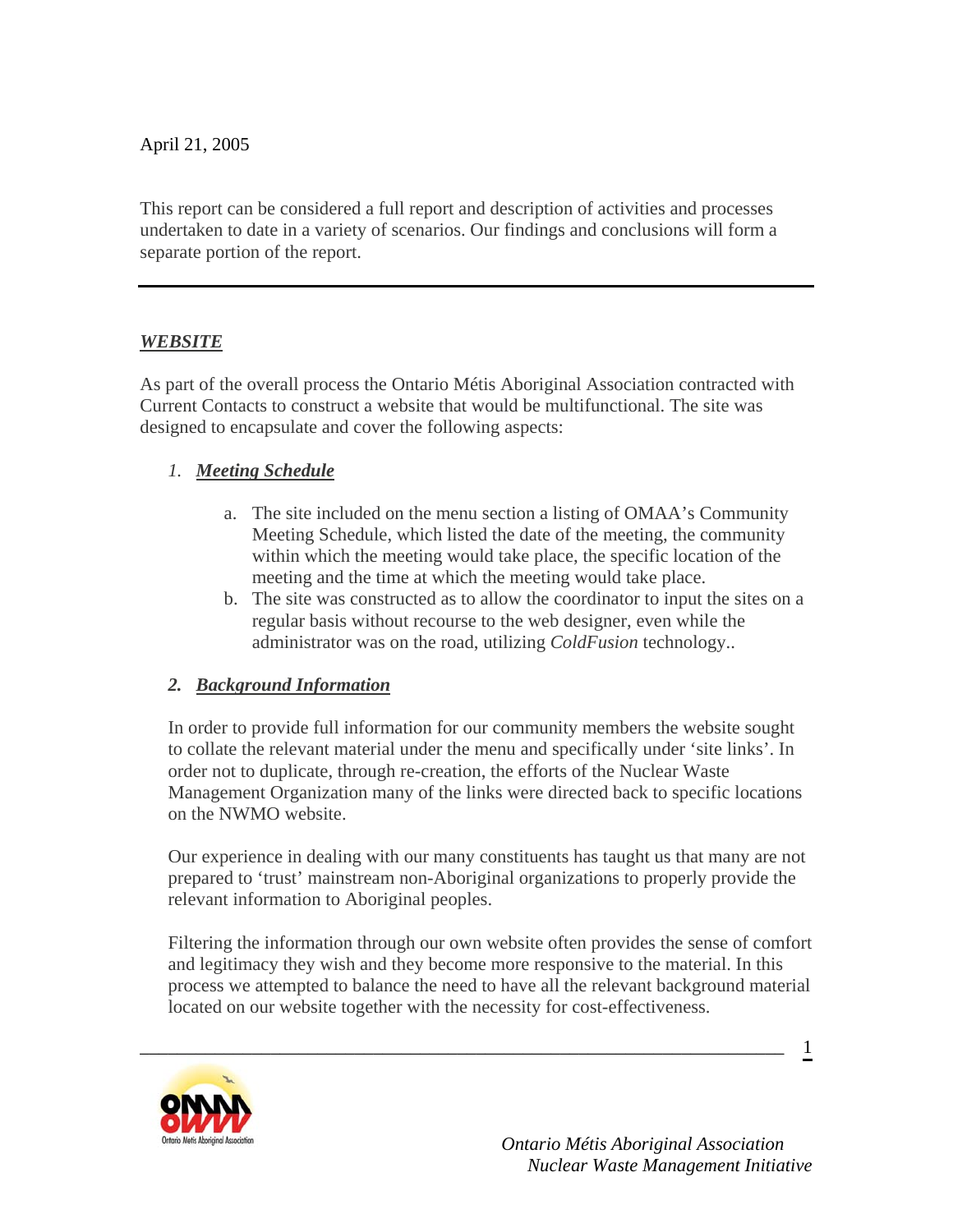April 21, 2005

This report can be considered a full report and description of activities and processes undertaken to date in a variety of scenarios. Our findings and conclusions will form a separate portion of the report.

## *WEBSITE*

As part of the overall process the Ontario Métis Aboriginal Association contracted with Current Contacts to construct a website that would be multifunctional. The site was designed to encapsulate and cover the following aspects:

### *1. Meeting Schedule*

- a. The site included on the menu section a listing of OMAA's Community Meeting Schedule, which listed the date of the meeting, the community within which the meeting would take place, the specific location of the meeting and the time at which the meeting would take place.
- b. The site was constructed as to allow the coordinator to input the sites on a regular basis without recourse to the web designer, even while the administrator was on the road, utilizing *ColdFusion* technology..

### *2. Background Information*

In order to provide full information for our community members the website sought to collate the relevant material under the menu and specifically under 'site links'. In order not to duplicate, through re-creation, the efforts of the Nuclear Waste Management Organization many of the links were directed back to specific locations on the NWMO website.

Our experience in dealing with our many constituents has taught us that many are not prepared to 'trust' mainstream non-Aboriginal organizations to properly provide the relevant information to Aboriginal peoples.

Filtering the information through our own website often provides the sense of comfort and legitimacy they wish and they become more responsive to the material. In this process we attempted to balance the need to have all the relevant background material located on our website together with the necessity for cost-effectiveness.

\_\_\_\_\_\_\_\_\_\_\_\_\_\_\_\_\_\_\_\_\_\_\_\_\_\_\_\_\_\_\_\_\_\_\_\_\_\_\_\_\_\_\_\_\_\_\_\_\_\_\_\_\_\_\_\_\_\_\_\_\_\_\_\_\_\_\_\_\_



 *Ontario Métis Aboriginal Association Nuclear Waste Management Initiative*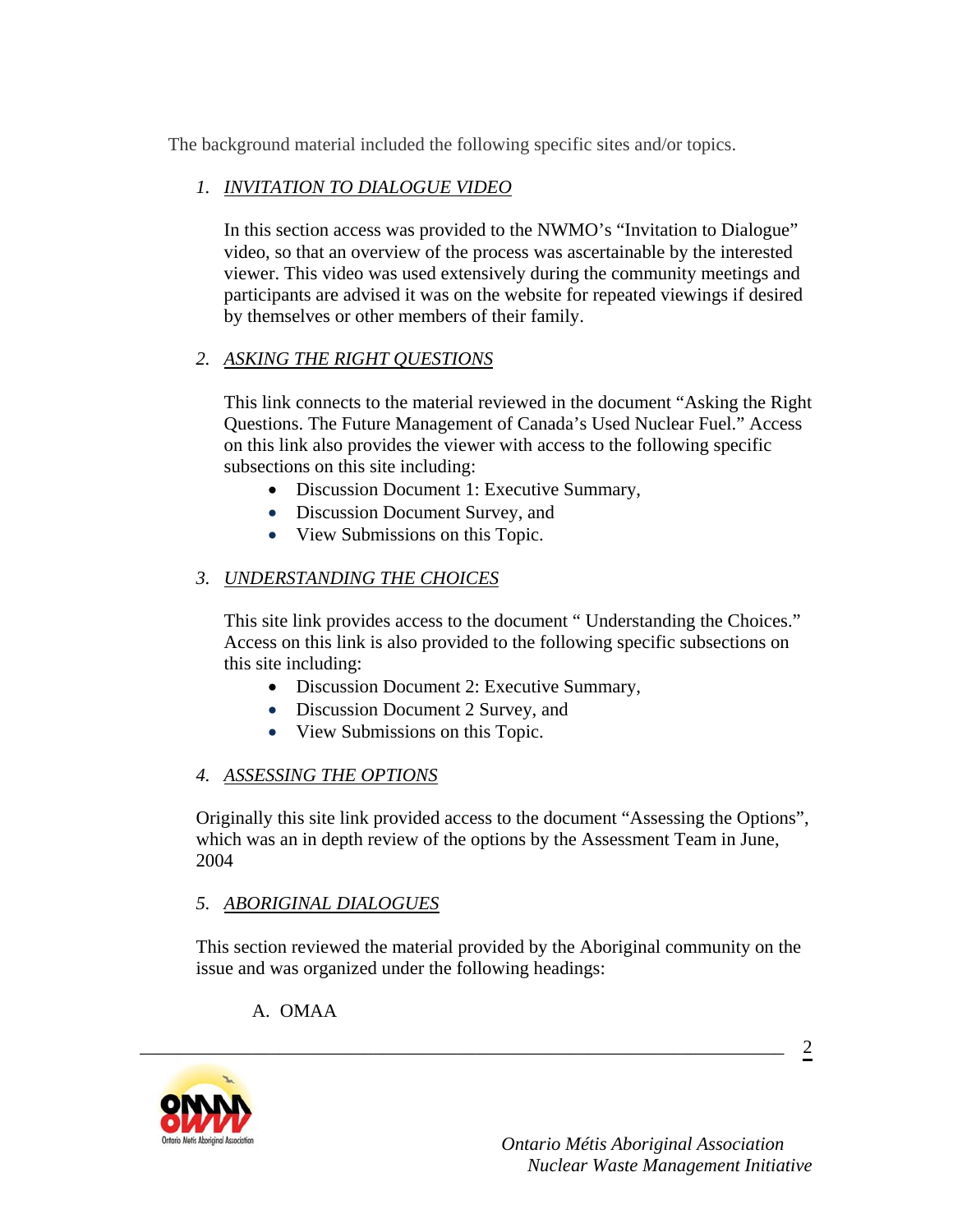The background material included the following specific sites and/or topics.

## *1. INVITATION TO DIALOGUE VIDEO*

In this section access was provided to the NWMO's "Invitation to Dialogue" video, so that an overview of the process was ascertainable by the interested viewer. This video was used extensively during the community meetings and participants are advised it was on the website for repeated viewings if desired by themselves or other members of their family.

## *2. ASKING THE RIGHT QUESTIONS*

This link connects to the material reviewed in the document "Asking the Right Questions. The Future Management of Canada's Used Nuclear Fuel." Access on this link also provides the viewer with access to the following specific subsections on this site including:

- Discussion Document 1: Executive Summary,
- Discussion Document Survey, and
- View Submissions on this Topic.

## *3. UNDERSTANDING THE CHOICES*

This site link provides access to the document " Understanding the Choices." Access on this link is also provided to the following specific subsections on this site including:

- Discussion Document 2: Executive Summary,
- Discussion Document 2 Survey, and
- View Submissions on this Topic.

## *4. ASSESSING THE OPTIONS*

Originally this site link provided access to the document "Assessing the Options", which was an in depth review of the options by the Assessment Team in June, 2004

## *5. ABORIGINAL DIALOGUES*

This section reviewed the material provided by the Aboriginal community on the issue and was organized under the following headings:

\_\_\_\_\_\_\_\_\_\_\_\_\_\_\_\_\_\_\_\_\_\_\_\_\_\_\_\_\_\_\_\_\_\_\_\_\_\_\_\_\_\_\_\_\_\_\_\_\_\_\_\_\_\_\_\_\_\_\_\_\_\_\_\_\_\_\_\_\_

## A. OMAA

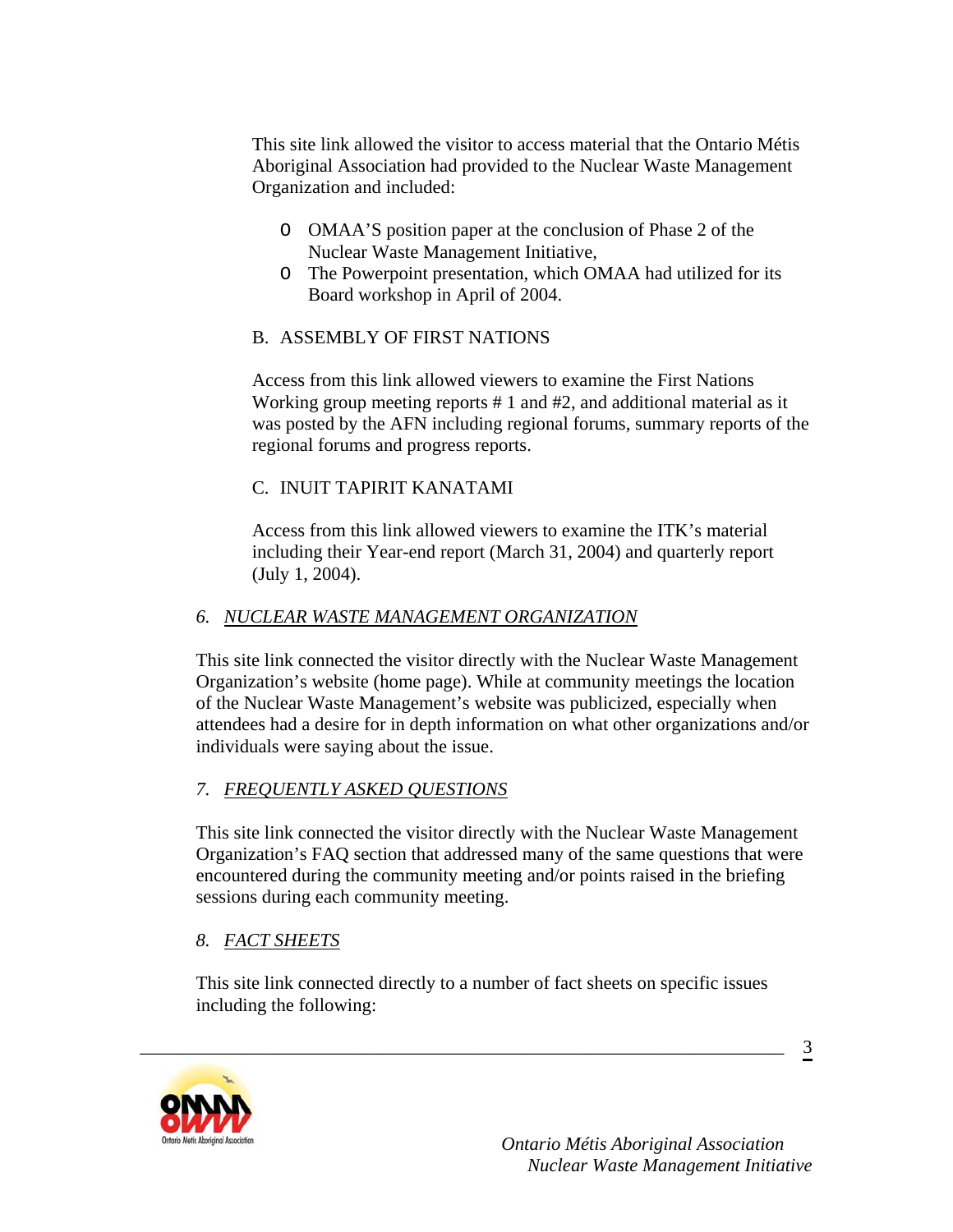This site link allowed the visitor to access material that the Ontario Métis Aboriginal Association had provided to the Nuclear Waste Management Organization and included:

- O OMAA'S position paper at the conclusion of Phase 2 of the Nuclear Waste Management Initiative,
- O The Powerpoint presentation, which OMAA had utilized for its Board workshop in April of 2004.

## B. ASSEMBLY OF FIRST NATIONS

Access from this link allowed viewers to examine the First Nations Working group meeting reports # 1 and #2, and additional material as it was posted by the AFN including regional forums, summary reports of the regional forums and progress reports.

## C. INUIT TAPIRIT KANATAMI

Access from this link allowed viewers to examine the ITK's material including their Year-end report (March 31, 2004) and quarterly report (July 1, 2004).

## *6. NUCLEAR WASTE MANAGEMENT ORGANIZATION*

This site link connected the visitor directly with the Nuclear Waste Management Organization's website (home page). While at community meetings the location of the Nuclear Waste Management's website was publicized, especially when attendees had a desire for in depth information on what other organizations and/or individuals were saying about the issue.

## *7. FREQUENTLY ASKED QUESTIONS*

This site link connected the visitor directly with the Nuclear Waste Management Organization's FAQ section that addressed many of the same questions that were encountered during the community meeting and/or points raised in the briefing sessions during each community meeting.

## *8. FACT SHEETS*

This site link connected directly to a number of fact sheets on specific issues including the following:

\_\_\_\_\_\_\_\_\_\_\_\_\_\_\_\_\_\_\_\_\_\_\_\_\_\_\_\_\_\_\_\_\_\_\_\_\_\_\_\_\_\_\_\_\_\_\_\_\_\_\_\_\_\_\_\_\_\_\_\_\_\_\_\_\_\_\_\_\_

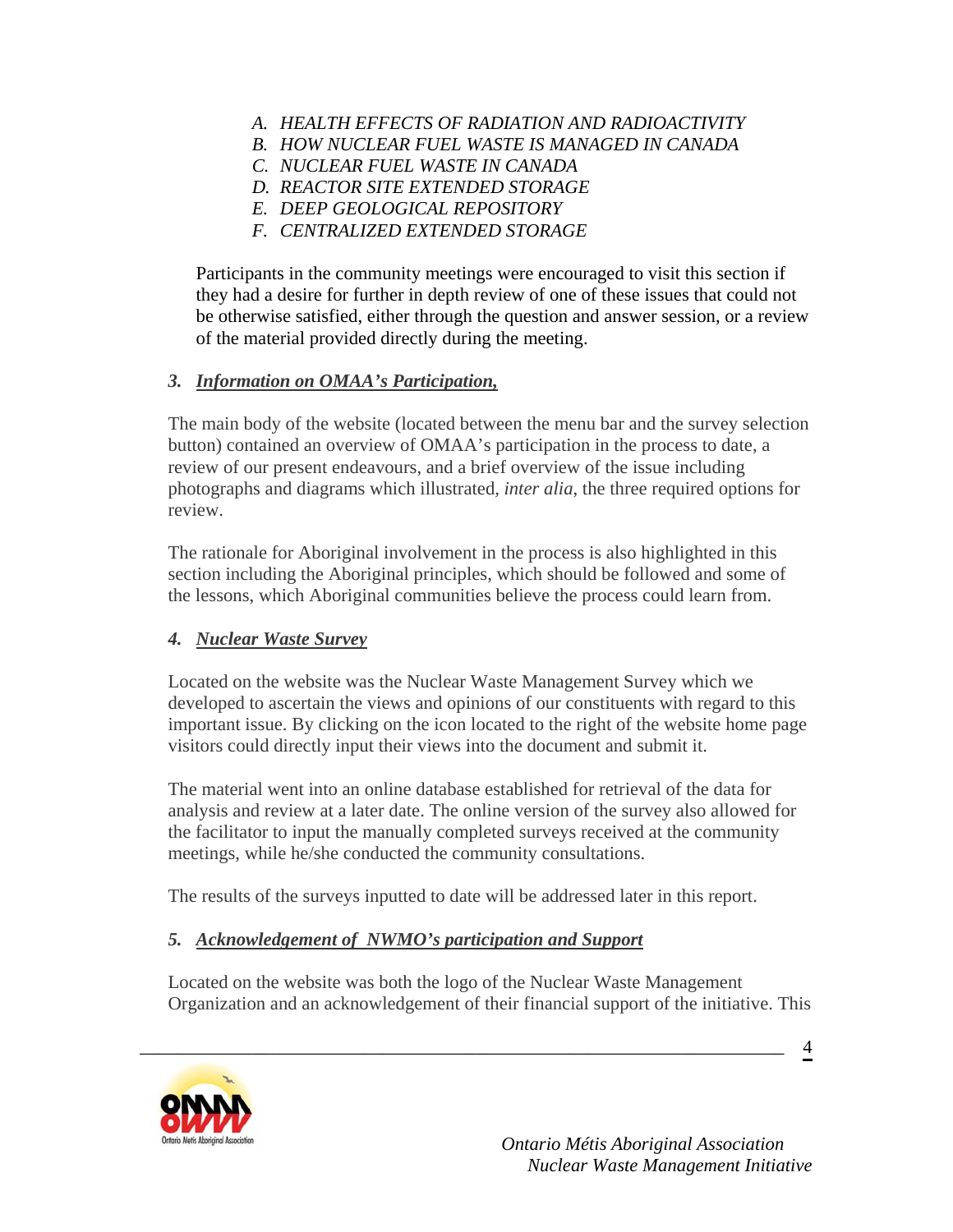- *A. HEALTH EFFECTS OF RADIATION AND RADIOACTIVITY*
- *B. HOW NUCLEAR FUEL WASTE IS MANAGED IN CANADA*
- *C. NUCLEAR FUEL WASTE IN CANADA*
- *D. REACTOR SITE EXTENDED STORAGE*
- *E. DEEP GEOLOGICAL REPOSITORY*
- *F. CENTRALIZED EXTENDED STORAGE*

Participants in the community meetings were encouraged to visit this section if they had a desire for further in depth review of one of these issues that could not be otherwise satisfied, either through the question and answer session, or a review of the material provided directly during the meeting.

## *3. Information on OMAA's Participation,*

The main body of the website (located between the menu bar and the survey selection button) contained an overview of OMAA's participation in the process to date, a review of our present endeavours, and a brief overview of the issue including photographs and diagrams which illustrated*, inter alia*, the three required options for review.

The rationale for Aboriginal involvement in the process is also highlighted in this section including the Aboriginal principles, which should be followed and some of the lessons, which Aboriginal communities believe the process could learn from.

## *4. Nuclear Waste Survey*

Located on the website was the Nuclear Waste Management Survey which we developed to ascertain the views and opinions of our constituents with regard to this important issue. By clicking on the icon located to the right of the website home page visitors could directly input their views into the document and submit it.

The material went into an online database established for retrieval of the data for analysis and review at a later date. The online version of the survey also allowed for the facilitator to input the manually completed surveys received at the community meetings, while he/she conducted the community consultations.

The results of the surveys inputted to date will be addressed later in this report.

\_\_\_\_\_\_\_\_\_\_\_\_\_\_\_\_\_\_\_\_\_\_\_\_\_\_\_\_\_\_\_\_\_\_\_\_\_\_\_\_\_\_\_\_\_\_\_\_\_\_\_\_\_\_\_\_\_\_\_\_\_\_\_\_\_\_\_\_\_

## *5. Acknowledgement of NWMO's participation and Support*

Located on the website was both the logo of the Nuclear Waste Management Organization and an acknowledgement of their financial support of the initiative. This



 *Ontario Métis Aboriginal Association Nuclear Waste Management Initiative*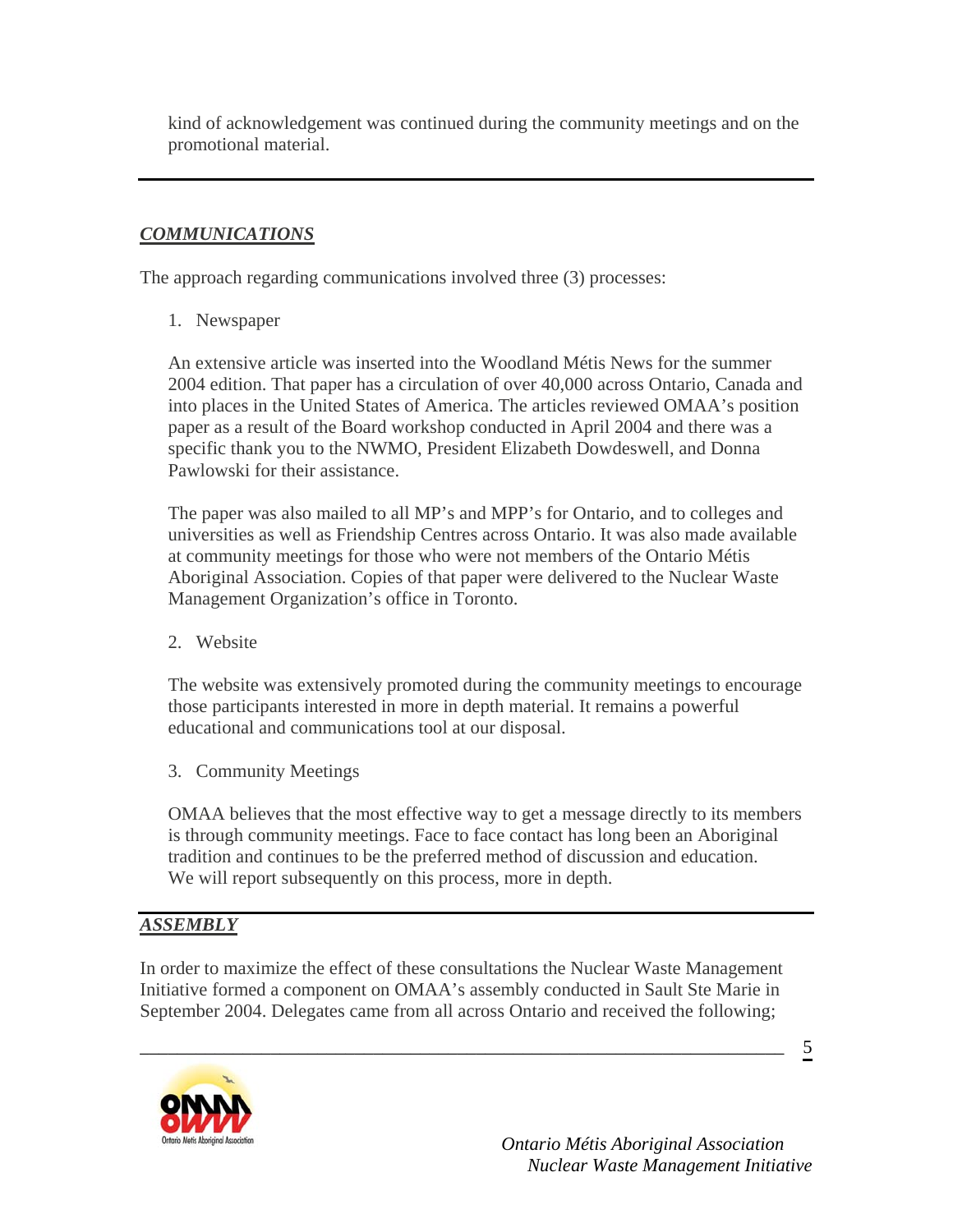kind of acknowledgement was continued during the community meetings and on the promotional material.

## *COMMUNICATIONS*

The approach regarding communications involved three (3) processes:

1. Newspaper

An extensive article was inserted into the Woodland Métis News for the summer 2004 edition. That paper has a circulation of over 40,000 across Ontario, Canada and into places in the United States of America. The articles reviewed OMAA's position paper as a result of the Board workshop conducted in April 2004 and there was a specific thank you to the NWMO, President Elizabeth Dowdeswell, and Donna Pawlowski for their assistance.

The paper was also mailed to all MP's and MPP's for Ontario, and to colleges and universities as well as Friendship Centres across Ontario. It was also made available at community meetings for those who were not members of the Ontario Métis Aboriginal Association. Copies of that paper were delivered to the Nuclear Waste Management Organization's office in Toronto.

2. Website

The website was extensively promoted during the community meetings to encourage those participants interested in more in depth material. It remains a powerful educational and communications tool at our disposal.

3. Community Meetings

OMAA believes that the most effective way to get a message directly to its members is through community meetings. Face to face contact has long been an Aboriginal tradition and continues to be the preferred method of discussion and education. We will report subsequently on this process, more in depth.

## *ASSEMBLY*

In order to maximize the effect of these consultations the Nuclear Waste Management Initiative formed a component on OMAA's assembly conducted in Sault Ste Marie in September 2004. Delegates came from all across Ontario and received the following;

\_\_\_\_\_\_\_\_\_\_\_\_\_\_\_\_\_\_\_\_\_\_\_\_\_\_\_\_\_\_\_\_\_\_\_\_\_\_\_\_\_\_\_\_\_\_\_\_\_\_\_\_\_\_\_\_\_\_\_\_\_\_\_\_\_\_\_\_\_



 $\overline{5}$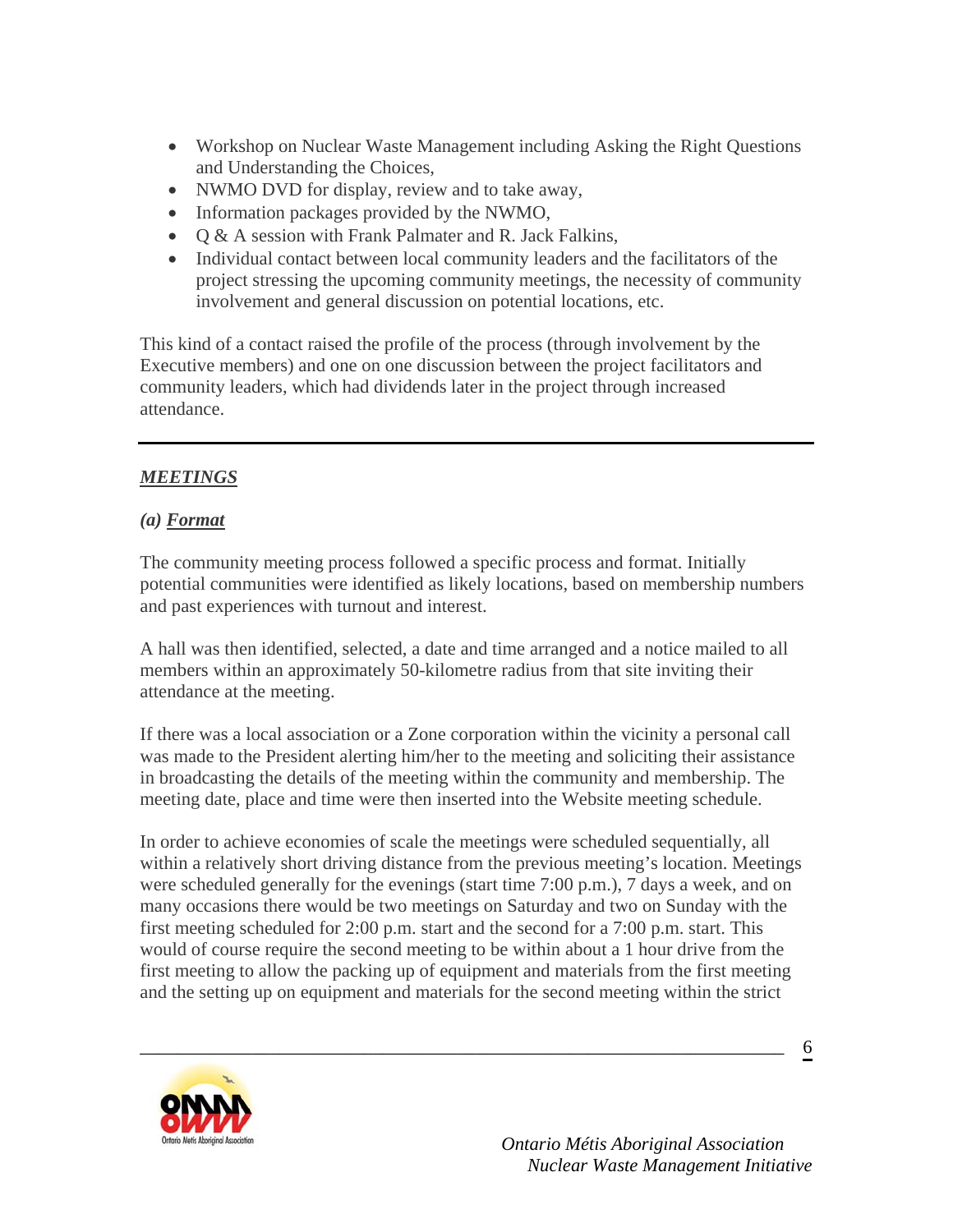- Workshop on Nuclear Waste Management including Asking the Right Questions and Understanding the Choices,
- NWMO DVD for display, review and to take away,
- Information packages provided by the NWMO,
- O & A session with Frank Palmater and R. Jack Falkins,
- Individual contact between local community leaders and the facilitators of the project stressing the upcoming community meetings, the necessity of community involvement and general discussion on potential locations, etc.

This kind of a contact raised the profile of the process (through involvement by the Executive members) and one on one discussion between the project facilitators and community leaders, which had dividends later in the project through increased attendance.

## *MEETINGS*

## *(a) Format*

The community meeting process followed a specific process and format. Initially potential communities were identified as likely locations, based on membership numbers and past experiences with turnout and interest.

A hall was then identified, selected, a date and time arranged and a notice mailed to all members within an approximately 50-kilometre radius from that site inviting their attendance at the meeting.

If there was a local association or a Zone corporation within the vicinity a personal call was made to the President alerting him/her to the meeting and soliciting their assistance in broadcasting the details of the meeting within the community and membership. The meeting date, place and time were then inserted into the Website meeting schedule.

In order to achieve economies of scale the meetings were scheduled sequentially, all within a relatively short driving distance from the previous meeting's location. Meetings were scheduled generally for the evenings (start time 7:00 p.m.), 7 days a week, and on many occasions there would be two meetings on Saturday and two on Sunday with the first meeting scheduled for 2:00 p.m. start and the second for a 7:00 p.m. start. This would of course require the second meeting to be within about a 1 hour drive from the first meeting to allow the packing up of equipment and materials from the first meeting and the setting up on equipment and materials for the second meeting within the strict

\_\_\_\_\_\_\_\_\_\_\_\_\_\_\_\_\_\_\_\_\_\_\_\_\_\_\_\_\_\_\_\_\_\_\_\_\_\_\_\_\_\_\_\_\_\_\_\_\_\_\_\_\_\_\_\_\_\_\_\_\_\_\_\_\_\_\_\_\_

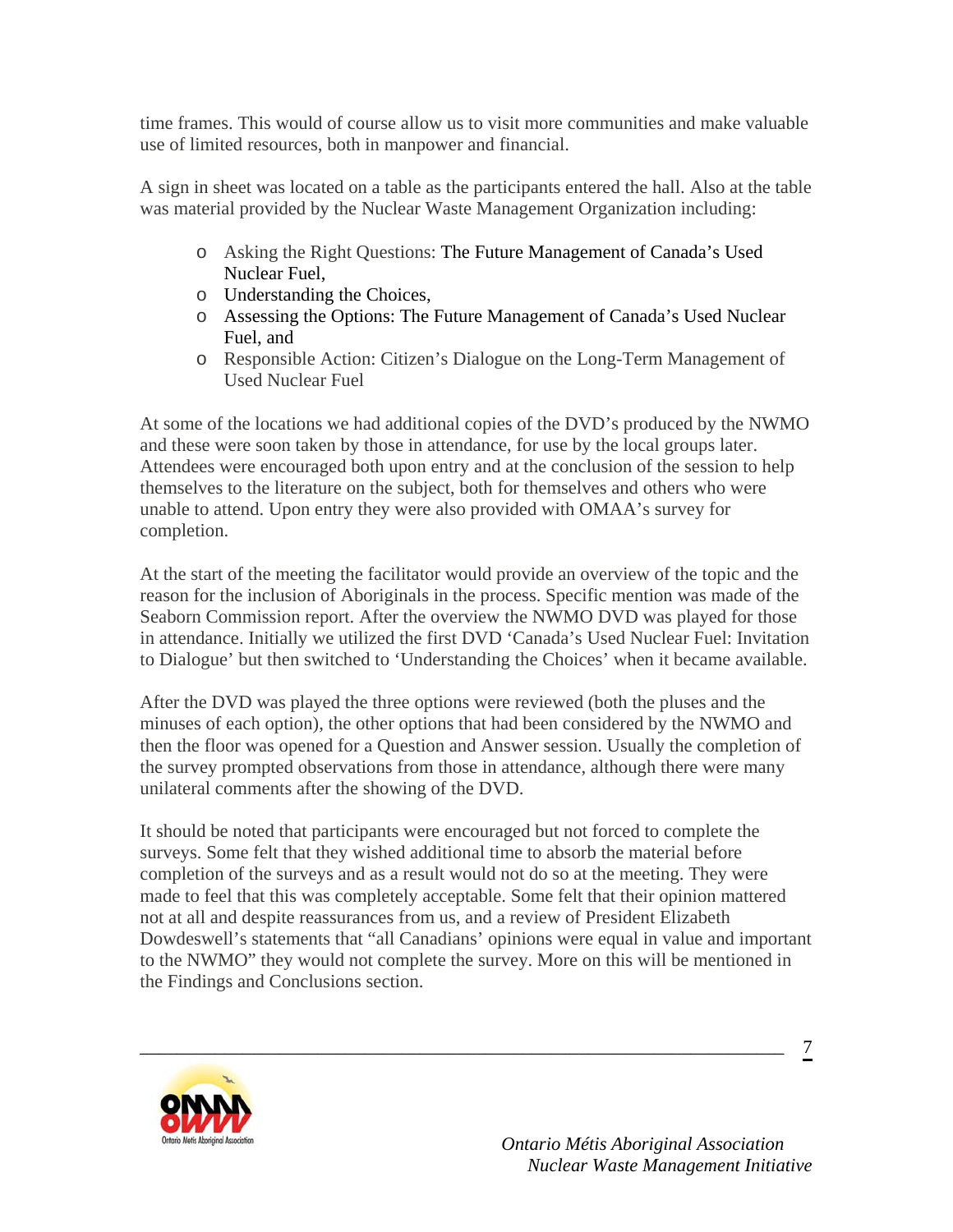time frames. This would of course allow us to visit more communities and make valuable use of limited resources, both in manpower and financial.

A sign in sheet was located on a table as the participants entered the hall. Also at the table was material provided by the Nuclear Waste Management Organization including:

- o Asking the Right Questions: The Future Management of Canada's Used Nuclear Fuel,
- o Understanding the Choices,
- o Assessing the Options: The Future Management of Canada's Used Nuclear Fuel, and
- o Responsible Action: Citizen's Dialogue on the Long-Term Management of Used Nuclear Fuel

At some of the locations we had additional copies of the DVD's produced by the NWMO and these were soon taken by those in attendance, for use by the local groups later. Attendees were encouraged both upon entry and at the conclusion of the session to help themselves to the literature on the subject, both for themselves and others who were unable to attend. Upon entry they were also provided with OMAA's survey for completion.

At the start of the meeting the facilitator would provide an overview of the topic and the reason for the inclusion of Aboriginals in the process. Specific mention was made of the Seaborn Commission report. After the overview the NWMO DVD was played for those in attendance. Initially we utilized the first DVD 'Canada's Used Nuclear Fuel: Invitation to Dialogue' but then switched to 'Understanding the Choices' when it became available.

After the DVD was played the three options were reviewed (both the pluses and the minuses of each option), the other options that had been considered by the NWMO and then the floor was opened for a Question and Answer session. Usually the completion of the survey prompted observations from those in attendance, although there were many unilateral comments after the showing of the DVD.

It should be noted that participants were encouraged but not forced to complete the surveys. Some felt that they wished additional time to absorb the material before completion of the surveys and as a result would not do so at the meeting. They were made to feel that this was completely acceptable. Some felt that their opinion mattered not at all and despite reassurances from us, and a review of President Elizabeth Dowdeswell's statements that "all Canadians' opinions were equal in value and important to the NWMO" they would not complete the survey. More on this will be mentioned in the Findings and Conclusions section.

\_\_\_\_\_\_\_\_\_\_\_\_\_\_\_\_\_\_\_\_\_\_\_\_\_\_\_\_\_\_\_\_\_\_\_\_\_\_\_\_\_\_\_\_\_\_\_\_\_\_\_\_\_\_\_\_\_\_\_\_\_\_\_\_\_\_\_\_\_

7

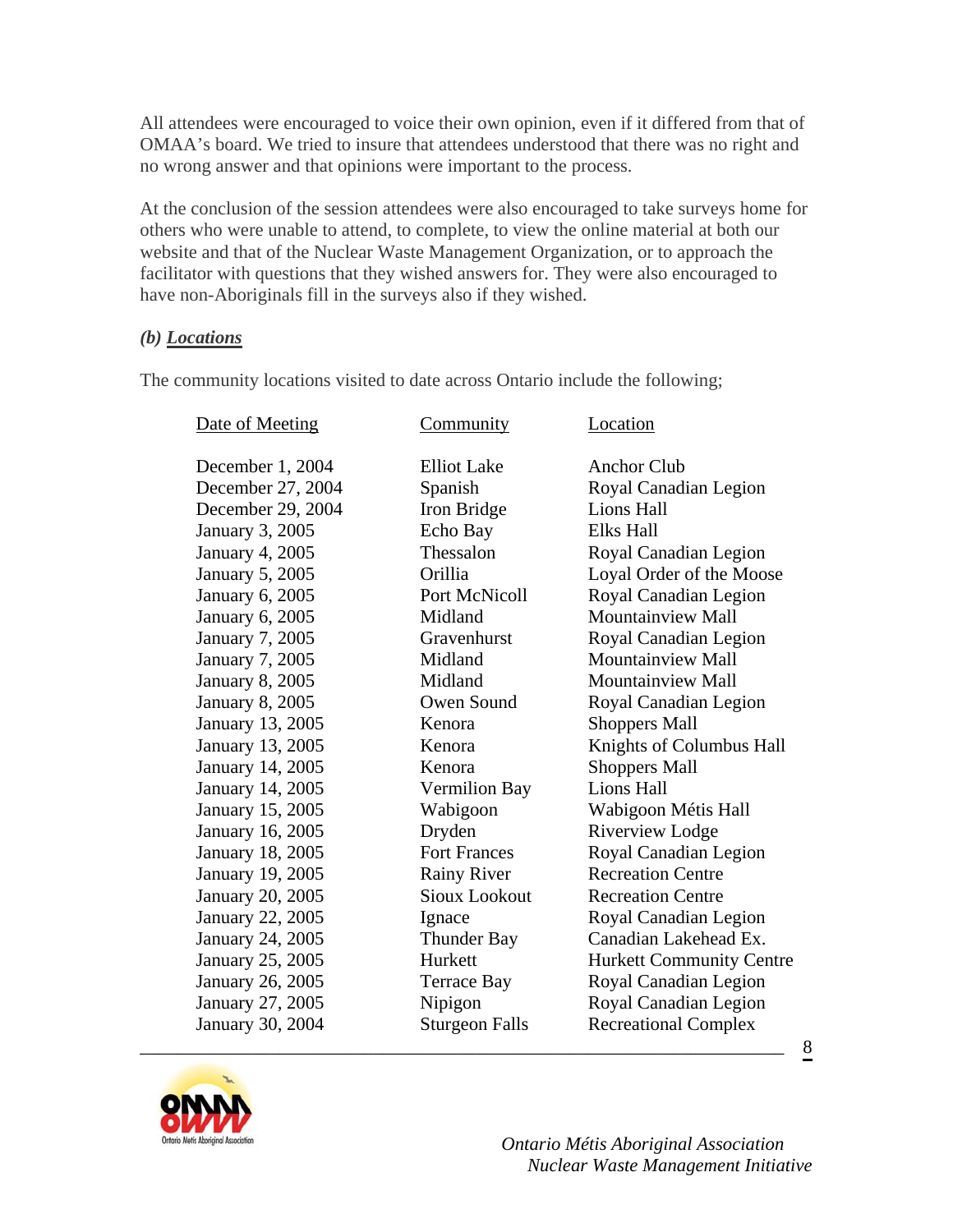All attendees were encouraged to voice their own opinion, even if it differed from that of OMAA's board. We tried to insure that attendees understood that there was no right and no wrong answer and that opinions were important to the process.

At the conclusion of the session attendees were also encouraged to take surveys home for others who were unable to attend, to complete, to view the online material at both our website and that of the Nuclear Waste Management Organization, or to approach the facilitator with questions that they wished answers for. They were also encouraged to have non-Aboriginals fill in the surveys also if they wished.

### *(b) Locations*

The community locations visited to date across Ontario include the following;

| Date of Meeting         | Community             | Location                        |
|-------------------------|-----------------------|---------------------------------|
| December 1, 2004        | <b>Elliot</b> Lake    | <b>Anchor Club</b>              |
| December 27, 2004       | Spanish               | Royal Canadian Legion           |
| December 29, 2004       | Iron Bridge           | Lions Hall                      |
| <b>January 3, 2005</b>  | Echo Bay              | <b>Elks Hall</b>                |
| <b>January 4, 2005</b>  | Thessalon             | Royal Canadian Legion           |
| <b>January 5, 2005</b>  | Orillia               | Loyal Order of the Moose        |
| <b>January 6, 2005</b>  | Port McNicoll         | Royal Canadian Legion           |
| January 6, 2005         | Midland               | <b>Mountainview Mall</b>        |
| <b>January 7, 2005</b>  | Gravenhurst           | Royal Canadian Legion           |
| <b>January 7, 2005</b>  | Midland               | <b>Mountainview Mall</b>        |
| <b>January 8, 2005</b>  | Midland               | <b>Mountainview Mall</b>        |
| <b>January 8, 2005</b>  | Owen Sound            | Royal Canadian Legion           |
| January 13, 2005        | Kenora                | <b>Shoppers Mall</b>            |
| January 13, 2005        | Kenora                | Knights of Columbus Hall        |
| January 14, 2005        | Kenora                | <b>Shoppers Mall</b>            |
| January 14, 2005        | <b>Vermilion Bay</b>  | Lions Hall                      |
| January 15, 2005        | Wabigoon              | Wabigoon Métis Hall             |
| January 16, 2005        | Dryden                | <b>Riverview Lodge</b>          |
| <b>January 18, 2005</b> | <b>Fort Frances</b>   | Royal Canadian Legion           |
| January 19, 2005        | <b>Rainy River</b>    | <b>Recreation Centre</b>        |
| January 20, 2005        | <b>Sioux Lookout</b>  | <b>Recreation Centre</b>        |
| January 22, 2005        | Ignace                | Royal Canadian Legion           |
| January 24, 2005        | <b>Thunder Bay</b>    | Canadian Lakehead Ex.           |
| January 25, 2005        | Hurkett               | <b>Hurkett Community Centre</b> |
| January 26, 2005        | Terrace Bay           | Royal Canadian Legion           |
| January 27, 2005        | Nipigon               | Royal Canadian Legion           |
| January 30, 2004        | <b>Sturgeon Falls</b> | <b>Recreational Complex</b>     |

\_\_\_\_\_\_\_\_\_\_\_\_\_\_\_\_\_\_\_\_\_\_\_\_\_\_\_\_\_\_\_\_\_\_\_\_\_\_\_\_\_\_\_\_\_\_\_\_\_\_\_\_\_\_\_\_\_\_\_\_\_\_\_\_\_\_\_\_\_



 *Ontario Métis Aboriginal Association Nuclear Waste Management Initiative*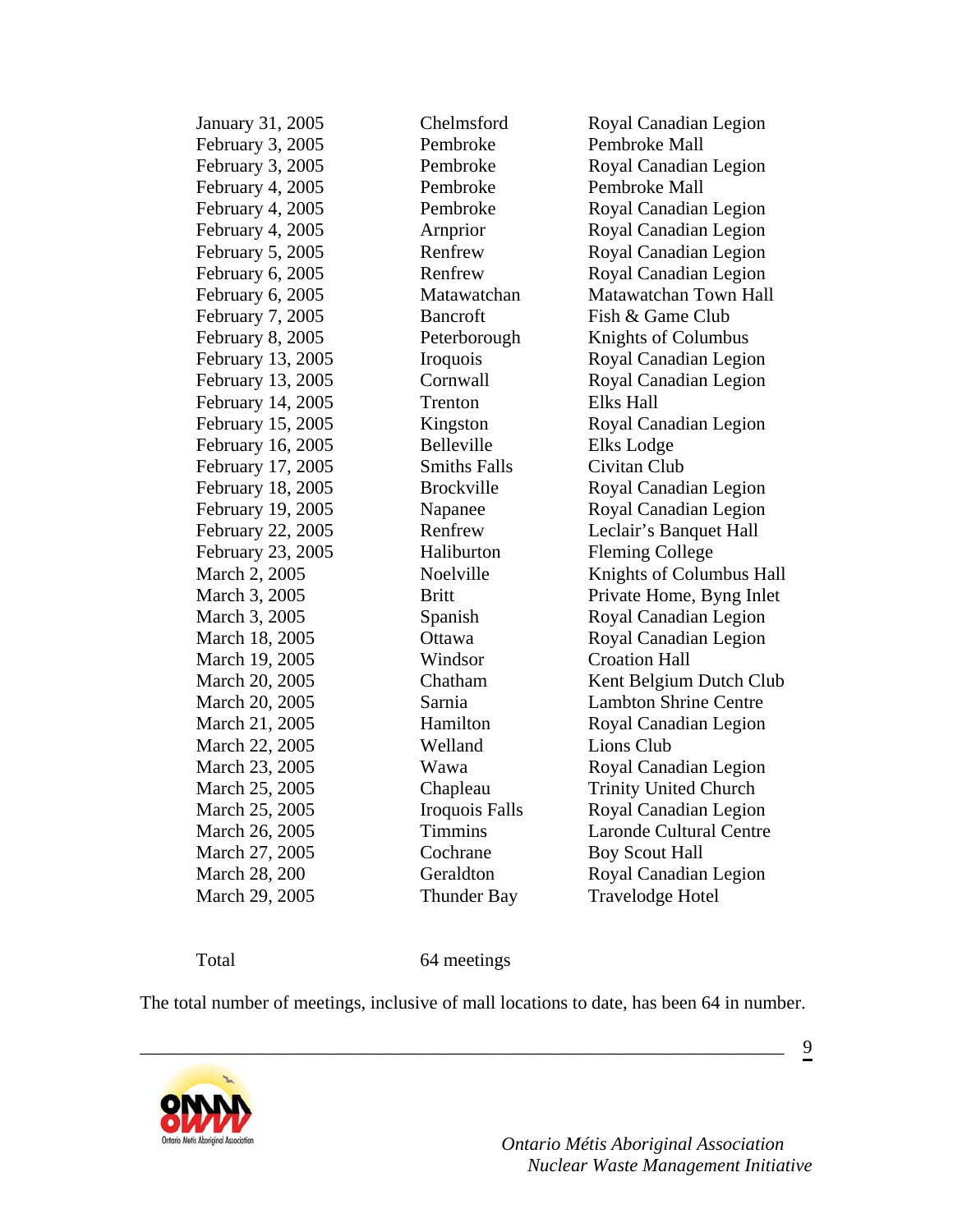| January 31, 2005  | Chelmsford            | Royal Canadian Legion          |
|-------------------|-----------------------|--------------------------------|
| February 3, 2005  | Pembroke              | Pembroke Mall                  |
| February 3, 2005  | Pembroke              | Royal Canadian Legion          |
| February 4, 2005  | Pembroke              | Pembroke Mall                  |
| February 4, 2005  | Pembroke              | Royal Canadian Legion          |
| February 4, 2005  | Arnprior              | Royal Canadian Legion          |
| February 5, 2005  | Renfrew               | Royal Canadian Legion          |
| February 6, 2005  | Renfrew               | Royal Canadian Legion          |
| February 6, 2005  | Matawatchan           | Matawatchan Town Hall          |
| February 7, 2005  | <b>Bancroft</b>       | Fish & Game Club               |
| February 8, 2005  | Peterborough          | <b>Knights of Columbus</b>     |
| February 13, 2005 | Iroquois              | Royal Canadian Legion          |
| February 13, 2005 | Cornwall              | Royal Canadian Legion          |
| February 14, 2005 | Trenton               | <b>Elks Hall</b>               |
| February 15, 2005 | Kingston              | Royal Canadian Legion          |
| February 16, 2005 | Belleville            | Elks Lodge                     |
| February 17, 2005 | <b>Smiths Falls</b>   | Civitan Club                   |
| February 18, 2005 | <b>Brockville</b>     | Royal Canadian Legion          |
| February 19, 2005 | Napanee               | Royal Canadian Legion          |
| February 22, 2005 | Renfrew               | Leclair's Banquet Hall         |
| February 23, 2005 | Haliburton            | <b>Fleming College</b>         |
| March 2, 2005     | Noelville             | Knights of Columbus Hall       |
| March 3, 2005     | <b>Britt</b>          | Private Home, Byng Inlet       |
| March 3, 2005     | Spanish               | Royal Canadian Legion          |
| March 18, 2005    | Ottawa                | Royal Canadian Legion          |
| March 19, 2005    | Windsor               | <b>Croation Hall</b>           |
| March 20, 2005    | Chatham               | Kent Belgium Dutch Club        |
| March 20, 2005    | Sarnia                | <b>Lambton Shrine Centre</b>   |
| March 21, 2005    | Hamilton              | Royal Canadian Legion          |
| March 22, 2005    | Welland               | Lions Club                     |
| March 23, 2005    | Wawa                  | Royal Canadian Legion          |
| March 25, 2005    | Chapleau              | <b>Trinity United Church</b>   |
| March 25, 2005    | <b>Iroquois Falls</b> | Royal Canadian Legion          |
| March 26, 2005    | <b>Timmins</b>        | <b>Laronde Cultural Centre</b> |
| March 27, 2005    | Cochrane              | <b>Boy Scout Hall</b>          |
| March 28, 200     | Geraldton             | Royal Canadian Legion          |
| March 29, 2005    | <b>Thunder Bay</b>    | <b>Travelodge Hotel</b>        |
|                   |                       |                                |

Total 64 meetings

The total number of meetings, inclusive of mall locations to date, has been 64 in number.

\_\_\_\_\_\_\_\_\_\_\_\_\_\_\_\_\_\_\_\_\_\_\_\_\_\_\_\_\_\_\_\_\_\_\_\_\_\_\_\_\_\_\_\_\_\_\_\_\_\_\_\_\_\_\_\_\_\_\_\_\_\_\_\_\_\_\_\_\_



 *Ontario Métis Aboriginal Association Nuclear Waste Management Initiative*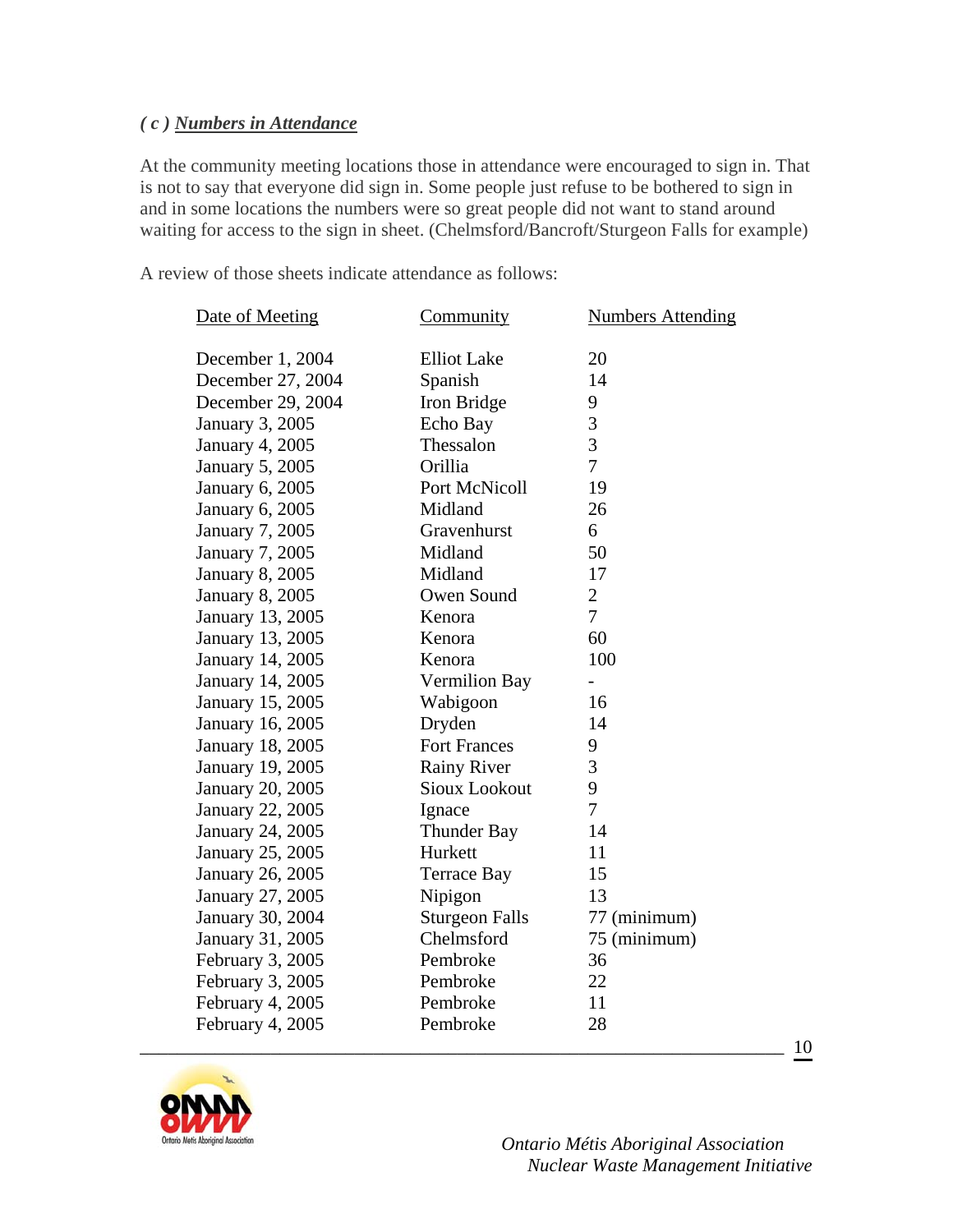#### *( c ) Numbers in Attendance*

At the community meeting locations those in attendance were encouraged to sign in. That is not to say that everyone did sign in. Some people just refuse to be bothered to sign in and in some locations the numbers were so great people did not want to stand around waiting for access to the sign in sheet. (Chelmsford/Bancroft/Sturgeon Falls for example)

A review of those sheets indicate attendance as follows:

| Date of Meeting         | Community             | <b>Numbers Attending</b> |
|-------------------------|-----------------------|--------------------------|
| December 1, 2004        | <b>Elliot</b> Lake    | 20                       |
| December 27, 2004       | Spanish               | 14                       |
| December 29, 2004       | Iron Bridge           | 9                        |
| January 3, 2005         | Echo Bay              | 3                        |
| <b>January 4, 2005</b>  | Thessalon             | 3                        |
| January 5, 2005         | Orillia               | $\overline{7}$           |
| January 6, 2005         | Port McNicoll         | 19                       |
| January 6, 2005         | Midland               | 26                       |
| <b>January 7, 2005</b>  | Gravenhurst           | 6                        |
| <b>January 7, 2005</b>  | Midland               | 50                       |
| <b>January 8, 2005</b>  | Midland               | 17                       |
| <b>January 8, 2005</b>  | Owen Sound            | $\overline{2}$           |
| January 13, 2005        | Kenora                | $\overline{7}$           |
| January 13, 2005        | Kenora                | 60                       |
| January 14, 2005        | Kenora                | 100                      |
| January 14, 2005        | <b>Vermilion Bay</b>  | $\overline{\phantom{0}}$ |
| January 15, 2005        | Wabigoon              | 16                       |
| January 16, 2005        | Dryden                | 14                       |
| <b>January 18, 2005</b> | <b>Fort Frances</b>   | 9                        |
| January 19, 2005        | <b>Rainy River</b>    | 3                        |
| January 20, 2005        | <b>Sioux Lookout</b>  | 9                        |
| <b>January 22, 2005</b> | Ignace                | $\overline{7}$           |
| January 24, 2005        | <b>Thunder Bay</b>    | 14                       |
| January 25, 2005        | Hurkett               | 11                       |
| January 26, 2005        | <b>Terrace Bay</b>    | 15                       |
| January 27, 2005        | Nipigon               | 13                       |
| January 30, 2004        | <b>Sturgeon Falls</b> | 77 (minimum)             |
| January 31, 2005        | Chelmsford            | 75 (minimum)             |
| February 3, 2005        | Pembroke              | 36                       |
| February 3, 2005        | Pembroke              | 22                       |
| February 4, 2005        | Pembroke              | 11                       |
| February 4, 2005        | Pembroke              | 28                       |
|                         |                       |                          |



 *Ontario Métis Aboriginal Association Nuclear Waste Management Initiative*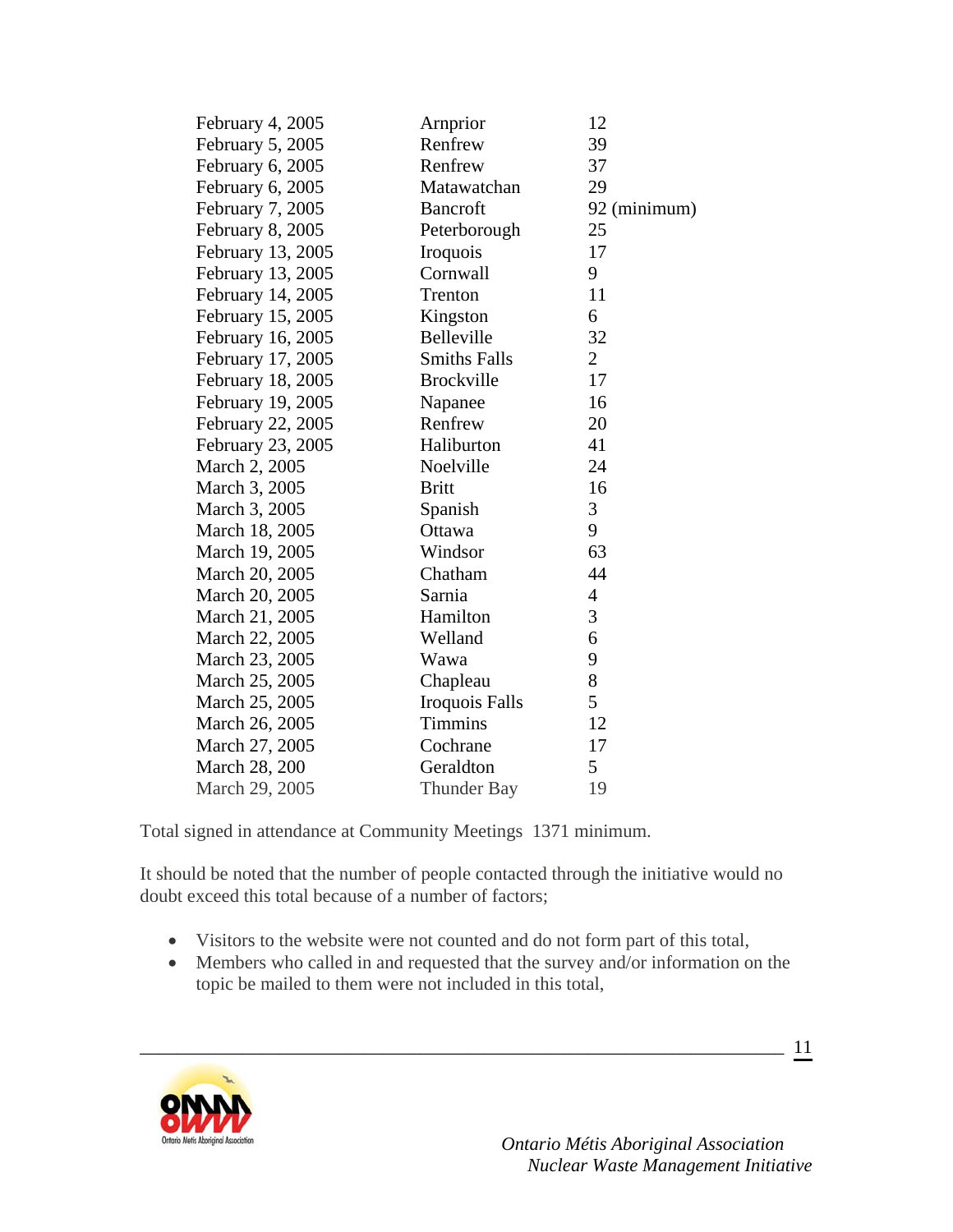| February 4, 2005  | Arnprior            | 12             |
|-------------------|---------------------|----------------|
| February 5, 2005  | Renfrew             | 39             |
| February 6, 2005  | Renfrew             | 37             |
| February 6, 2005  | Matawatchan         | 29             |
| February 7, 2005  | <b>Bancroft</b>     | 92 (minimum)   |
| February 8, 2005  | Peterborough        | 25             |
| February 13, 2005 | Iroquois            | 17             |
| February 13, 2005 | Cornwall            | 9              |
| February 14, 2005 | Trenton             | 11             |
| February 15, 2005 | Kingston            | 6              |
| February 16, 2005 | Belleville          | 32             |
| February 17, 2005 | <b>Smiths Falls</b> | $\overline{2}$ |
| February 18, 2005 | <b>Brockville</b>   | 17             |
| February 19, 2005 | Napanee             | 16             |
| February 22, 2005 | Renfrew             | 20             |
| February 23, 2005 | Haliburton          | 41             |
| March 2, 2005     | Noelville           | 24             |
| March 3, 2005     | <b>Britt</b>        | 16             |
| March 3, 2005     | Spanish             | 3              |
| March 18, 2005    | Ottawa              | 9              |
| March 19, 2005    | Windsor             | 63             |
| March 20, 2005    | Chatham             | 44             |
| March 20, 2005    | Sarnia              | $\overline{4}$ |
| March 21, 2005    | Hamilton            | 3              |
| March 22, 2005    | Welland             | 6              |
| March 23, 2005    | Wawa                | 9              |
| March 25, 2005    | Chapleau            | 8              |
| March 25, 2005    | Iroquois Falls      | 5              |
| March 26, 2005    | <b>Timmins</b>      | 12             |
| March 27, 2005    | Cochrane            | 17             |
| March 28, 200     | Geraldton           | 5              |
| March 29, 2005    | <b>Thunder Bay</b>  | 19             |

Total signed in attendance at Community Meetings 1371 minimum.

It should be noted that the number of people contacted through the initiative would no doubt exceed this total because of a number of factors;

• Visitors to the website were not counted and do not form part of this total,

\_\_\_\_\_\_\_\_\_\_\_\_\_\_\_\_\_\_\_\_\_\_\_\_\_\_\_\_\_\_\_\_\_\_\_\_\_\_\_\_\_\_\_\_\_\_\_\_\_\_\_\_\_\_\_\_\_\_\_\_\_\_\_\_\_\_\_\_\_

• Members who called in and requested that the survey and/or information on the topic be mailed to them were not included in this total,



 *Ontario Métis Aboriginal Association Nuclear Waste Management Initiative*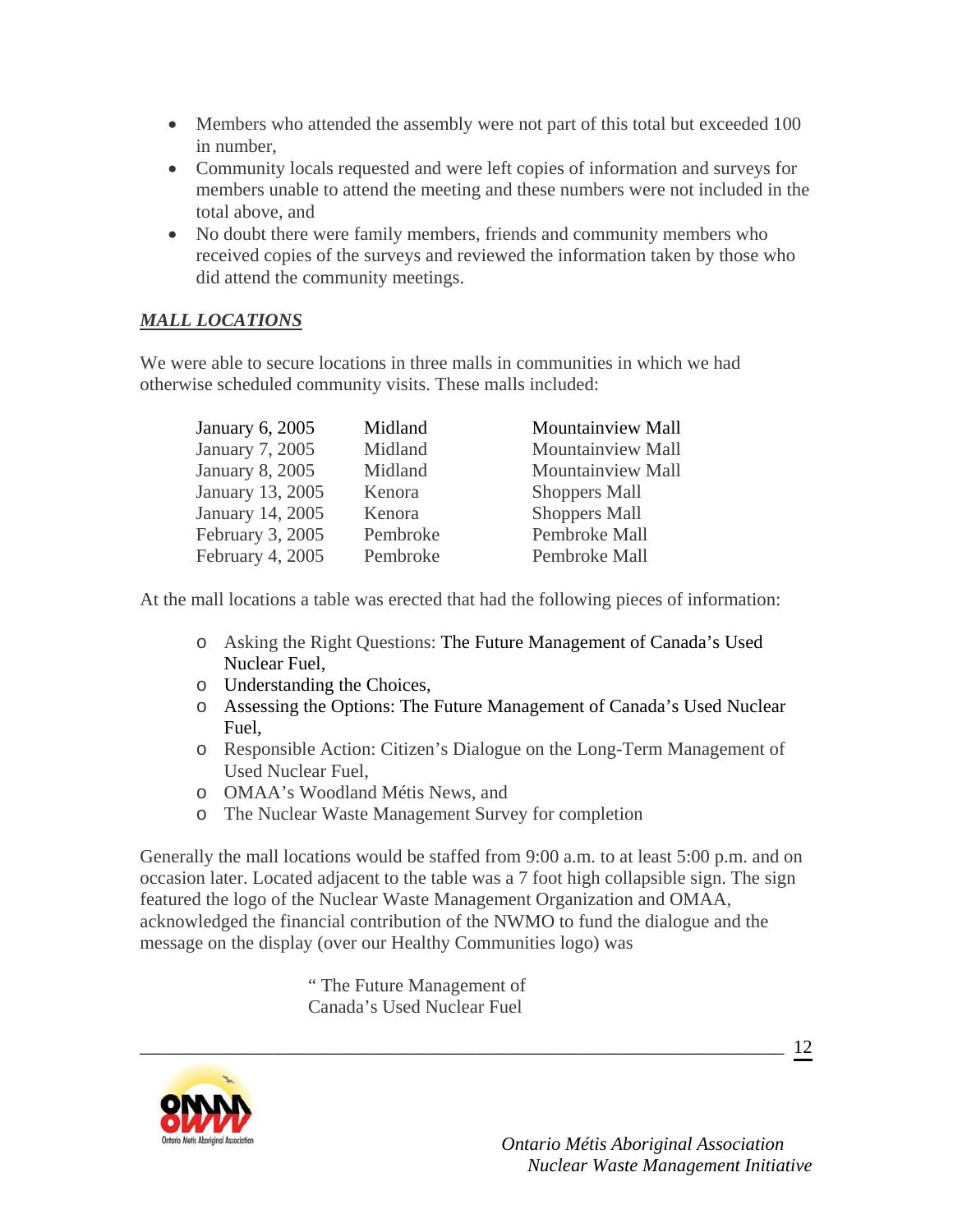- Members who attended the assembly were not part of this total but exceeded 100 in number,
- Community locals requested and were left copies of information and surveys for members unable to attend the meeting and these numbers were not included in the total above, and
- No doubt there were family members, friends and community members who received copies of the surveys and reviewed the information taken by those who did attend the community meetings.

## *MALL LOCATIONS*

We were able to secure locations in three malls in communities in which we had otherwise scheduled community visits. These malls included:

| January 6, 2005  | Midland  | <b>Mountainview Mall</b> |
|------------------|----------|--------------------------|
| January 7, 2005  | Midland  | Mountainview Mall        |
| January 8, 2005  | Midland  | Mountainview Mall        |
| January 13, 2005 | Kenora   | <b>Shoppers Mall</b>     |
| January 14, 2005 | Kenora   | <b>Shoppers Mall</b>     |
| February 3, 2005 | Pembroke | Pembroke Mall            |
| February 4, 2005 | Pembroke | Pembroke Mall            |

At the mall locations a table was erected that had the following pieces of information:

- o Asking the Right Questions: The Future Management of Canada's Used Nuclear Fuel,
- o Understanding the Choices,
- o Assessing the Options: The Future Management of Canada's Used Nuclear Fuel,
- o Responsible Action: Citizen's Dialogue on the Long-Term Management of Used Nuclear Fuel,
- o OMAA's Woodland Métis News, and
- o The Nuclear Waste Management Survey for completion

Generally the mall locations would be staffed from 9:00 a.m. to at least 5:00 p.m. and on occasion later. Located adjacent to the table was a 7 foot high collapsible sign. The sign featured the logo of the Nuclear Waste Management Organization and OMAA, acknowledged the financial contribution of the NWMO to fund the dialogue and the message on the display (over our Healthy Communities logo) was

\_\_\_\_\_\_\_\_\_\_\_\_\_\_\_\_\_\_\_\_\_\_\_\_\_\_\_\_\_\_\_\_\_\_\_\_\_\_\_\_\_\_\_\_\_\_\_\_\_\_\_\_\_\_\_\_\_\_\_\_\_\_\_\_\_\_\_\_\_

" The Future Management of Canada's Used Nuclear Fuel



 *Ontario Métis Aboriginal Association Nuclear Waste Management Initiative*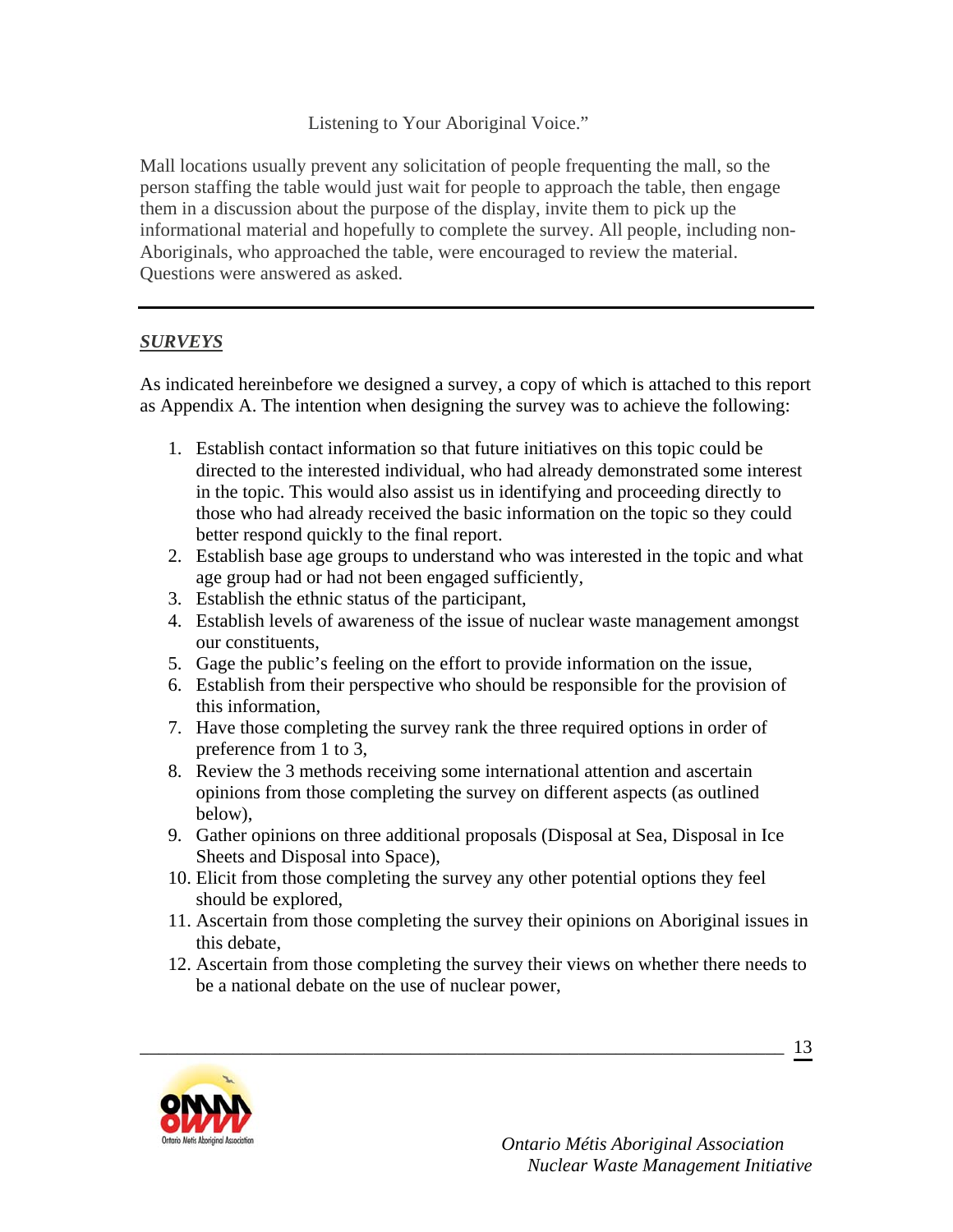Listening to Your Aboriginal Voice."

Mall locations usually prevent any solicitation of people frequenting the mall, so the person staffing the table would just wait for people to approach the table, then engage them in a discussion about the purpose of the display, invite them to pick up the informational material and hopefully to complete the survey. All people, including non-Aboriginals, who approached the table, were encouraged to review the material. Questions were answered as asked.

## *SURVEYS*

As indicated hereinbefore we designed a survey, a copy of which is attached to this report as Appendix A. The intention when designing the survey was to achieve the following:

- 1. Establish contact information so that future initiatives on this topic could be directed to the interested individual, who had already demonstrated some interest in the topic. This would also assist us in identifying and proceeding directly to those who had already received the basic information on the topic so they could better respond quickly to the final report.
- 2. Establish base age groups to understand who was interested in the topic and what age group had or had not been engaged sufficiently,
- 3. Establish the ethnic status of the participant,
- 4. Establish levels of awareness of the issue of nuclear waste management amongst our constituents,
- 5. Gage the public's feeling on the effort to provide information on the issue,
- 6. Establish from their perspective who should be responsible for the provision of this information,
- 7. Have those completing the survey rank the three required options in order of preference from 1 to 3,
- 8. Review the 3 methods receiving some international attention and ascertain opinions from those completing the survey on different aspects (as outlined below),
- 9. Gather opinions on three additional proposals (Disposal at Sea, Disposal in Ice Sheets and Disposal into Space),
- 10. Elicit from those completing the survey any other potential options they feel should be explored,

\_\_\_\_\_\_\_\_\_\_\_\_\_\_\_\_\_\_\_\_\_\_\_\_\_\_\_\_\_\_\_\_\_\_\_\_\_\_\_\_\_\_\_\_\_\_\_\_\_\_\_\_\_\_\_\_\_\_\_\_\_\_\_\_\_\_\_\_\_

- 11. Ascertain from those completing the survey their opinions on Aboriginal issues in this debate,
- 12. Ascertain from those completing the survey their views on whether there needs to be a national debate on the use of nuclear power,

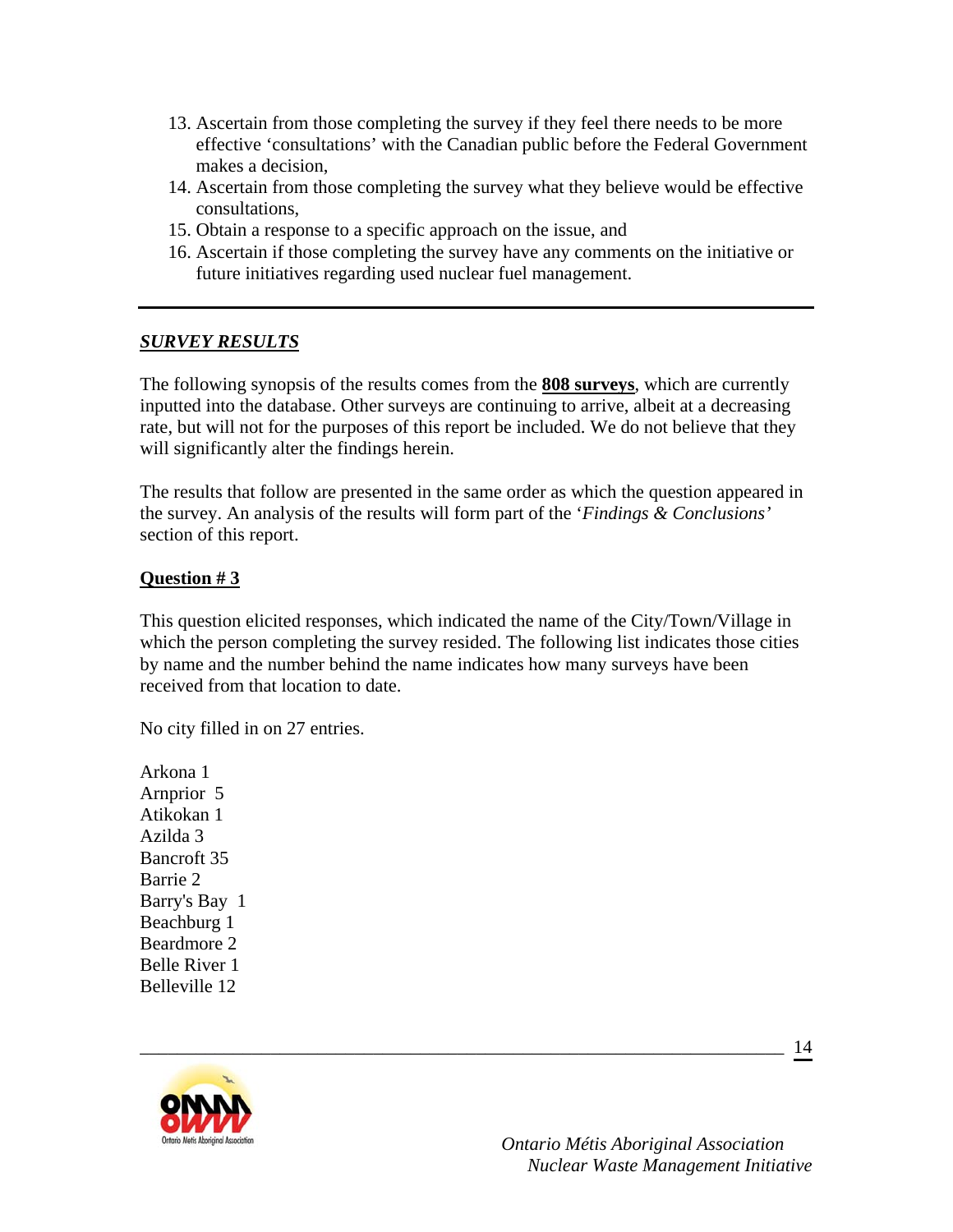- 13. Ascertain from those completing the survey if they feel there needs to be more effective 'consultations' with the Canadian public before the Federal Government makes a decision,
- 14. Ascertain from those completing the survey what they believe would be effective consultations,
- 15. Obtain a response to a specific approach on the issue, and
- 16. Ascertain if those completing the survey have any comments on the initiative or future initiatives regarding used nuclear fuel management.

### *SURVEY RESULTS*

The following synopsis of the results comes from the **808 surveys**, which are currently inputted into the database. Other surveys are continuing to arrive, albeit at a decreasing rate, but will not for the purposes of this report be included. We do not believe that they will significantly alter the findings herein.

The results that follow are presented in the same order as which the question appeared in the survey. An analysis of the results will form part of the '*Findings & Conclusions'* section of this report.

#### **Question # 3**

This question elicited responses, which indicated the name of the City/Town/Village in which the person completing the survey resided. The following list indicates those cities by name and the number behind the name indicates how many surveys have been received from that location to date.

\_\_\_\_\_\_\_\_\_\_\_\_\_\_\_\_\_\_\_\_\_\_\_\_\_\_\_\_\_\_\_\_\_\_\_\_\_\_\_\_\_\_\_\_\_\_\_\_\_\_\_\_\_\_\_\_\_\_\_\_\_\_\_\_\_\_\_\_\_

No city filled in on 27 entries.

Arkona 1 Arnprior 5 Atikokan 1 Azilda 3 Bancroft 35 Barrie 2 Barry's Bay 1 Beachburg 1 Beardmore 2 Belle River 1 Belleville 12



 *Ontario Métis Aboriginal Association Nuclear Waste Management Initiative*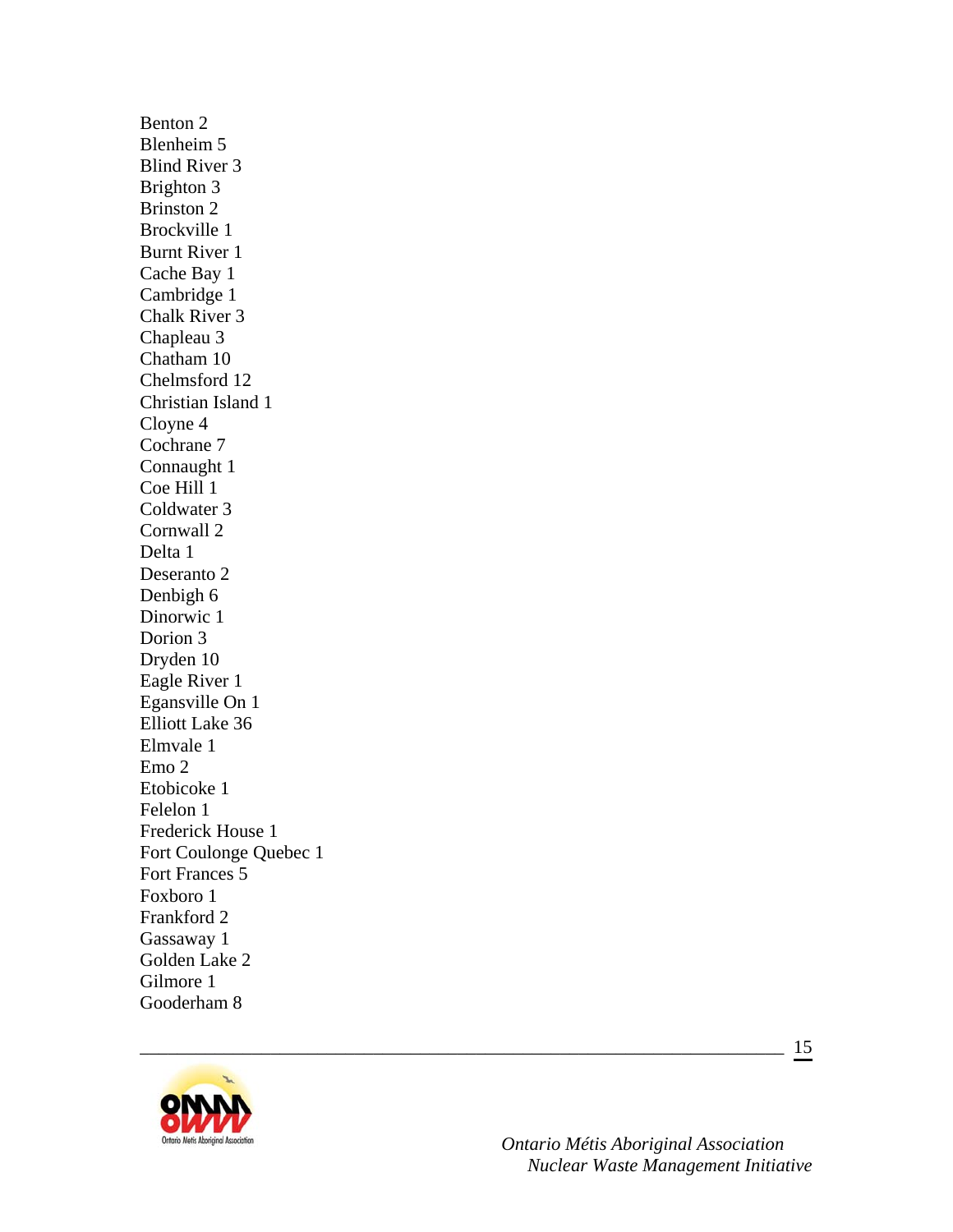Benton 2 Blenheim 5 Blind River 3 Brighton 3 Brinston 2 Brockville 1 Burnt River 1 Cache Bay 1 Cambridge 1 Chalk River 3 Chapleau 3 Chatham 10 Chelmsford 12 Christian Island 1 Cloyne 4 Cochrane 7 Connaught 1 Coe Hill 1 Coldwater 3 Cornwall 2 Delta 1 Deseranto 2 Denbigh 6 Dinorwic 1 Dorion 3 Dryden 10 Eagle River 1 Egansville On 1 Elliott Lake 36 Elmvale 1 Emo 2 Etobicoke 1 Felelon 1 Frederick House 1 Fort Coulonge Quebec 1 Fort Frances 5 Foxboro 1 Frankford 2 Gassaway 1 Golden Lake 2 Gilmore 1 Gooderham 8



 *Ontario Métis Aboriginal Association Nuclear Waste Management Initiative*

\_\_\_\_\_\_\_\_\_\_\_\_\_\_\_\_\_\_\_\_\_\_\_\_\_\_\_\_\_\_\_\_\_\_\_\_\_\_\_\_\_\_\_\_\_\_\_\_\_\_\_\_\_\_\_\_\_\_\_\_\_\_\_\_\_\_\_\_\_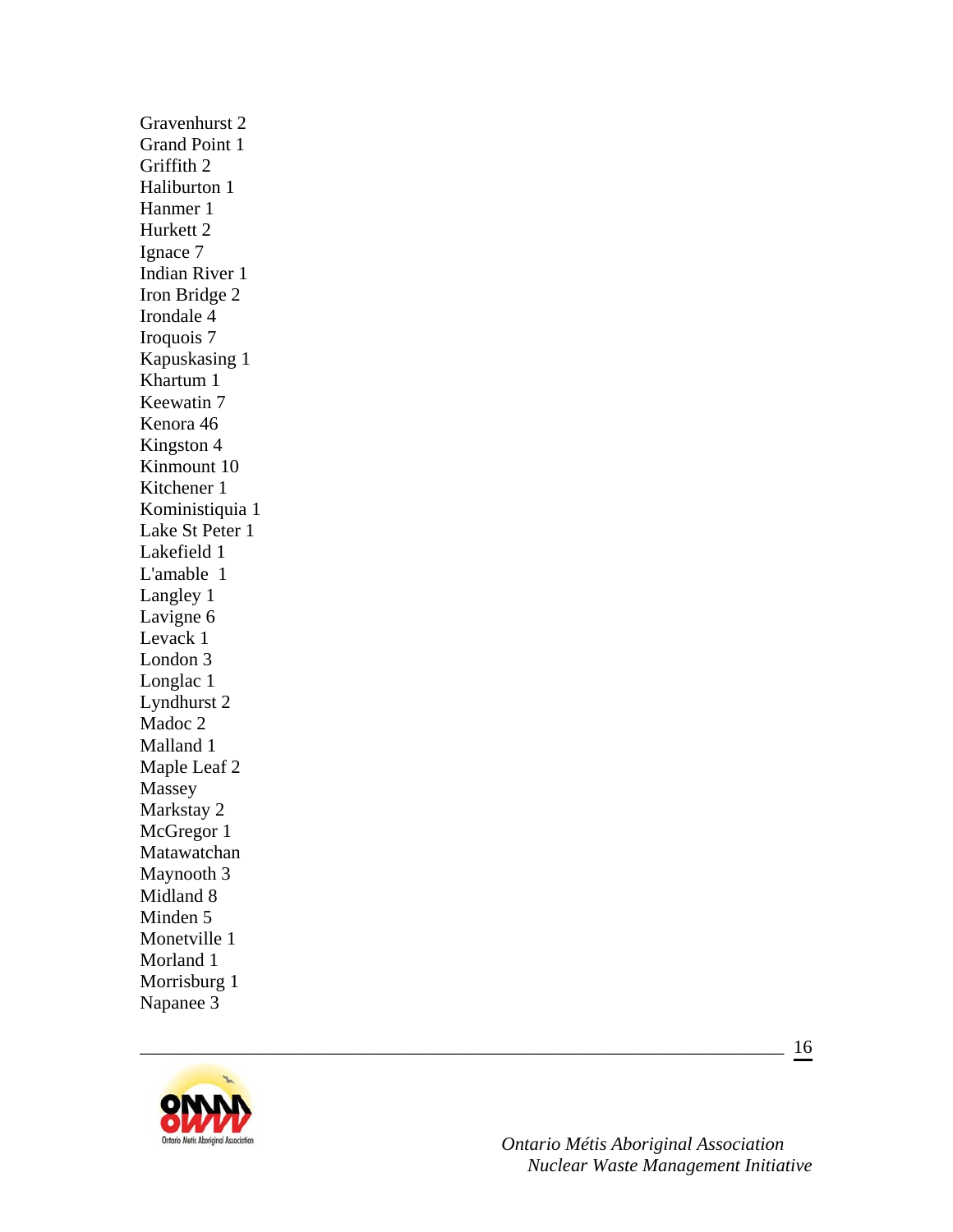Gravenhurst 2 Grand Point 1 Griffith 2 Haliburton 1 Hanmer 1 Hurkett 2 Ignace 7 Indian River 1 Iron Bridge 2 Irondale 4 Iroquois 7 Kapuskasing 1 Khartum 1 Keewatin 7 Kenora 46 Kingston 4 Kinmount 10 Kitchener 1 Koministiquia 1 Lake St Peter 1 Lakefield 1 L'amable 1 Langley 1 Lavigne 6 Levack 1 London 3 Longlac 1 Lyndhurst 2 Madoc 2 Malland 1 Maple Leaf 2 Massey Markstay 2 McGregor 1 Matawatchan Maynooth 3 Midland 8 Minden 5 Monetville 1 Morland 1 Morrisburg 1 Napanee 3



 *Ontario Métis Aboriginal Association Nuclear Waste Management Initiative*

\_\_\_\_\_\_\_\_\_\_\_\_\_\_\_\_\_\_\_\_\_\_\_\_\_\_\_\_\_\_\_\_\_\_\_\_\_\_\_\_\_\_\_\_\_\_\_\_\_\_\_\_\_\_\_\_\_\_\_\_\_\_\_\_\_\_\_\_\_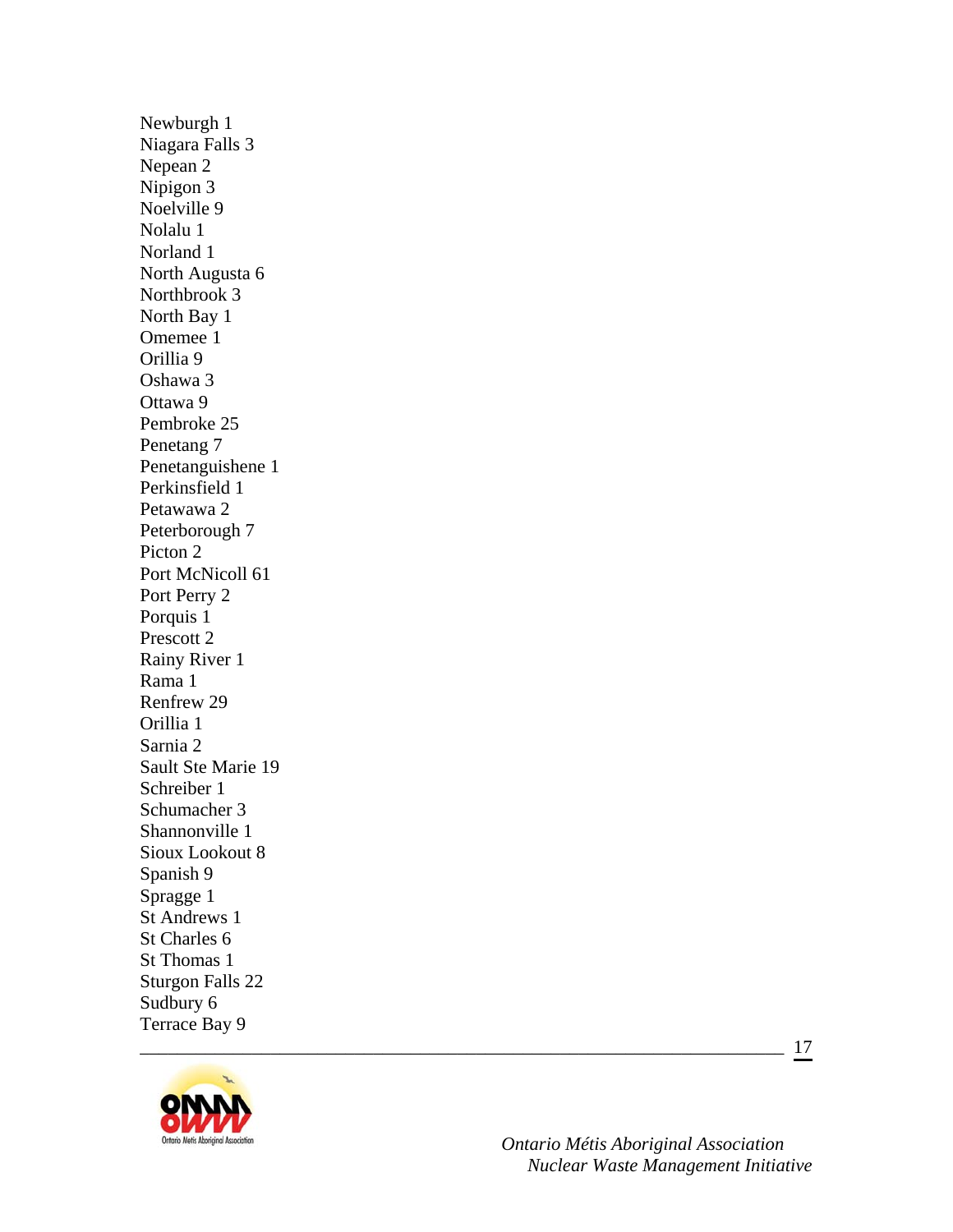Newburgh 1 Niagara Falls 3 Nepean 2 Nipigon 3 Noelville 9 Nolalu 1 Norland 1 North Augusta 6 Northbrook 3 North Bay 1 Omemee 1 Orillia 9 Oshawa 3 Ottawa 9 Pembroke 25 Penetang 7 Penetanguishene 1 Perkinsfield 1 Petawawa 2 Peterborough 7 Picton 2 Port McNicoll 61 Port Perry 2 Porquis 1 Prescott 2 Rainy River 1 Rama 1 Renfrew 29 Orillia 1 Sarnia 2 Sault Ste Marie 19 Schreiber 1 Schumacher 3 Shannonville 1 Sioux Lookout 8 Spanish 9 Spragge 1 St Andrews 1 St Charles 6 St Thomas 1 Sturgon Falls 22 Sudbury 6 Terrace Bay 9



 *Ontario Métis Aboriginal Association Nuclear Waste Management Initiative*

\_\_\_\_\_\_\_\_\_\_\_\_\_\_\_\_\_\_\_\_\_\_\_\_\_\_\_\_\_\_\_\_\_\_\_\_\_\_\_\_\_\_\_\_\_\_\_\_\_\_\_\_\_\_\_\_\_\_\_\_\_\_\_\_\_\_\_\_\_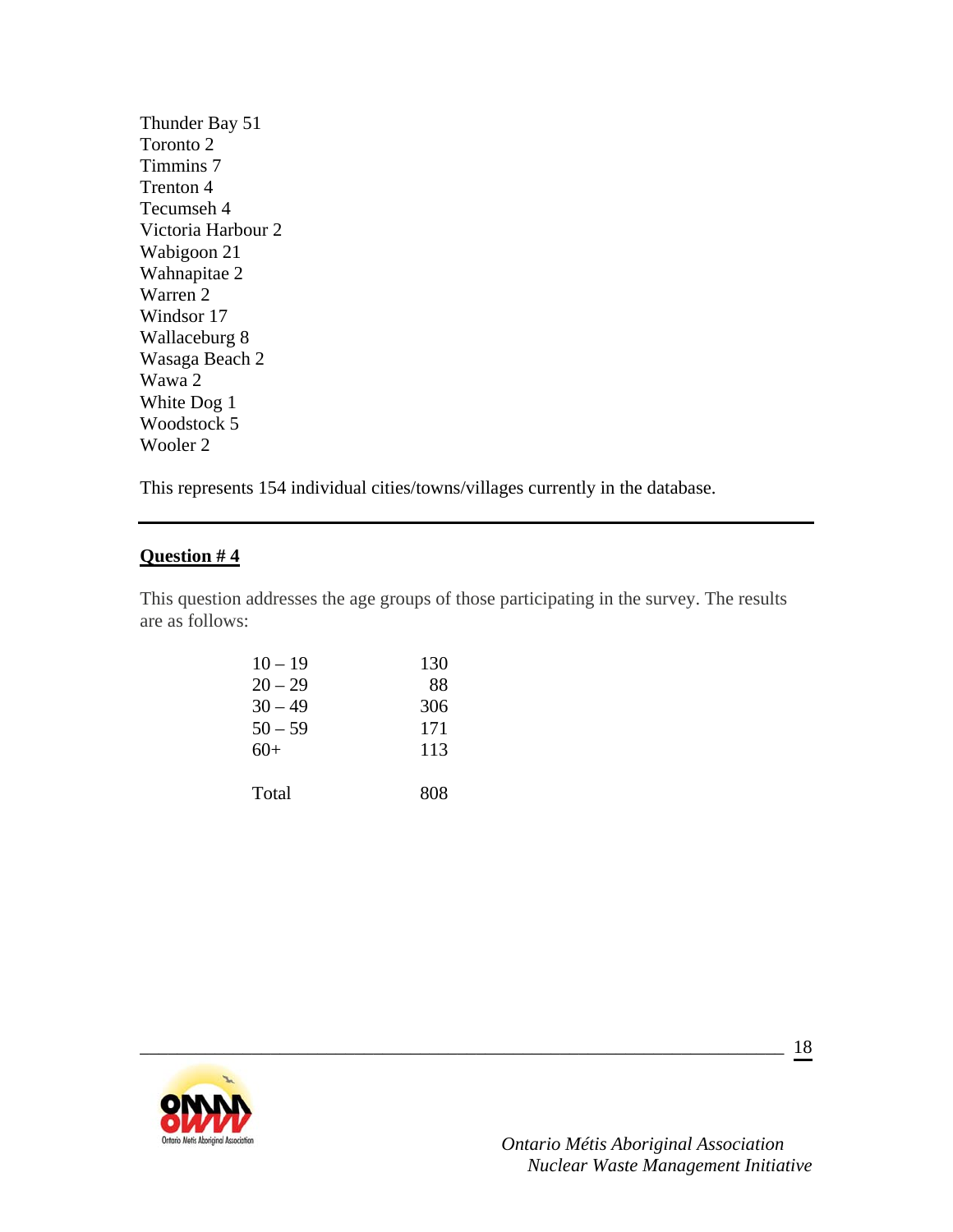Thunder Bay 51 Toronto 2 Timmins 7 Trenton 4 Tecumseh 4 Victoria Harbour 2 Wabigoon 21 Wahnapitae 2 Warren 2 Windsor 17 Wallaceburg 8 Wasaga Beach 2 Wawa 2 White Dog 1 Woodstock 5 Wooler 2

This represents 154 individual cities/towns/villages currently in the database.

### **Question # 4**

This question addresses the age groups of those participating in the survey. The results are as follows:

\_\_\_\_\_\_\_\_\_\_\_\_\_\_\_\_\_\_\_\_\_\_\_\_\_\_\_\_\_\_\_\_\_\_\_\_\_\_\_\_\_\_\_\_\_\_\_\_\_\_\_\_\_\_\_\_\_\_\_\_\_\_\_\_\_\_\_\_\_

| $10 - 19$ | 130 |
|-----------|-----|
| $20 - 29$ | 88  |
| $30 - 49$ | 306 |
| $50 - 59$ | 171 |
| $60+$     | 113 |
| Total     | 808 |

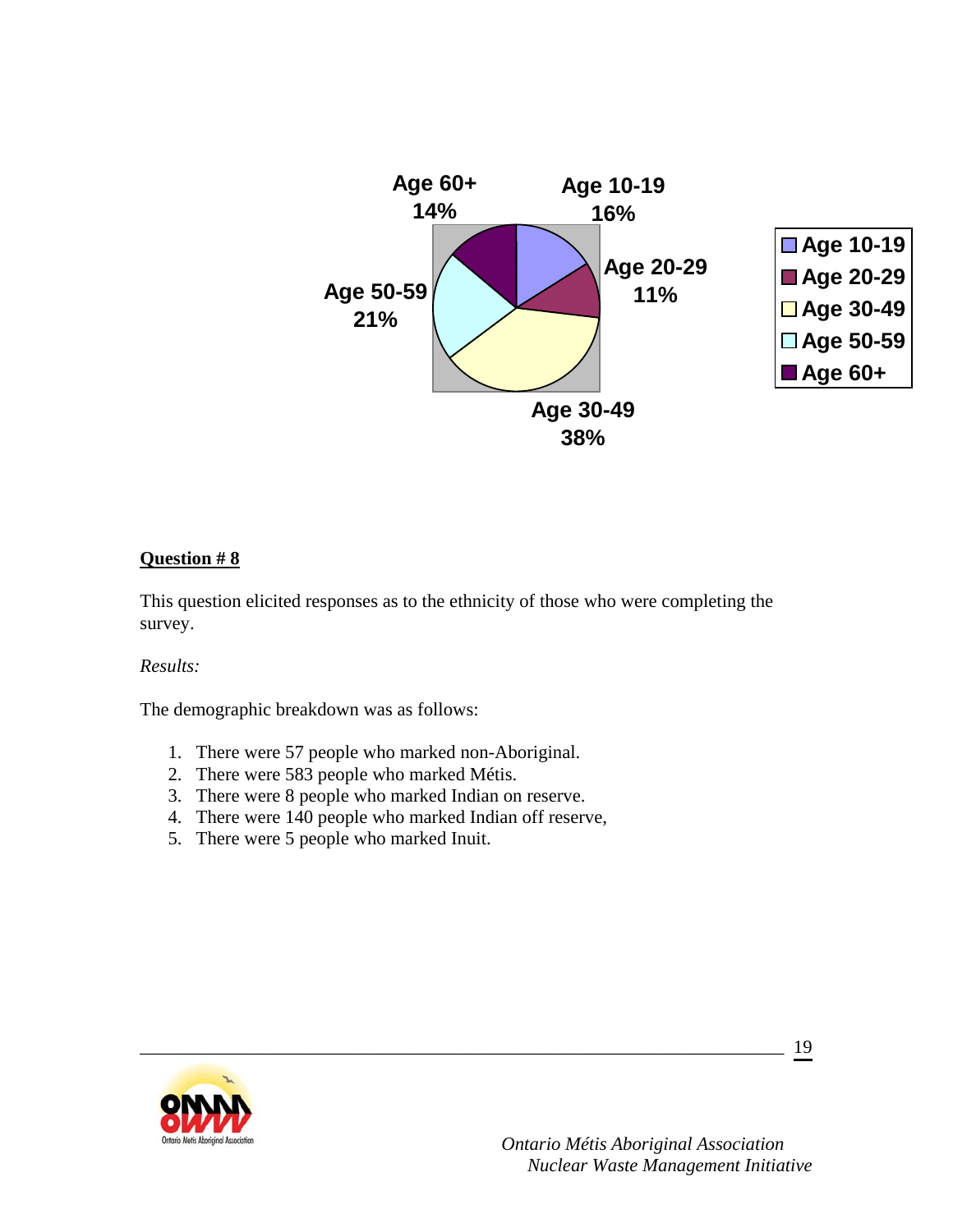

This question elicited responses as to the ethnicity of those who were completing the survey.

\_\_\_\_\_\_\_\_\_\_\_\_\_\_\_\_\_\_\_\_\_\_\_\_\_\_\_\_\_\_\_\_\_\_\_\_\_\_\_\_\_\_\_\_\_\_\_\_\_\_\_\_\_\_\_\_\_\_\_\_\_\_\_\_\_\_\_\_\_

#### *Results:*

The demographic breakdown was as follows:

- 1. There were 57 people who marked non-Aboriginal.
- 2. There were 583 people who marked Métis.
- 3. There were 8 people who marked Indian on reserve.
- 4. There were 140 people who marked Indian off reserve,
- 5. There were 5 people who marked Inuit.

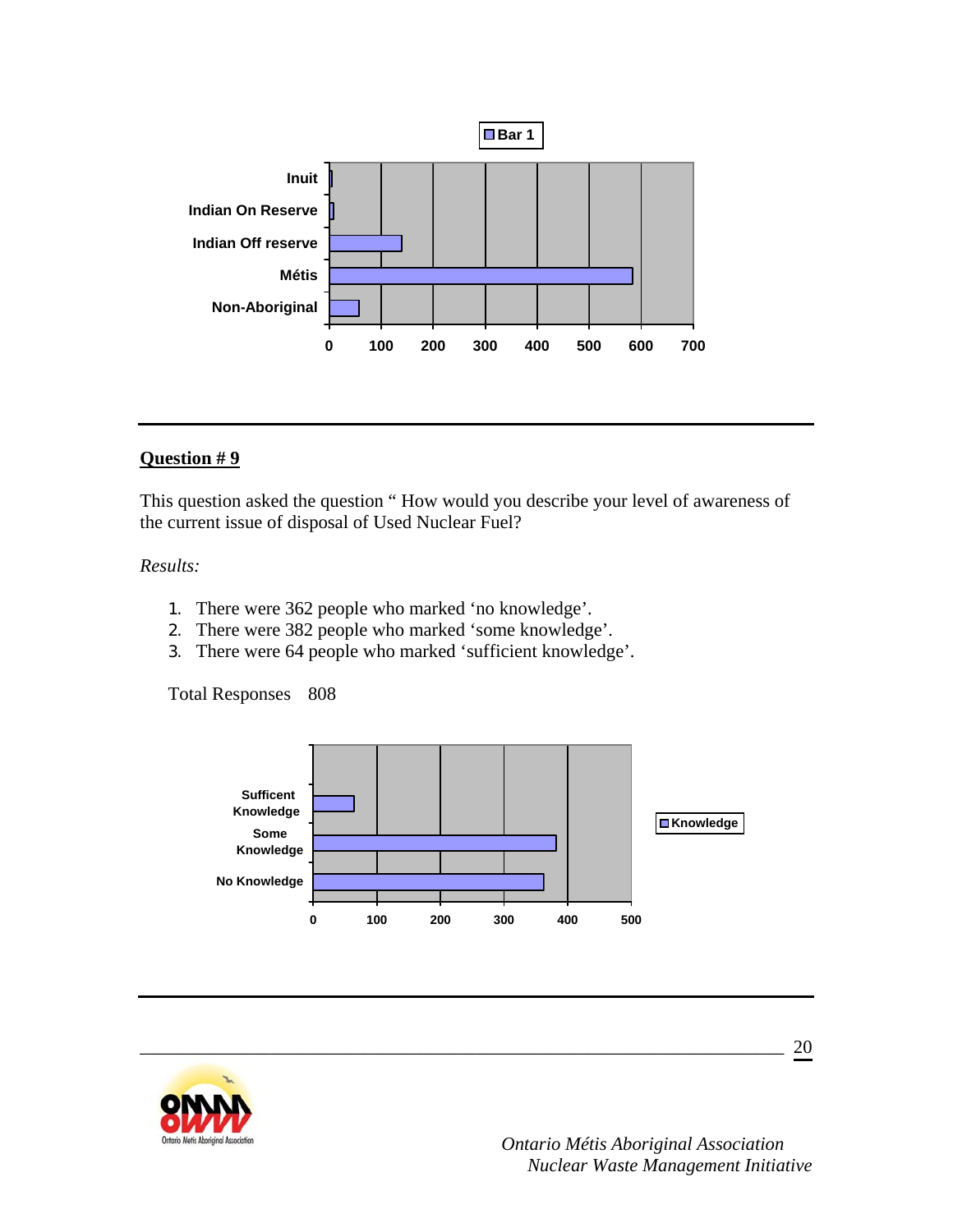

This question asked the question " How would you describe your level of awareness of the current issue of disposal of Used Nuclear Fuel?

### *Results:*

- 1. There were 362 people who marked 'no knowledge'.
- 2. There were 382 people who marked 'some knowledge'.
- 3. There were 64 people who marked 'sufficient knowledge'.

Total Responses 808



\_\_\_\_\_\_\_\_\_\_\_\_\_\_\_\_\_\_\_\_\_\_\_\_\_\_\_\_\_\_\_\_\_\_\_\_\_\_\_\_\_\_\_\_\_\_\_\_\_\_\_\_\_\_\_\_\_\_\_\_\_\_\_\_\_\_\_\_\_

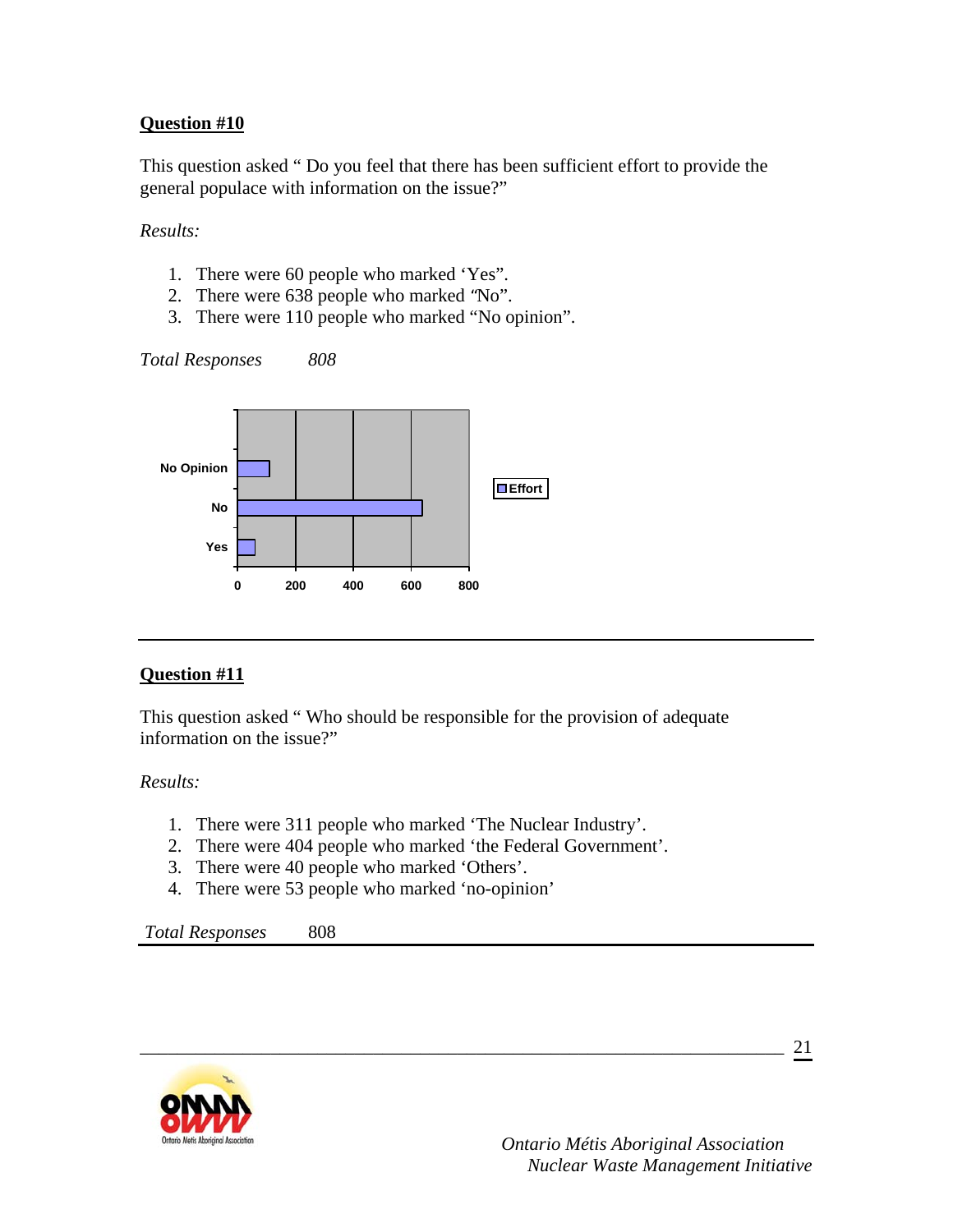This question asked " Do you feel that there has been sufficient effort to provide the general populace with information on the issue?"

*Results:* 

- 1. There were 60 people who marked 'Yes".
- 2. There were 638 people who marked "No".
- 3. There were 110 people who marked "No opinion".

*Total Responses 808*



### **Question #11**

This question asked " Who should be responsible for the provision of adequate information on the issue?"

*Results:* 

- 1. There were 311 people who marked 'The Nuclear Industry'.
- 2. There were 404 people who marked 'the Federal Government'.

\_\_\_\_\_\_\_\_\_\_\_\_\_\_\_\_\_\_\_\_\_\_\_\_\_\_\_\_\_\_\_\_\_\_\_\_\_\_\_\_\_\_\_\_\_\_\_\_\_\_\_\_\_\_\_\_\_\_\_\_\_\_\_\_\_\_\_\_\_

- 3. There were 40 people who marked 'Others'.
- 4. There were 53 people who marked 'no-opinion'

*Total Responses* 808

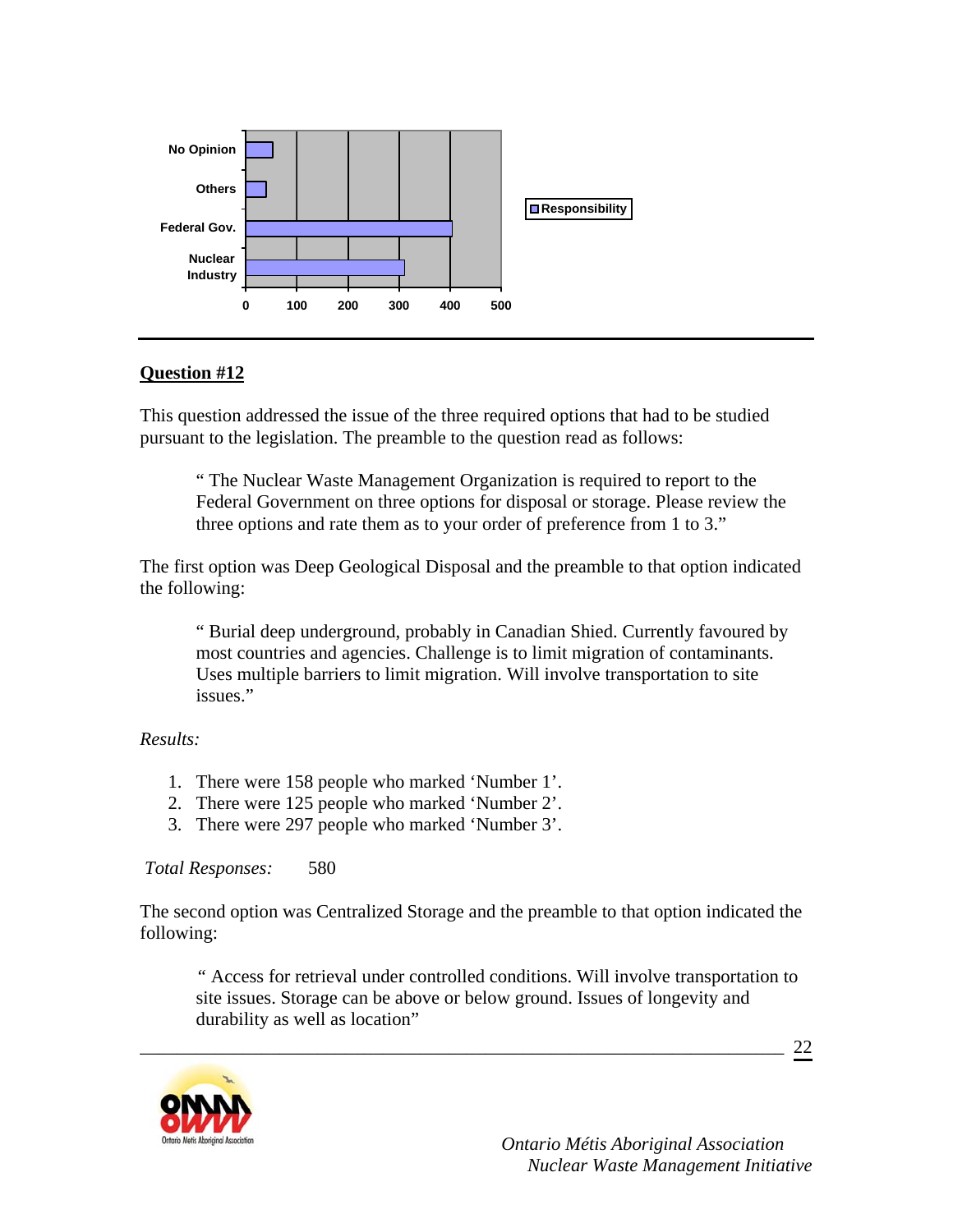

This question addressed the issue of the three required options that had to be studied pursuant to the legislation. The preamble to the question read as follows:

" The Nuclear Waste Management Organization is required to report to the Federal Government on three options for disposal or storage. Please review the three options and rate them as to your order of preference from 1 to 3."

The first option was Deep Geological Disposal and the preamble to that option indicated the following:

" Burial deep underground, probably in Canadian Shied. Currently favoured by most countries and agencies. Challenge is to limit migration of contaminants. Uses multiple barriers to limit migration. Will involve transportation to site issues."

#### *Results:*

- 1. There were 158 people who marked 'Number 1'.
- 2. There were 125 people who marked 'Number 2'.
- 3. There were 297 people who marked 'Number 3'.

*Total Responses:* 580

The second option was Centralized Storage and the preamble to that option indicated the following:

\_\_\_\_\_\_\_\_\_\_\_\_\_\_\_\_\_\_\_\_\_\_\_\_\_\_\_\_\_\_\_\_\_\_\_\_\_\_\_\_\_\_\_\_\_\_\_\_\_\_\_\_\_\_\_\_\_\_\_\_\_\_\_\_\_\_\_\_\_

*"* Access for retrieval under controlled conditions. Will involve transportation to site issues. Storage can be above or below ground. Issues of longevity and durability as well as location"

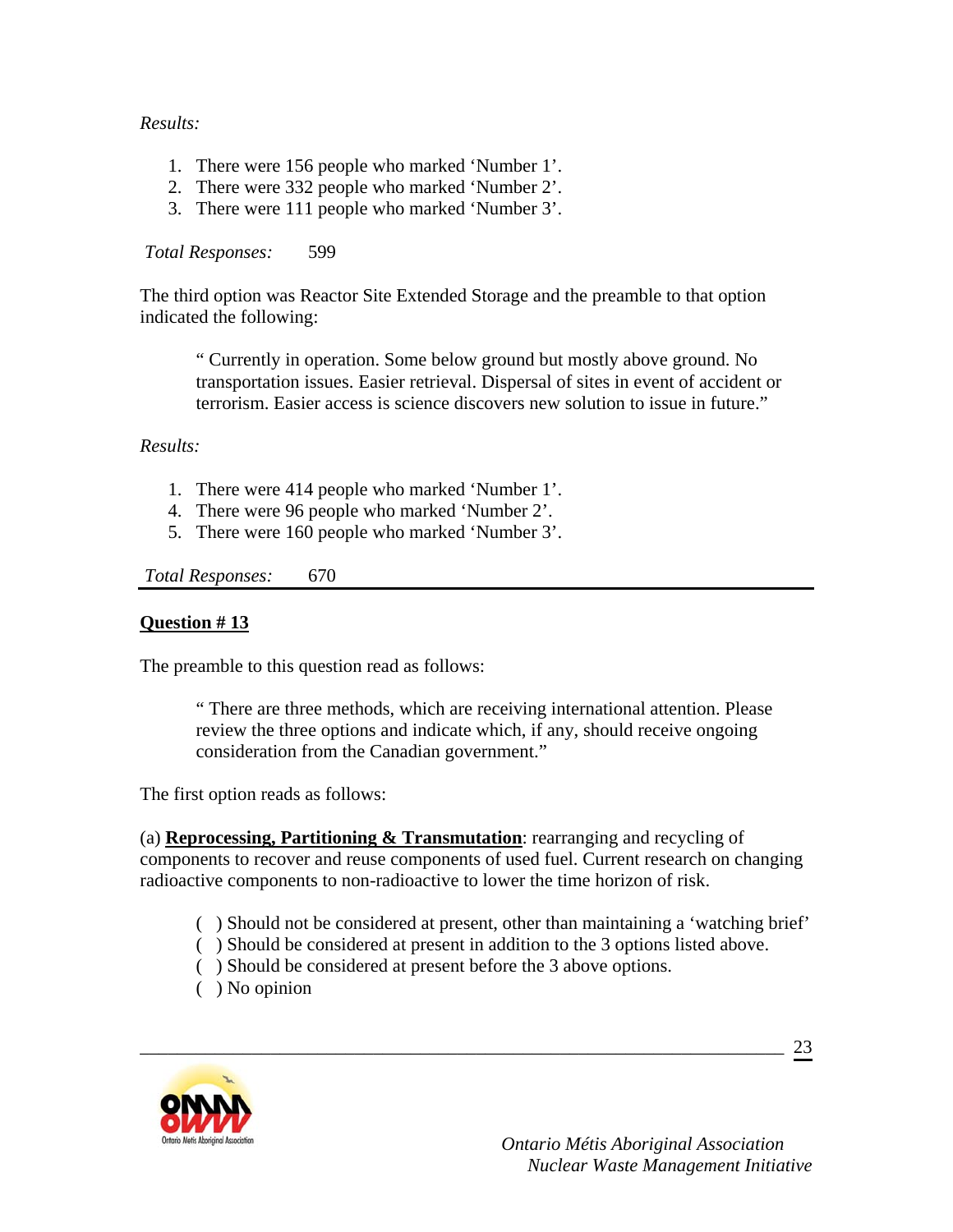### *Results:*

- 1. There were 156 people who marked 'Number 1'.
- 2. There were 332 people who marked 'Number 2'.
- 3. There were 111 people who marked 'Number 3'.

#### *Total Responses:* 599

The third option was Reactor Site Extended Storage and the preamble to that option indicated the following:

" Currently in operation. Some below ground but mostly above ground. No transportation issues. Easier retrieval. Dispersal of sites in event of accident or terrorism. Easier access is science discovers new solution to issue in future."

#### *Results:*

- 1. There were 414 people who marked 'Number 1'.
- 4. There were 96 people who marked 'Number 2'.
- 5. There were 160 people who marked 'Number 3'.

*Total Responses:* 670

#### **Question # 13**

The preamble to this question read as follows:

" There are three methods, which are receiving international attention. Please review the three options and indicate which, if any, should receive ongoing consideration from the Canadian government."

The first option reads as follows:

(a) **Reprocessing, Partitioning & Transmutation**: rearranging and recycling of components to recover and reuse components of used fuel. Current research on changing radioactive components to non-radioactive to lower the time horizon of risk.

- ( ) Should not be considered at present, other than maintaining a 'watching brief'
- ( ) Should be considered at present in addition to the 3 options listed above.
- ( ) Should be considered at present before the 3 above options.

\_\_\_\_\_\_\_\_\_\_\_\_\_\_\_\_\_\_\_\_\_\_\_\_\_\_\_\_\_\_\_\_\_\_\_\_\_\_\_\_\_\_\_\_\_\_\_\_\_\_\_\_\_\_\_\_\_\_\_\_\_\_\_\_\_\_\_\_\_

( ) No opinion



 *Ontario Métis Aboriginal Association Nuclear Waste Management Initiative*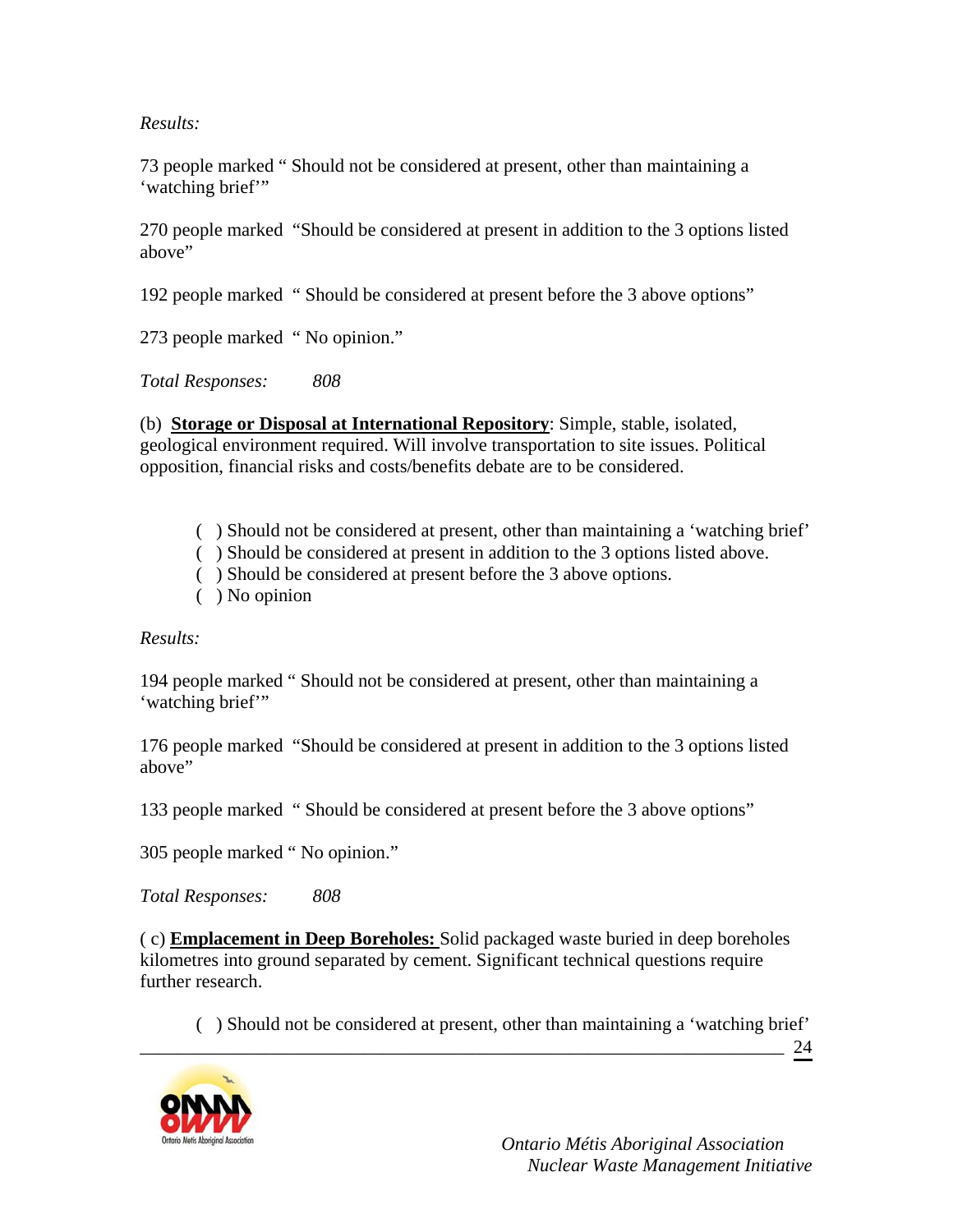*Results:* 

73 people marked " Should not be considered at present, other than maintaining a 'watching brief"

270 people marked "Should be considered at present in addition to the 3 options listed above"

192 people marked " Should be considered at present before the 3 above options"

273 people marked " No opinion."

*Total Responses: 808* 

(b) **Storage or Disposal at International Repository**: Simple, stable, isolated, geological environment required. Will involve transportation to site issues. Political opposition, financial risks and costs/benefits debate are to be considered.

- ( ) Should not be considered at present, other than maintaining a 'watching brief'
- ( ) Should be considered at present in addition to the 3 options listed above.
- ( ) Should be considered at present before the 3 above options.
- ( ) No opinion

*Results:* 

194 people marked " Should not be considered at present, other than maintaining a 'watching brief"

176 people marked "Should be considered at present in addition to the 3 options listed above"

133 people marked " Should be considered at present before the 3 above options"

305 people marked " No opinion."

*Total Responses: 808* 

( c) **Emplacement in Deep Boreholes:** Solid packaged waste buried in deep boreholes kilometres into ground separated by cement. Significant technical questions require further research.

\_\_\_\_\_\_\_\_\_\_\_\_\_\_\_\_\_\_\_\_\_\_\_\_\_\_\_\_\_\_\_\_\_\_\_\_\_\_\_\_\_\_\_\_\_\_\_\_\_\_\_\_\_\_\_\_\_\_\_\_\_\_\_\_\_\_\_\_\_

( ) Should not be considered at present, other than maintaining a 'watching brief'

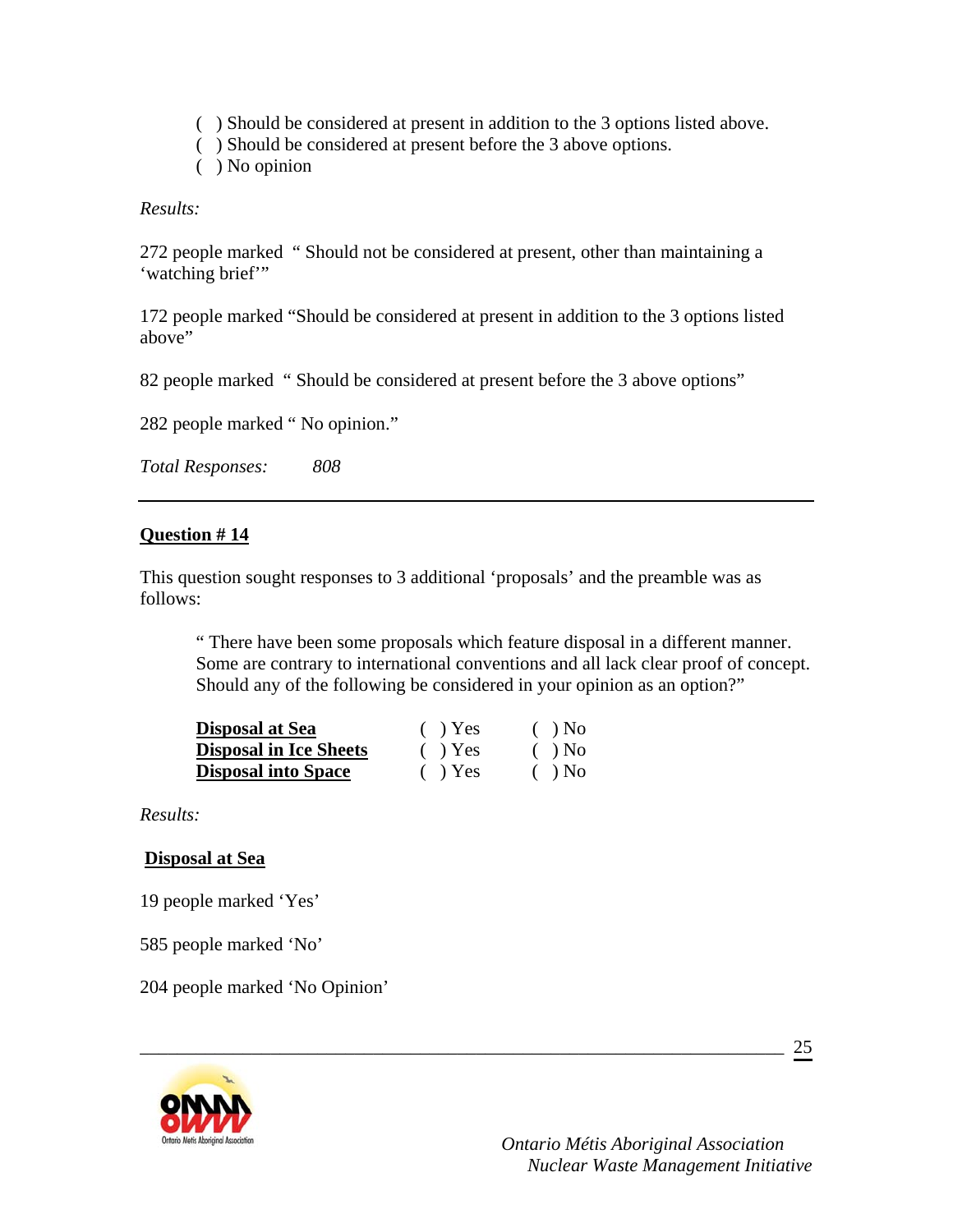- ( ) Should be considered at present in addition to the 3 options listed above.
- ( ) Should be considered at present before the 3 above options.
- ( ) No opinion

*Results:* 

272 people marked " Should not be considered at present, other than maintaining a 'watching brief"

172 people marked "Should be considered at present in addition to the 3 options listed above"

82 people marked " Should be considered at present before the 3 above options"

282 people marked " No opinion."

*Total Responses: 808* 

### **Question # 14**

This question sought responses to 3 additional 'proposals' and the preamble was as follows:

\_\_\_\_\_\_\_\_\_\_\_\_\_\_\_\_\_\_\_\_\_\_\_\_\_\_\_\_\_\_\_\_\_\_\_\_\_\_\_\_\_\_\_\_\_\_\_\_\_\_\_\_\_\_\_\_\_\_\_\_\_\_\_\_\_\_\_\_\_

" There have been some proposals which feature disposal in a different manner. Some are contrary to international conventions and all lack clear proof of concept. Should any of the following be considered in your opinion as an option?"

| <b>Disposal at Sea</b>        | $( )$ Yes | $( )$ No |
|-------------------------------|-----------|----------|
| <b>Disposal in Ice Sheets</b> | $( )$ Yes | $( )$ No |
| <b>Disposal into Space</b>    | $( )$ Yes | $( )$ No |

*Results:* 

### **Disposal at Sea**

19 people marked 'Yes'

585 people marked 'No'

204 people marked 'No Opinion'

25

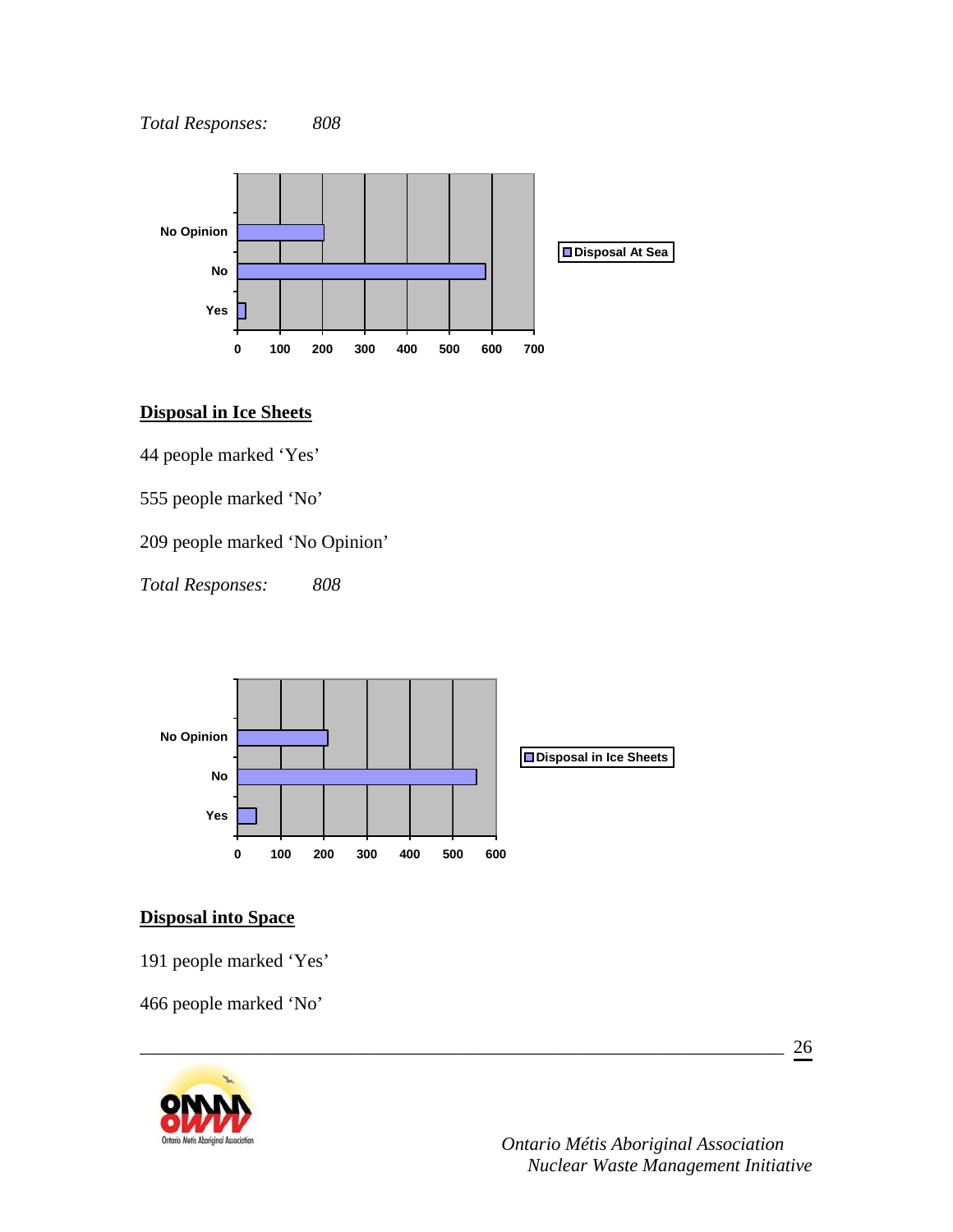

### **Disposal in Ice Sheets**

44 people marked 'Yes'

555 people marked 'No'

209 people marked 'No Opinion'

*Total Responses: 808* 



\_\_\_\_\_\_\_\_\_\_\_\_\_\_\_\_\_\_\_\_\_\_\_\_\_\_\_\_\_\_\_\_\_\_\_\_\_\_\_\_\_\_\_\_\_\_\_\_\_\_\_\_\_\_\_\_\_\_\_\_\_\_\_\_\_\_\_\_\_

## **Disposal into Space**

191 people marked 'Yes'

466 people marked 'No'

26

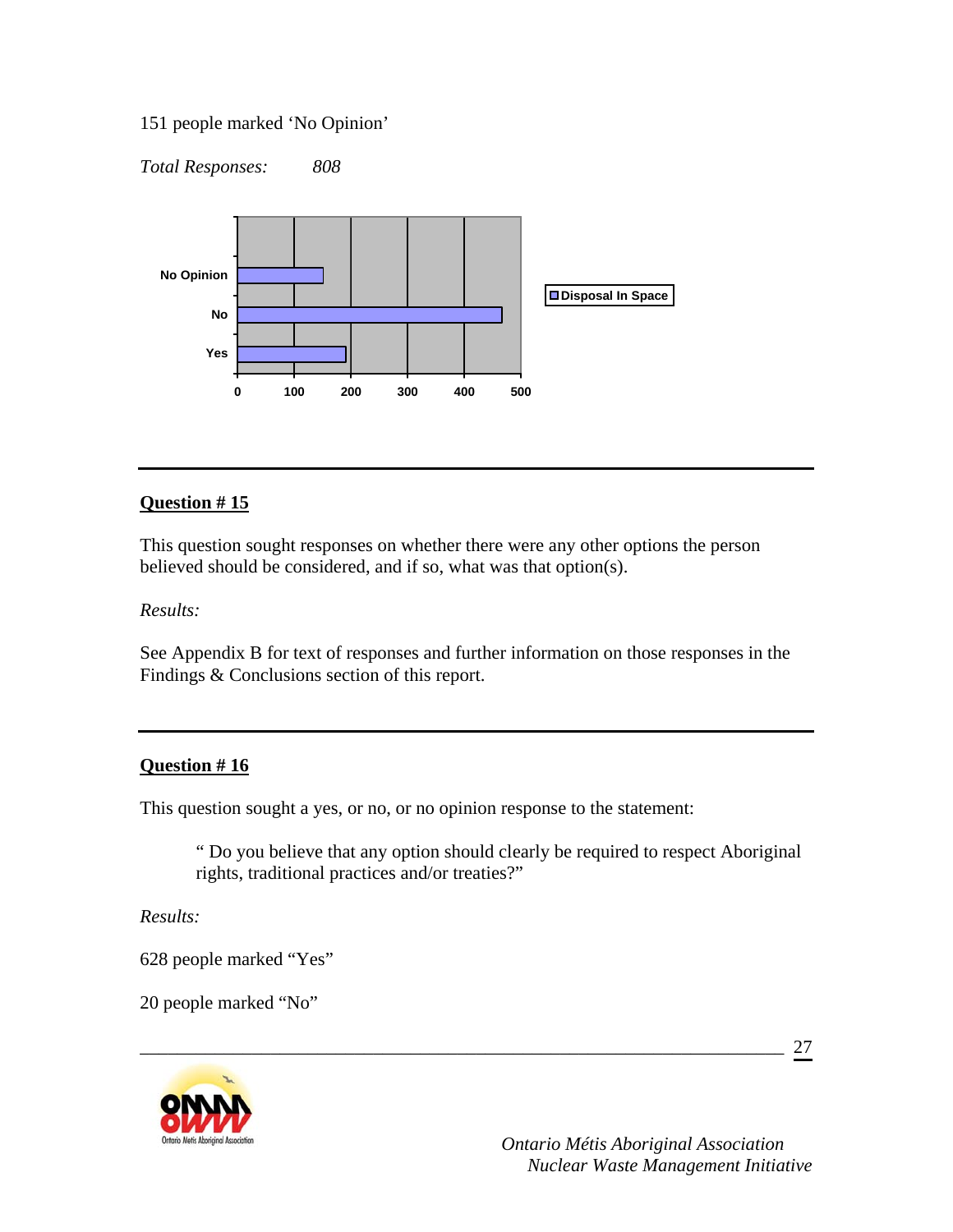### 151 people marked 'No Opinion'

*Total Responses: 808* 



### **Question # 15**

This question sought responses on whether there were any other options the person believed should be considered, and if so, what was that option(s).

*Results:* 

See Appendix B for text of responses and further information on those responses in the Findings & Conclusions section of this report.

### **Question # 16**

This question sought a yes, or no, or no opinion response to the statement:

" Do you believe that any option should clearly be required to respect Aboriginal rights, traditional practices and/or treaties?"

\_\_\_\_\_\_\_\_\_\_\_\_\_\_\_\_\_\_\_\_\_\_\_\_\_\_\_\_\_\_\_\_\_\_\_\_\_\_\_\_\_\_\_\_\_\_\_\_\_\_\_\_\_\_\_\_\_\_\_\_\_\_\_\_\_\_\_\_\_

*Results:* 

628 people marked "Yes"

20 people marked "No"

27

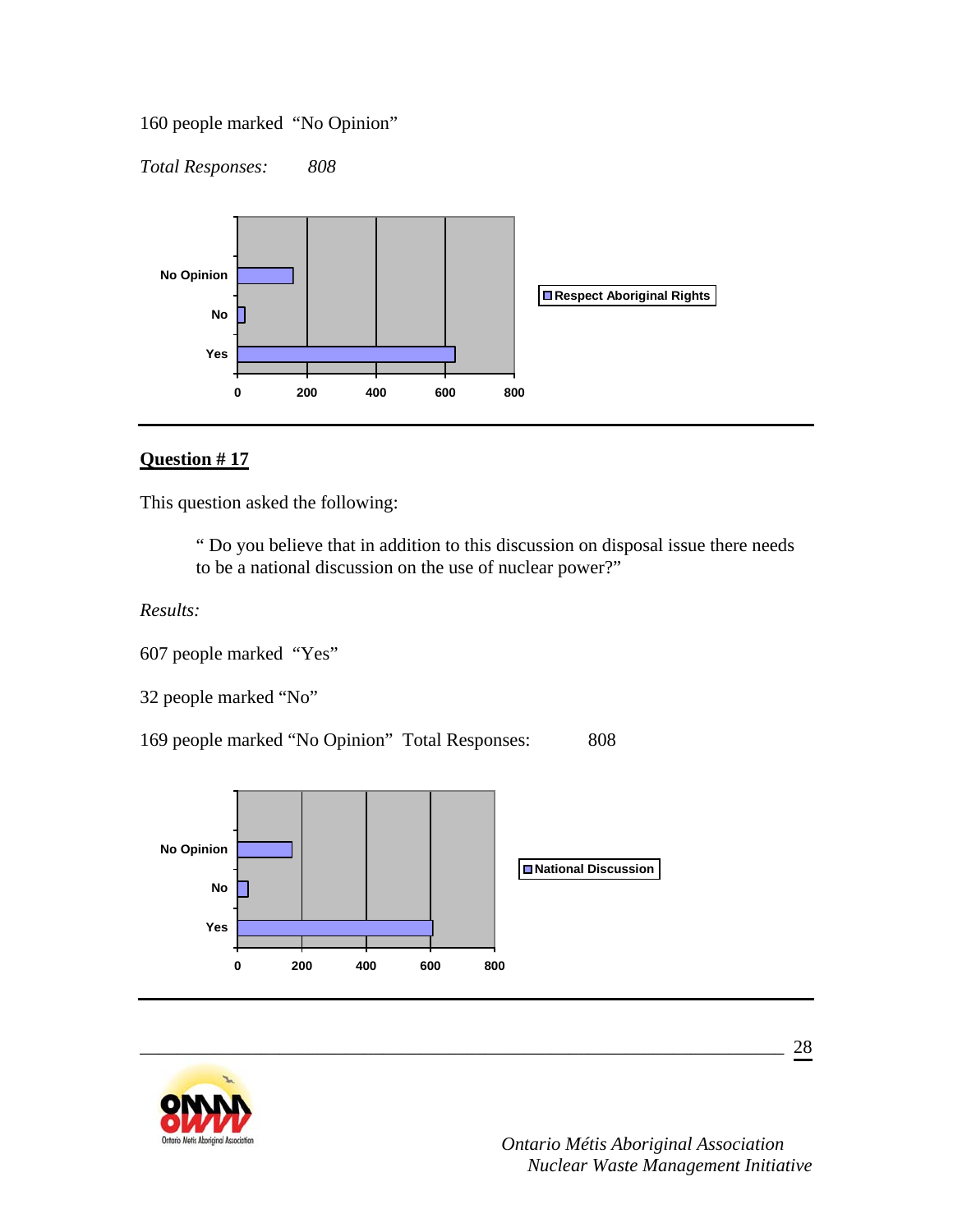160 people marked "No Opinion"

*Total Responses: 808* 



## **Question # 17**

This question asked the following:

 " Do you believe that in addition to this discussion on disposal issue there needs to be a national discussion on the use of nuclear power?"

*Results:* 

607 people marked "Yes"

32 people marked "No"

169 people marked "No Opinion" Total Responses: 808



\_\_\_\_\_\_\_\_\_\_\_\_\_\_\_\_\_\_\_\_\_\_\_\_\_\_\_\_\_\_\_\_\_\_\_\_\_\_\_\_\_\_\_\_\_\_\_\_\_\_\_\_\_\_\_\_\_\_\_\_\_\_\_\_\_\_\_\_\_

28

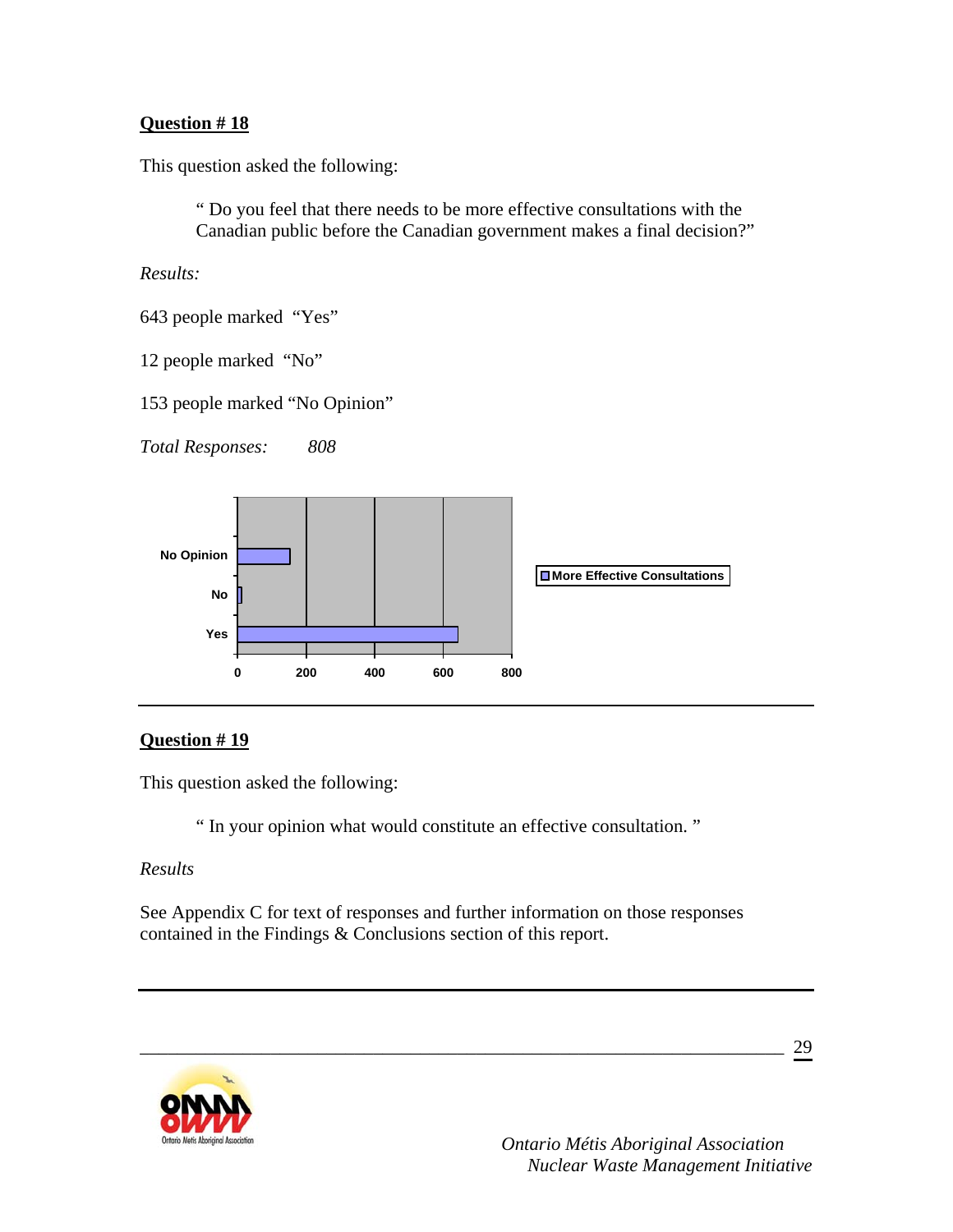This question asked the following:

" Do you feel that there needs to be more effective consultations with the Canadian public before the Canadian government makes a final decision?"

*Results:* 

- 643 people marked "Yes"
- 12 people marked "No"

153 people marked "No Opinion"

*Total Responses: 808* 



## **Question # 19**

This question asked the following:

" In your opinion what would constitute an effective consultation. "

### *Results*

See Appendix C for text of responses and further information on those responses contained in the Findings & Conclusions section of this report.

\_\_\_\_\_\_\_\_\_\_\_\_\_\_\_\_\_\_\_\_\_\_\_\_\_\_\_\_\_\_\_\_\_\_\_\_\_\_\_\_\_\_\_\_\_\_\_\_\_\_\_\_\_\_\_\_\_\_\_\_\_\_\_\_\_\_\_\_\_

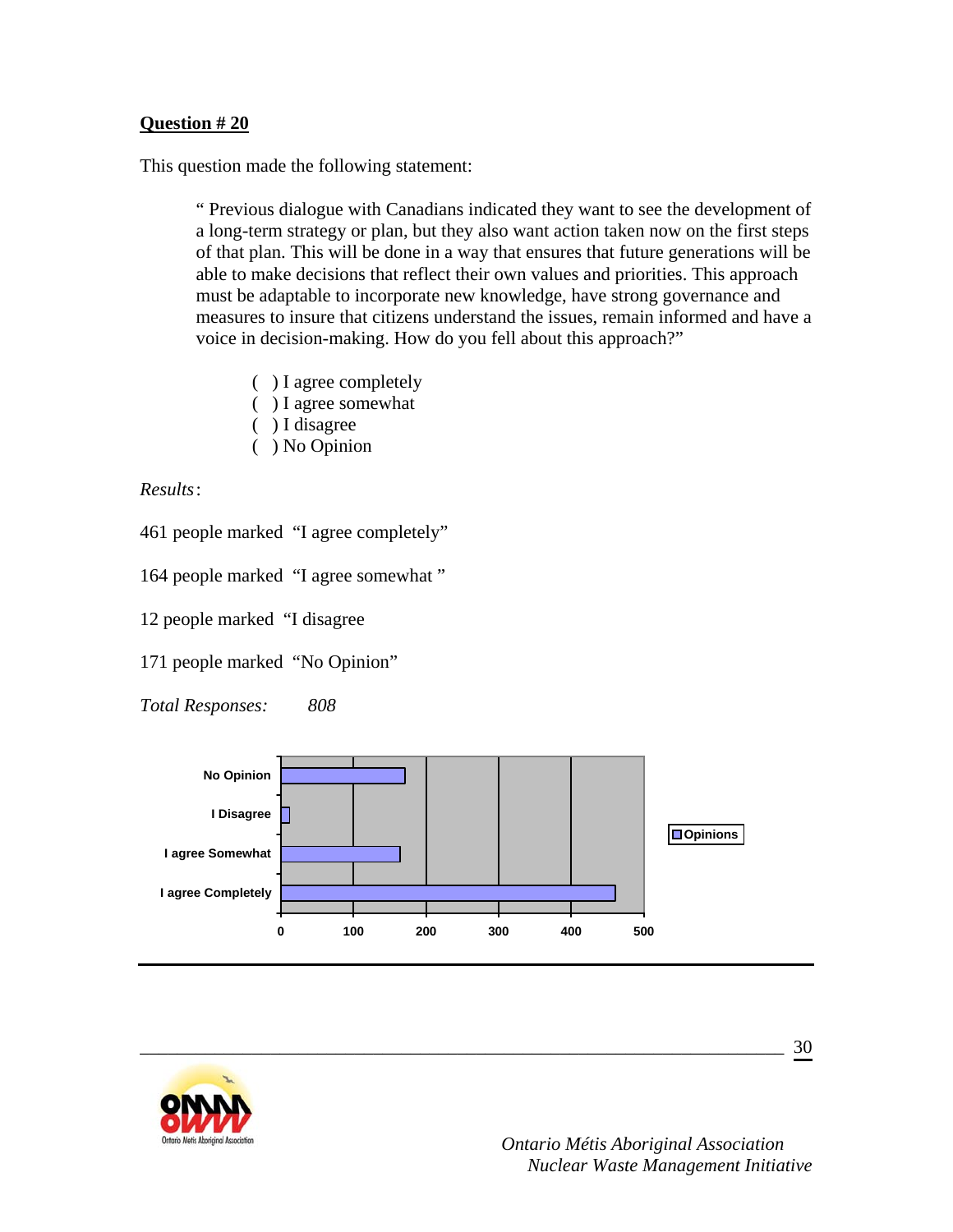This question made the following statement:

" Previous dialogue with Canadians indicated they want to see the development of a long-term strategy or plan, but they also want action taken now on the first steps of that plan. This will be done in a way that ensures that future generations will be able to make decisions that reflect their own values and priorities. This approach must be adaptable to incorporate new knowledge, have strong governance and measures to insure that citizens understand the issues, remain informed and have a voice in decision-making. How do you fell about this approach?"

- ( ) I agree completely
- ( ) I agree somewhat
- ( ) I disagree
- ( ) No Opinion

*Results* :

461 people marked "I agree completely"

164 people marked "I agree somewhat "

12 people marked "I disagree

171 people marked "No Opinion"

*Total Responses: 808* 



\_\_\_\_\_\_\_\_\_\_\_\_\_\_\_\_\_\_\_\_\_\_\_\_\_\_\_\_\_\_\_\_\_\_\_\_\_\_\_\_\_\_\_\_\_\_\_\_\_\_\_\_\_\_\_\_\_\_\_\_\_\_\_\_\_\_\_\_\_

30

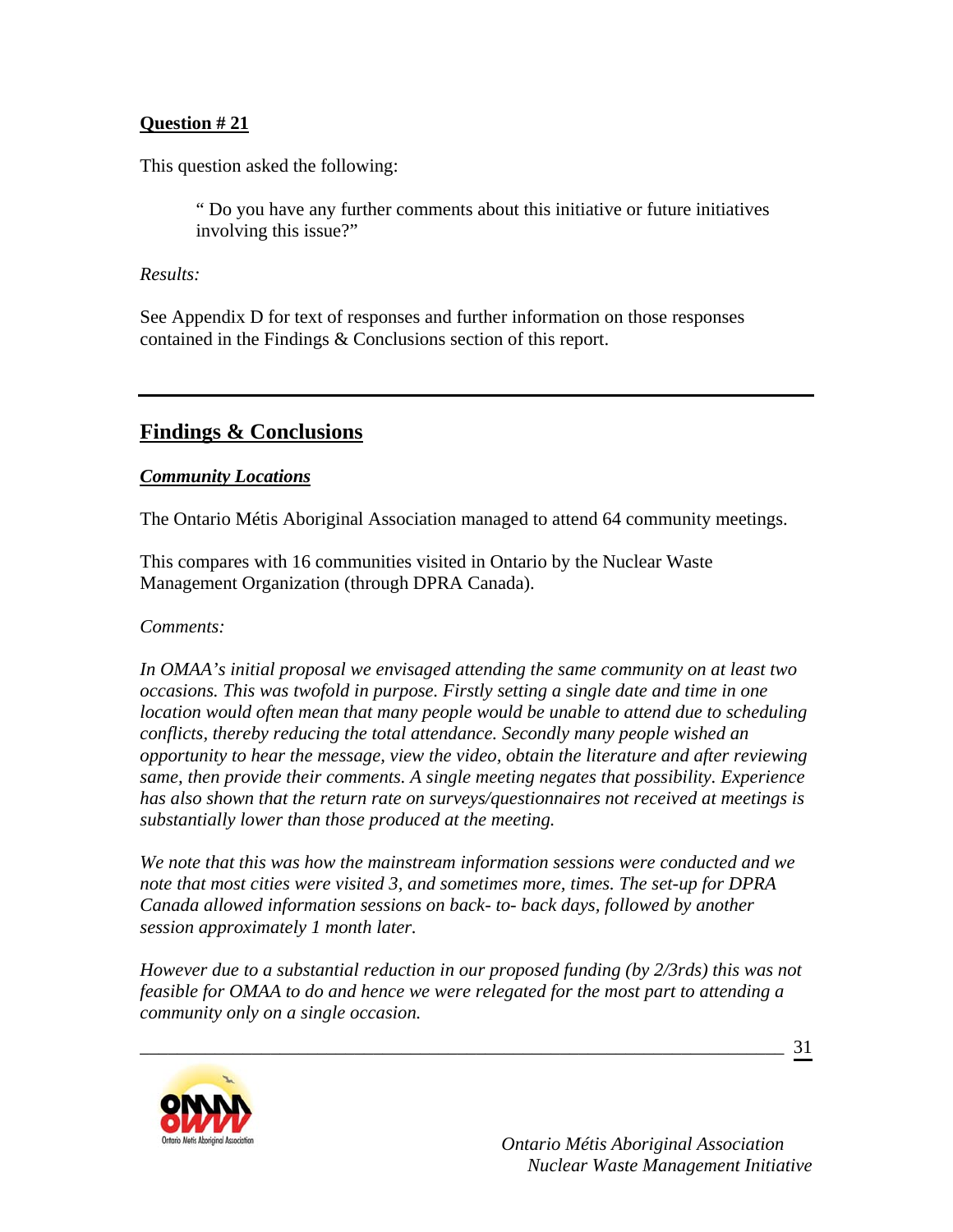This question asked the following:

" Do you have any further comments about this initiative or future initiatives involving this issue?"

### *Results:*

See Appendix D for text of responses and further information on those responses contained in the Findings & Conclusions section of this report.

## **Findings & Conclusions**

## *Community Locations*

The Ontario Métis Aboriginal Association managed to attend 64 community meetings.

This compares with 16 communities visited in Ontario by the Nuclear Waste Management Organization (through DPRA Canada).

*Comments:* 

*In OMAA's initial proposal we envisaged attending the same community on at least two occasions. This was twofold in purpose. Firstly setting a single date and time in one location would often mean that many people would be unable to attend due to scheduling conflicts, thereby reducing the total attendance. Secondly many people wished an opportunity to hear the message, view the video, obtain the literature and after reviewing same, then provide their comments. A single meeting negates that possibility. Experience has also shown that the return rate on surveys/questionnaires not received at meetings is substantially lower than those produced at the meeting.* 

*We note that this was how the mainstream information sessions were conducted and we note that most cities were visited 3, and sometimes more, times. The set-up for DPRA Canada allowed information sessions on back- to- back days, followed by another session approximately 1 month later.* 

*However due to a substantial reduction in our proposed funding (by 2/3rds) this was not feasible for OMAA to do and hence we were relegated for the most part to attending a community only on a single occasion.* 

\_\_\_\_\_\_\_\_\_\_\_\_\_\_\_\_\_\_\_\_\_\_\_\_\_\_\_\_\_\_\_\_\_\_\_\_\_\_\_\_\_\_\_\_\_\_\_\_\_\_\_\_\_\_\_\_\_\_\_\_\_\_\_\_\_\_\_\_\_

31

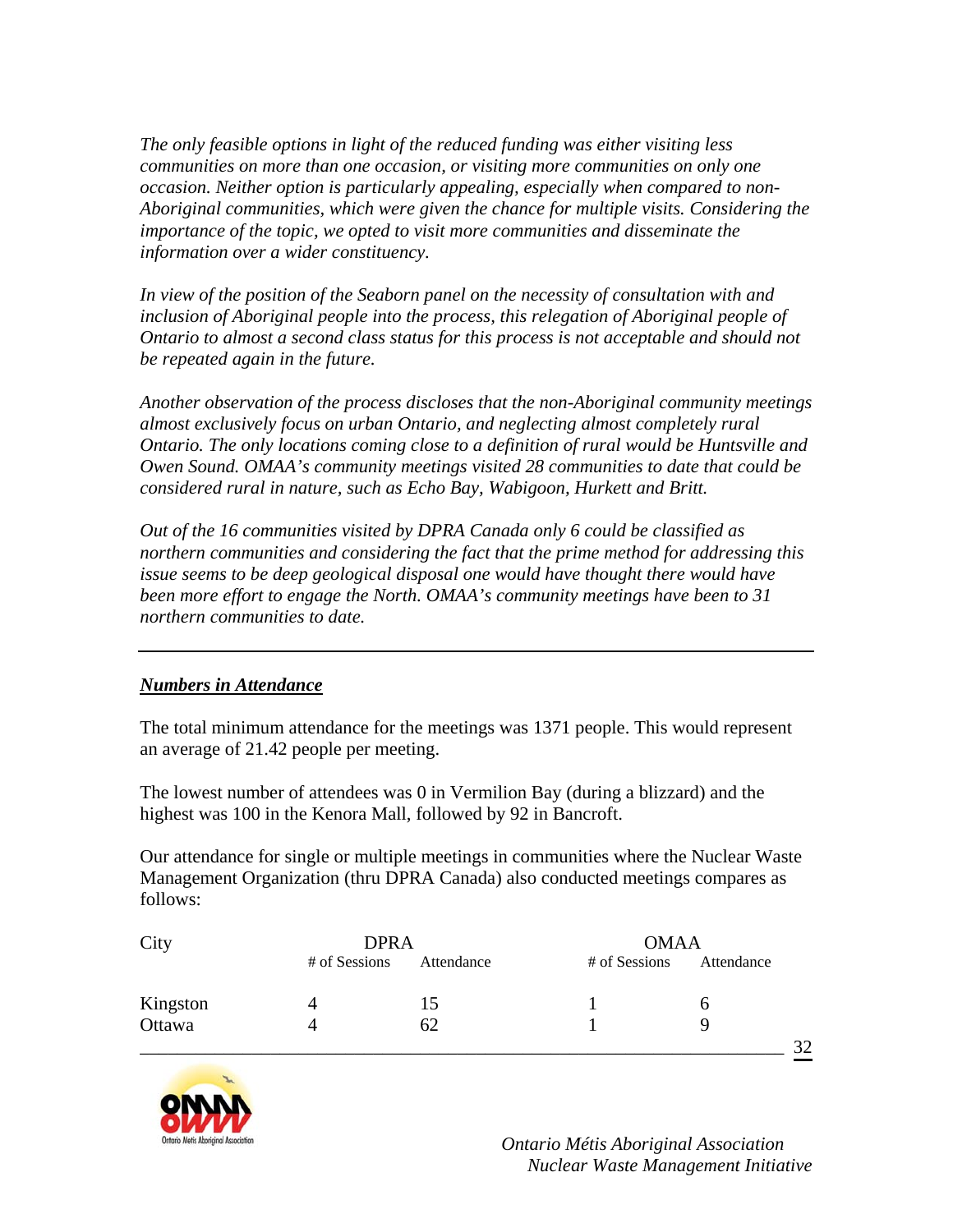*The only feasible options in light of the reduced funding was either visiting less communities on more than one occasion, or visiting more communities on only one occasion. Neither option is particularly appealing, especially when compared to non-Aboriginal communities, which were given the chance for multiple visits. Considering the importance of the topic, we opted to visit more communities and disseminate the information over a wider constituency.* 

*In view of the position of the Seaborn panel on the necessity of consultation with and*  inclusion of Aboriginal people into the process, this relegation of Aboriginal people of *Ontario to almost a second class status for this process is not acceptable and should not be repeated again in the future.* 

*Another observation of the process discloses that the non-Aboriginal community meetings almost exclusively focus on urban Ontario, and neglecting almost completely rural Ontario. The only locations coming close to a definition of rural would be Huntsville and Owen Sound. OMAA's community meetings visited 28 communities to date that could be considered rural in nature, such as Echo Bay, Wabigoon, Hurkett and Britt.* 

*Out of the 16 communities visited by DPRA Canada only 6 could be classified as northern communities and considering the fact that the prime method for addressing this issue seems to be deep geological disposal one would have thought there would have been more effort to engage the North. OMAA's community meetings have been to 31 northern communities to date.* 

### *Numbers in Attendance*

The total minimum attendance for the meetings was 1371 people. This would represent an average of 21.42 people per meeting.

The lowest number of attendees was 0 in Vermilion Bay (during a blizzard) and the highest was 100 in the Kenora Mall, followed by 92 in Bancroft.

Our attendance for single or multiple meetings in communities where the Nuclear Waste Management Organization (thru DPRA Canada) also conducted meetings compares as follows:

| City     | <b>DPRA</b>   |            | <b>OMAA</b>   |            |    |
|----------|---------------|------------|---------------|------------|----|
|          | # of Sessions | Attendance | # of Sessions | Attendance |    |
| Kingston |               | 15         |               |            |    |
| Ottawa   |               | 62         |               |            |    |
|          |               |            |               |            | 32 |

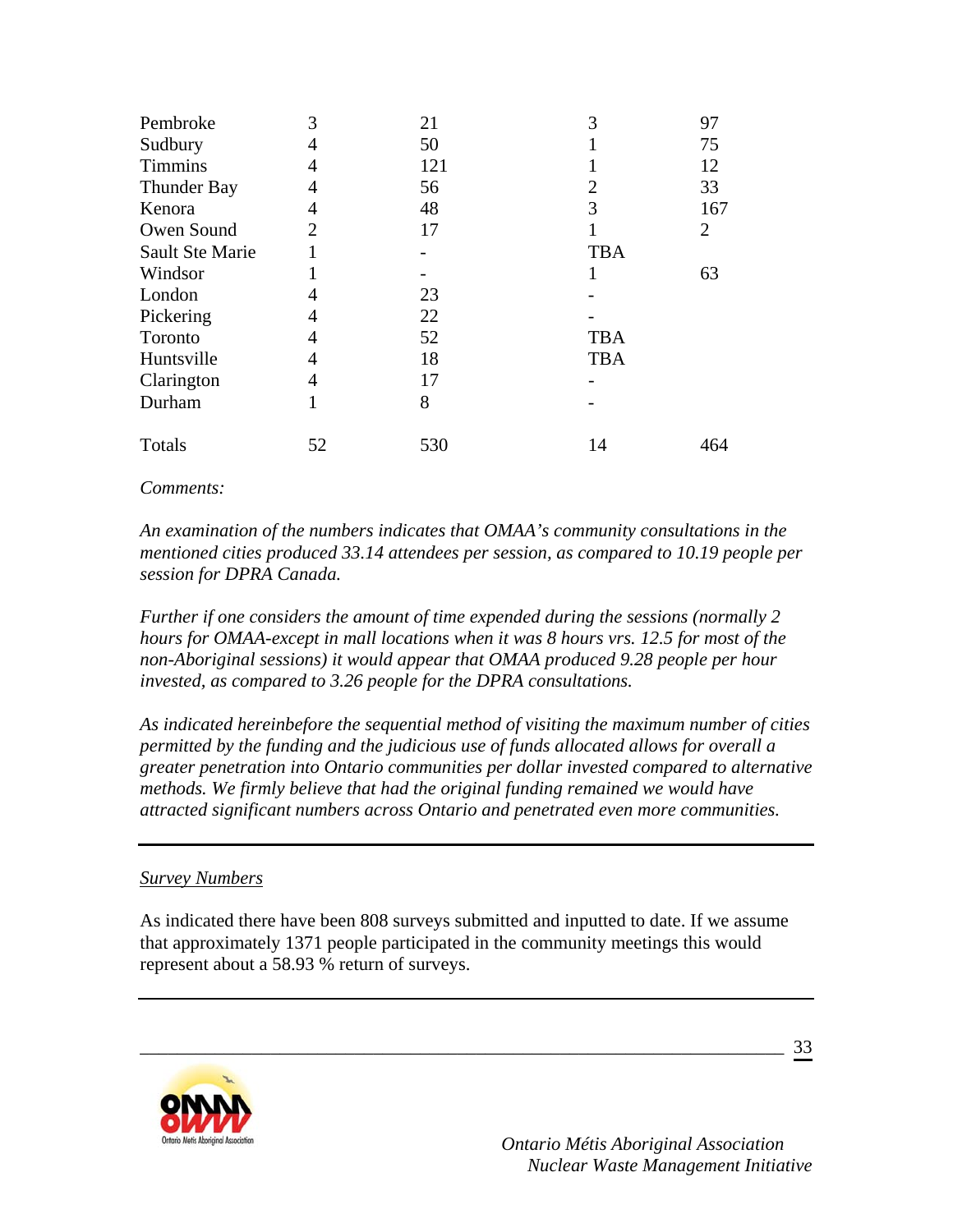| Pembroke               | 3  | 21  | 3          | 97             |
|------------------------|----|-----|------------|----------------|
| Sudbury                | 4  | 50  |            | 75             |
| <b>Timmins</b>         |    | 121 |            | 12             |
| <b>Thunder Bay</b>     | 4  | 56  | 2          | 33             |
| Kenora                 | 4  | 48  | 3          | 167            |
| Owen Sound             | 2  | 17  |            | $\overline{2}$ |
| <b>Sault Ste Marie</b> |    |     | <b>TBA</b> |                |
| Windsor                |    |     |            | 63             |
| London                 |    | 23  |            |                |
| Pickering              |    | 22  |            |                |
| Toronto                | 4  | 52  | <b>TBA</b> |                |
| Huntsville             | 4  | 18  | <b>TBA</b> |                |
| Clarington             |    | 17  |            |                |
| Durham                 |    | 8   |            |                |
| Totals                 | 52 | 530 | 14         | 464            |

#### *Comments:*

*An examination of the numbers indicates that OMAA's community consultations in the mentioned cities produced 33.14 attendees per session, as compared to 10.19 people per session for DPRA Canada.* 

*Further if one considers the amount of time expended during the sessions (normally 2 hours for OMAA-except in mall locations when it was 8 hours vrs. 12.5 for most of the non-Aboriginal sessions) it would appear that OMAA produced 9.28 people per hour invested, as compared to 3.26 people for the DPRA consultations.* 

*As indicated hereinbefore the sequential method of visiting the maximum number of cities permitted by the funding and the judicious use of funds allocated allows for overall a greater penetration into Ontario communities per dollar invested compared to alternative methods. We firmly believe that had the original funding remained we would have attracted significant numbers across Ontario and penetrated even more communities.* 

#### *Survey Numbers*

As indicated there have been 808 surveys submitted and inputted to date. If we assume that approximately 1371 people participated in the community meetings this would represent about a 58.93 % return of surveys.

\_\_\_\_\_\_\_\_\_\_\_\_\_\_\_\_\_\_\_\_\_\_\_\_\_\_\_\_\_\_\_\_\_\_\_\_\_\_\_\_\_\_\_\_\_\_\_\_\_\_\_\_\_\_\_\_\_\_\_\_\_\_\_\_\_\_\_\_\_



 *Ontario Métis Aboriginal Association Nuclear Waste Management Initiative*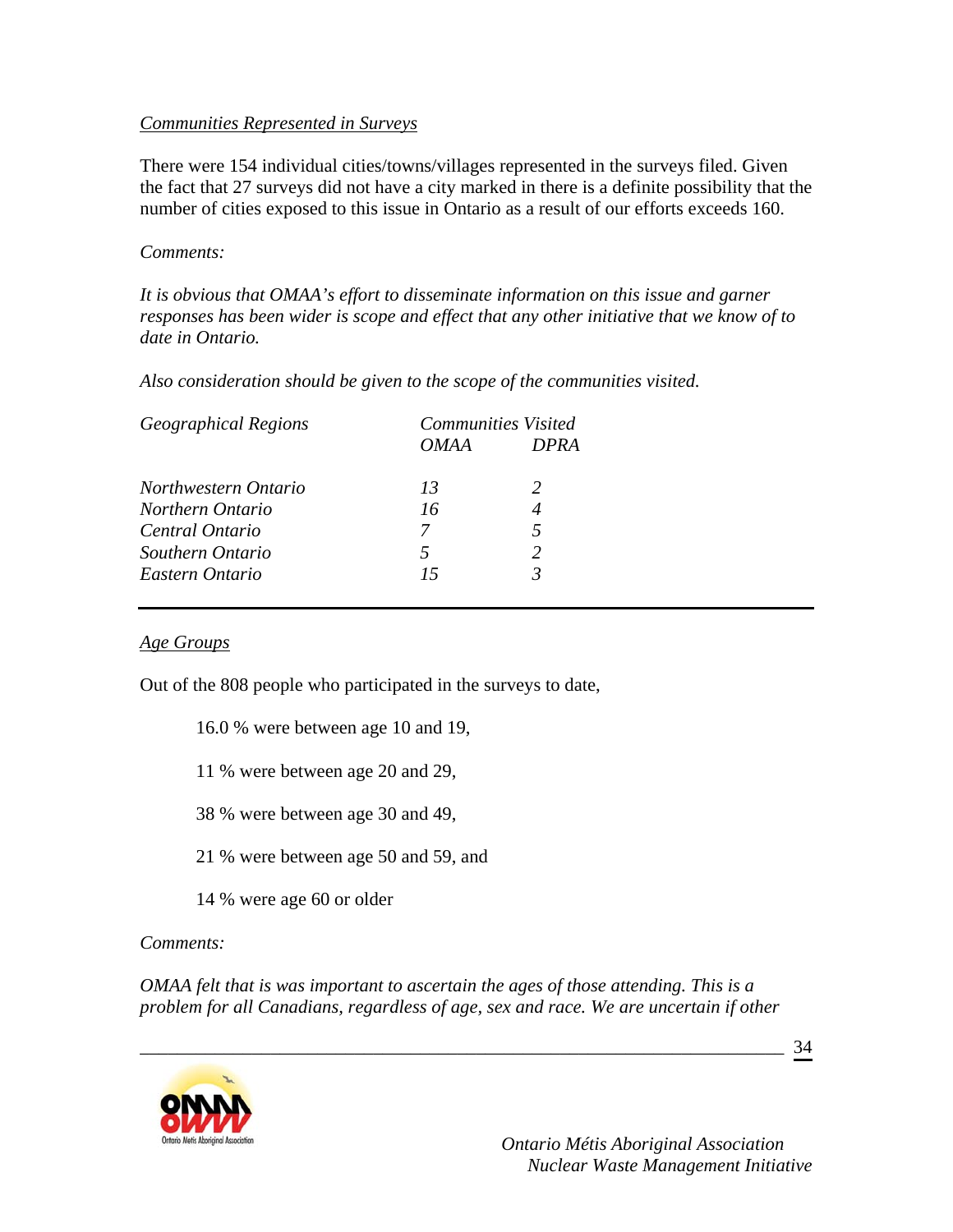### *Communities Represented in Surveys*

There were 154 individual cities/towns/villages represented in the surveys filed. Given the fact that 27 surveys did not have a city marked in there is a definite possibility that the number of cities exposed to this issue in Ontario as a result of our efforts exceeds 160.

### *Comments:*

*It is obvious that OMAA's effort to disseminate information on this issue and garner responses has been wider is scope and effect that any other initiative that we know of to date in Ontario.* 

*Also consideration should be given to the scope of the communities visited.* 

| <b>Geographical Regions</b> |             | <b>Communities Visited</b> |
|-----------------------------|-------------|----------------------------|
|                             | <i>OMAA</i> | <b>DPRA</b>                |
| Northwestern Ontario        | 13          |                            |
| Northern Ontario            | 16          |                            |
| Central Ontario             | 7           |                            |
| Southern Ontario            | 5           |                            |
| Eastern Ontario             | 15          |                            |

### *Age Groups*

Out of the 808 people who participated in the surveys to date,

- 16.0 % were between age 10 and 19,
- 11 % were between age 20 and 29,
- 38 % were between age 30 and 49,
- 21 % were between age 50 and 59, and
- 14 % were age 60 or older

## *Comments:*

*OMAA felt that is was important to ascertain the ages of those attending. This is a problem for all Canadians, regardless of age, sex and race. We are uncertain if other* 

\_\_\_\_\_\_\_\_\_\_\_\_\_\_\_\_\_\_\_\_\_\_\_\_\_\_\_\_\_\_\_\_\_\_\_\_\_\_\_\_\_\_\_\_\_\_\_\_\_\_\_\_\_\_\_\_\_\_\_\_\_\_\_\_\_\_\_\_\_

34

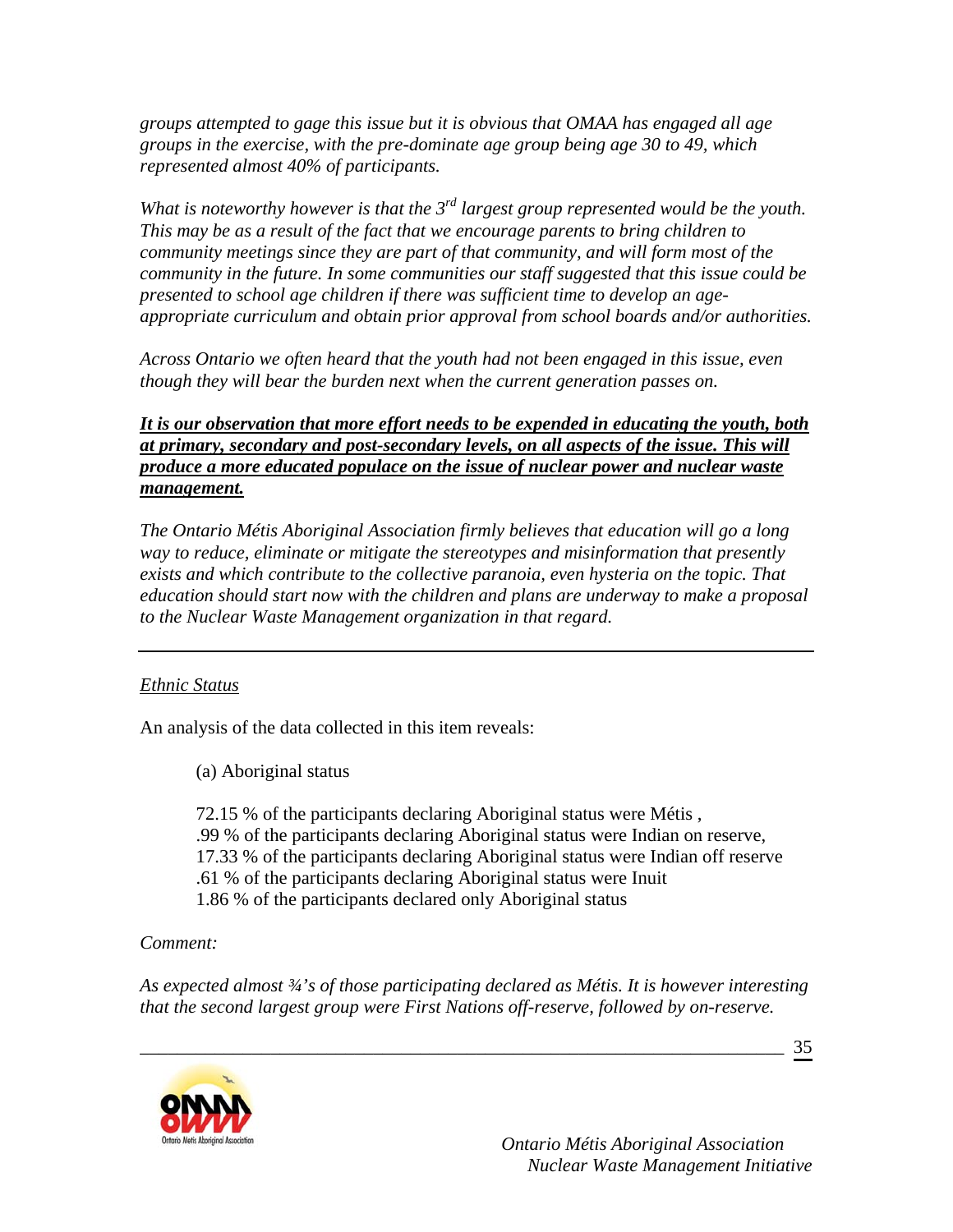*groups attempted to gage this issue but it is obvious that OMAA has engaged all age groups in the exercise, with the pre-dominate age group being age 30 to 49, which represented almost 40% of participants.* 

*What is noteworthy however is that the 3rd largest group represented would be the youth. This may be as a result of the fact that we encourage parents to bring children to community meetings since they are part of that community, and will form most of the community in the future. In some communities our staff suggested that this issue could be presented to school age children if there was sufficient time to develop an ageappropriate curriculum and obtain prior approval from school boards and/or authorities.* 

*Across Ontario we often heard that the youth had not been engaged in this issue, even though they will bear the burden next when the current generation passes on.* 

*It is our observation that more effort needs to be expended in educating the youth, both at primary, secondary and post-secondary levels, on all aspects of the issue. This will produce a more educated populace on the issue of nuclear power and nuclear waste management.*

*The Ontario Métis Aboriginal Association firmly believes that education will go a long way to reduce, eliminate or mitigate the stereotypes and misinformation that presently exists and which contribute to the collective paranoia, even hysteria on the topic. That education should start now with the children and plans are underway to make a proposal to the Nuclear Waste Management organization in that regard.* 

## *Ethnic Status*

An analysis of the data collected in this item reveals:

(a) Aboriginal status

 72.15 % of the participants declaring Aboriginal status were Métis , .99 % of the participants declaring Aboriginal status were Indian on reserve, 17.33 % of the participants declaring Aboriginal status were Indian off reserve .61 % of the participants declaring Aboriginal status were Inuit 1.86 % of the participants declared only Aboriginal status

## *Comment:*

*As expected almost ¾'s of those participating declared as Métis. It is however interesting that the second largest group were First Nations off-reserve, followed by on-reserve.* 

\_\_\_\_\_\_\_\_\_\_\_\_\_\_\_\_\_\_\_\_\_\_\_\_\_\_\_\_\_\_\_\_\_\_\_\_\_\_\_\_\_\_\_\_\_\_\_\_\_\_\_\_\_\_\_\_\_\_\_\_\_\_\_\_\_\_\_\_\_

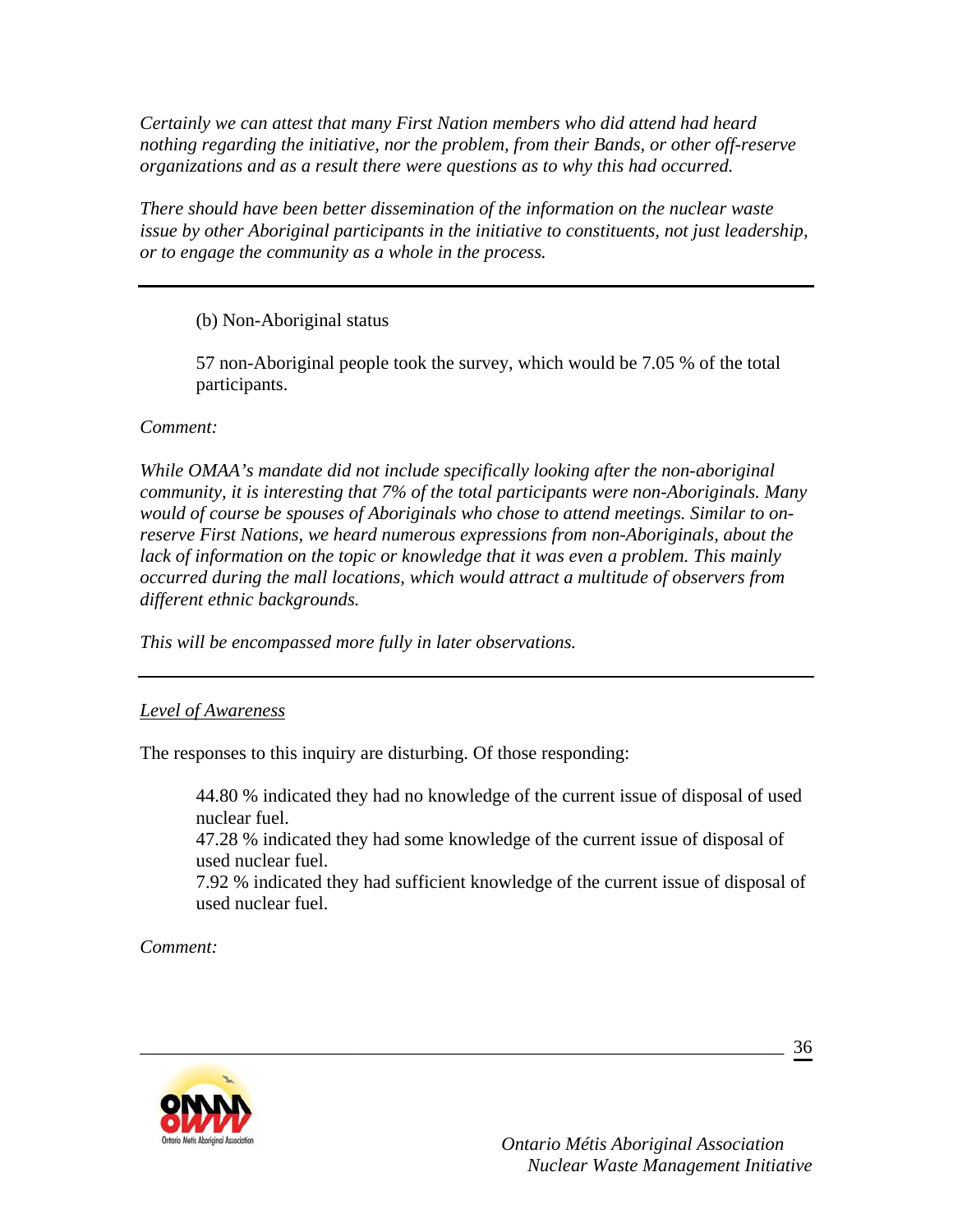*Certainly we can attest that many First Nation members who did attend had heard nothing regarding the initiative, nor the problem, from their Bands, or other off-reserve organizations and as a result there were questions as to why this had occurred.* 

*There should have been better dissemination of the information on the nuclear waste issue by other Aboriginal participants in the initiative to constituents, not just leadership, or to engage the community as a whole in the process.* 

(b) Non-Aboriginal status

57 non-Aboriginal people took the survey, which would be 7.05 % of the total participants.

*Comment:* 

*While OMAA's mandate did not include specifically looking after the non-aboriginal community, it is interesting that 7% of the total participants were non-Aboriginals. Many would of course be spouses of Aboriginals who chose to attend meetings. Similar to onreserve First Nations, we heard numerous expressions from non-Aboriginals, about the*  lack of information on the topic or knowledge that it was even a problem. This mainly *occurred during the mall locations, which would attract a multitude of observers from different ethnic backgrounds.* 

*This will be encompassed more fully in later observations.* 

*Level of Awareness*

The responses to this inquiry are disturbing. Of those responding:

44.80 % indicated they had no knowledge of the current issue of disposal of used nuclear fuel.

47.28 % indicated they had some knowledge of the current issue of disposal of used nuclear fuel.

\_\_\_\_\_\_\_\_\_\_\_\_\_\_\_\_\_\_\_\_\_\_\_\_\_\_\_\_\_\_\_\_\_\_\_\_\_\_\_\_\_\_\_\_\_\_\_\_\_\_\_\_\_\_\_\_\_\_\_\_\_\_\_\_\_\_\_\_\_

7.92 % indicated they had sufficient knowledge of the current issue of disposal of used nuclear fuel.

*Comment:* 

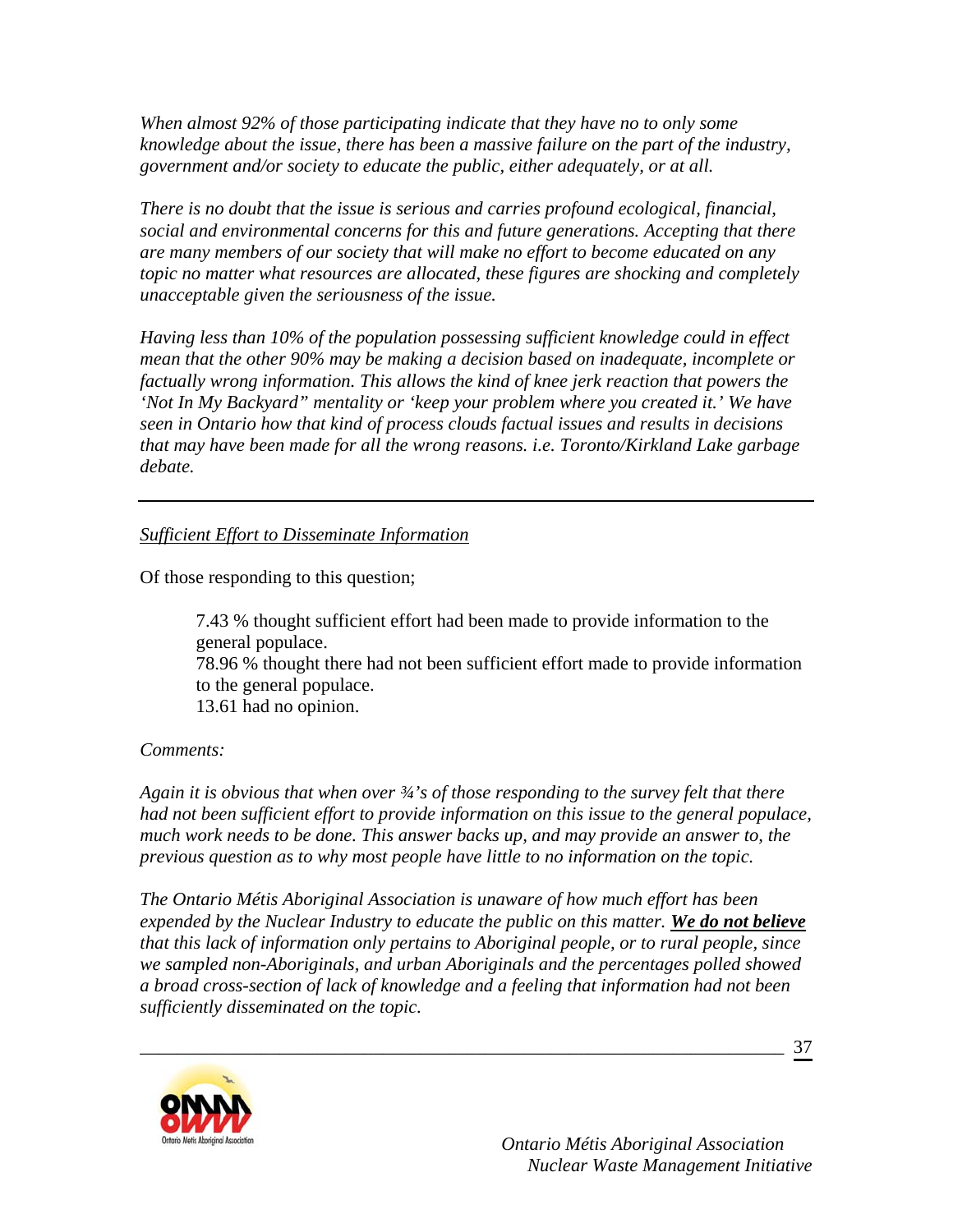*When almost 92% of those participating indicate that they have no to only some knowledge about the issue, there has been a massive failure on the part of the industry, government and/or society to educate the public, either adequately, or at all.* 

*There is no doubt that the issue is serious and carries profound ecological, financial, social and environmental concerns for this and future generations. Accepting that there are many members of our society that will make no effort to become educated on any topic no matter what resources are allocated, these figures are shocking and completely unacceptable given the seriousness of the issue.* 

*Having less than 10% of the population possessing sufficient knowledge could in effect mean that the other 90% may be making a decision based on inadequate, incomplete or factually wrong information. This allows the kind of knee jerk reaction that powers the 'Not In My Backyard" mentality or 'keep your problem where you created it.' We have seen in Ontario how that kind of process clouds factual issues and results in decisions that may have been made for all the wrong reasons. i.e. Toronto/Kirkland Lake garbage debate.* 

### *Sufficient Effort to Disseminate Information*

Of those responding to this question;

7.43 % thought sufficient effort had been made to provide information to the general populace. 78.96 % thought there had not been sufficient effort made to provide information to the general populace. 13.61 had no opinion.

### *Comments:*

*Again it is obvious that when over ¾'s of those responding to the survey felt that there had not been sufficient effort to provide information on this issue to the general populace, much work needs to be done. This answer backs up, and may provide an answer to, the previous question as to why most people have little to no information on the topic.* 

*The Ontario Métis Aboriginal Association is unaware of how much effort has been expended by the Nuclear Industry to educate the public on this matter. We do not believe that this lack of information only pertains to Aboriginal people, or to rural people, since we sampled non-Aboriginals, and urban Aboriginals and the percentages polled showed a broad cross-section of lack of knowledge and a feeling that information had not been sufficiently disseminated on the topic.* 

\_\_\_\_\_\_\_\_\_\_\_\_\_\_\_\_\_\_\_\_\_\_\_\_\_\_\_\_\_\_\_\_\_\_\_\_\_\_\_\_\_\_\_\_\_\_\_\_\_\_\_\_\_\_\_\_\_\_\_\_\_\_\_\_\_\_\_\_\_

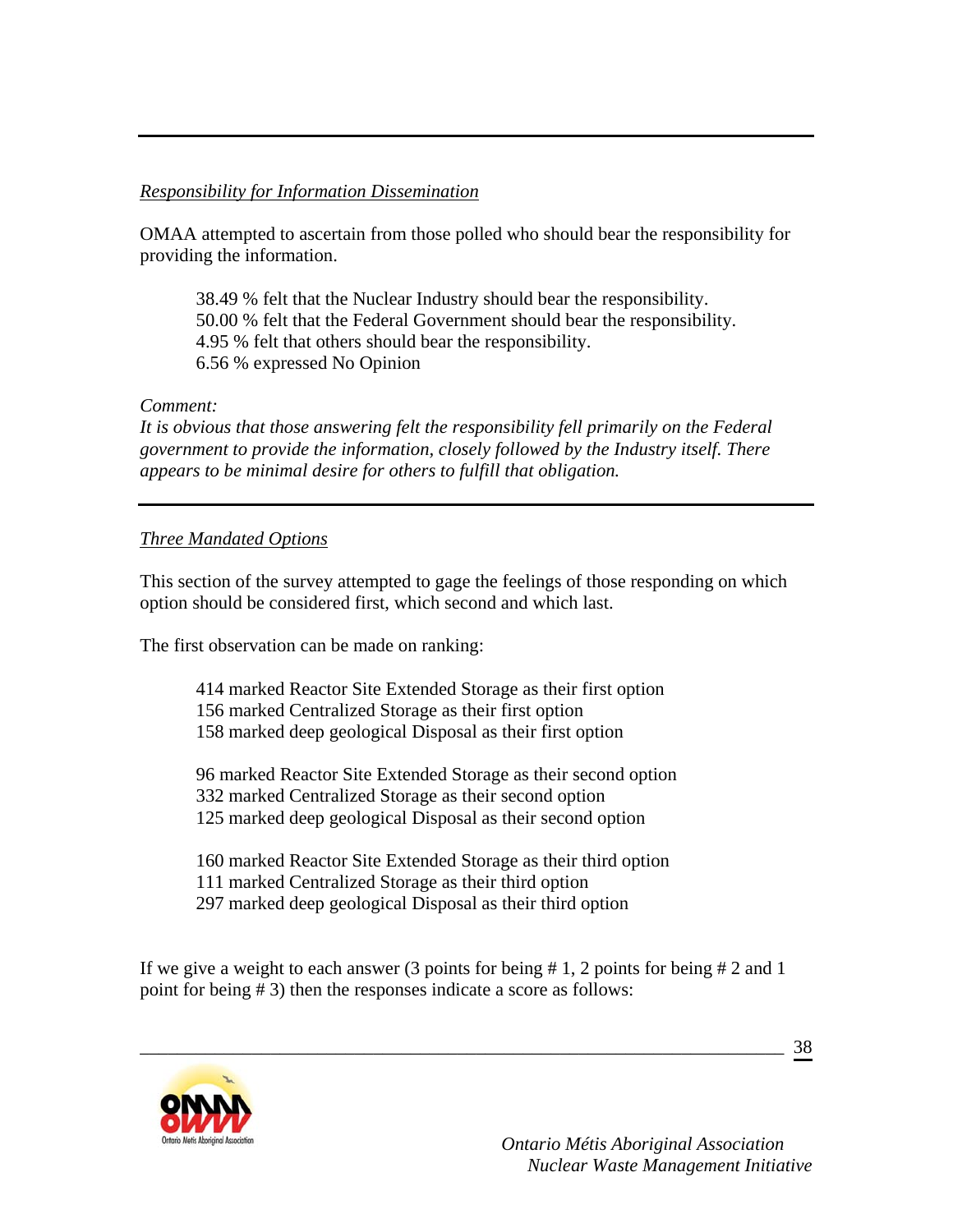### *Responsibility for Information Dissemination*

OMAA attempted to ascertain from those polled who should bear the responsibility for providing the information.

 38.49 % felt that the Nuclear Industry should bear the responsibility. 50.00 % felt that the Federal Government should bear the responsibility. 4.95 % felt that others should bear the responsibility. 6.56 % expressed No Opinion

### *Comment:*

*It is obvious that those answering felt the responsibility fell primarily on the Federal government to provide the information, closely followed by the Industry itself. There appears to be minimal desire for others to fulfill that obligation.* 

## *Three Mandated Options*

This section of the survey attempted to gage the feelings of those responding on which option should be considered first, which second and which last.

The first observation can be made on ranking:

 414 marked Reactor Site Extended Storage as their first option 156 marked Centralized Storage as their first option 158 marked deep geological Disposal as their first option

96 marked Reactor Site Extended Storage as their second option 332 marked Centralized Storage as their second option 125 marked deep geological Disposal as their second option

160 marked Reactor Site Extended Storage as their third option 111 marked Centralized Storage as their third option 297 marked deep geological Disposal as their third option

If we give a weight to each answer (3 points for being  $\# 1$ , 2 points for being  $\# 2$  and 1 point for being # 3) then the responses indicate a score as follows:

\_\_\_\_\_\_\_\_\_\_\_\_\_\_\_\_\_\_\_\_\_\_\_\_\_\_\_\_\_\_\_\_\_\_\_\_\_\_\_\_\_\_\_\_\_\_\_\_\_\_\_\_\_\_\_\_\_\_\_\_\_\_\_\_\_\_\_\_\_

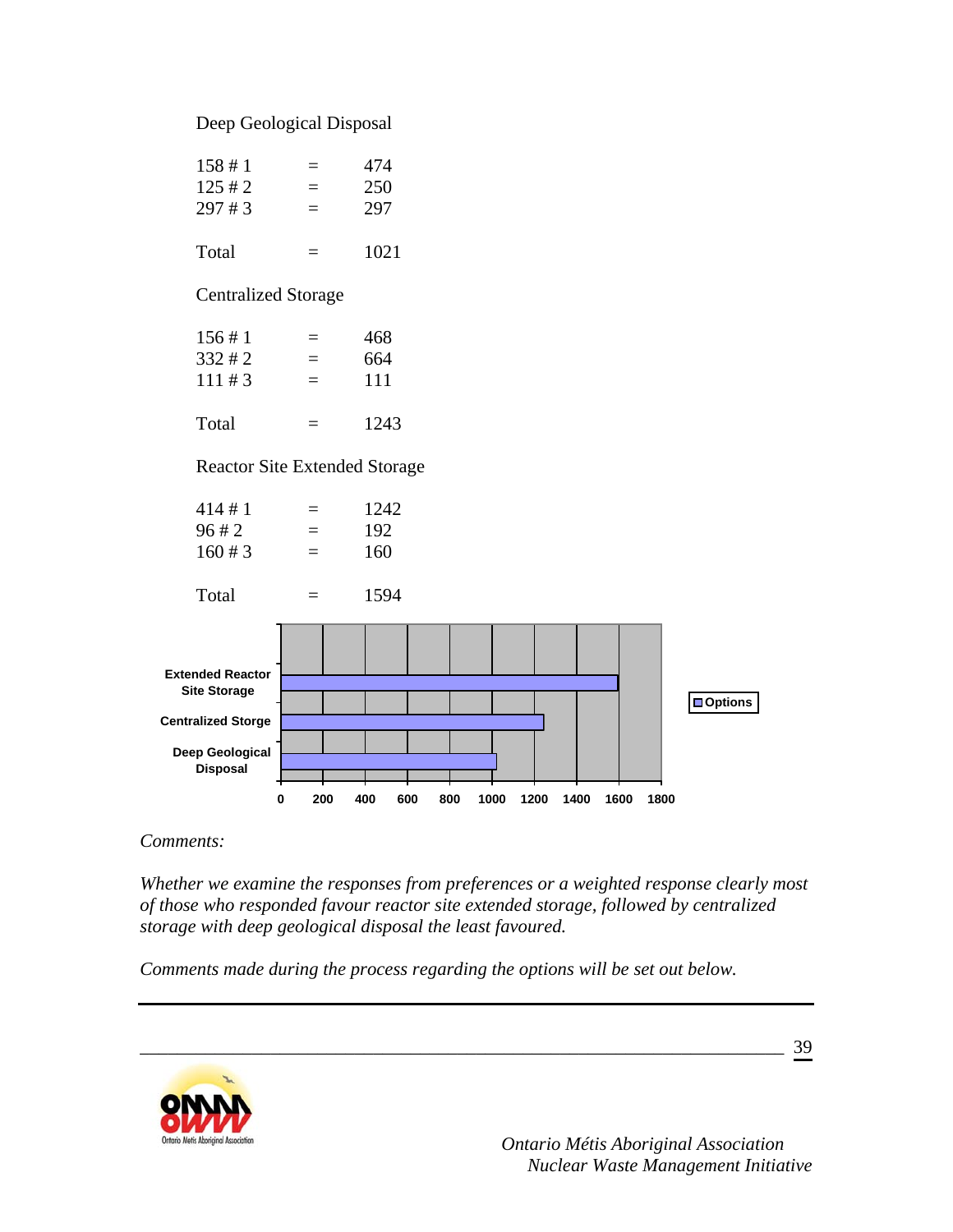### Deep Geological Disposal



*Comments:* 

*Whether we examine the responses from preferences or a weighted response clearly most of those who responded favour reactor site extended storage, followed by centralized storage with deep geological disposal the least favoured.* 

\_\_\_\_\_\_\_\_\_\_\_\_\_\_\_\_\_\_\_\_\_\_\_\_\_\_\_\_\_\_\_\_\_\_\_\_\_\_\_\_\_\_\_\_\_\_\_\_\_\_\_\_\_\_\_\_\_\_\_\_\_\_\_\_\_\_\_\_\_

*Comments made during the process regarding the options will be set out below.* 

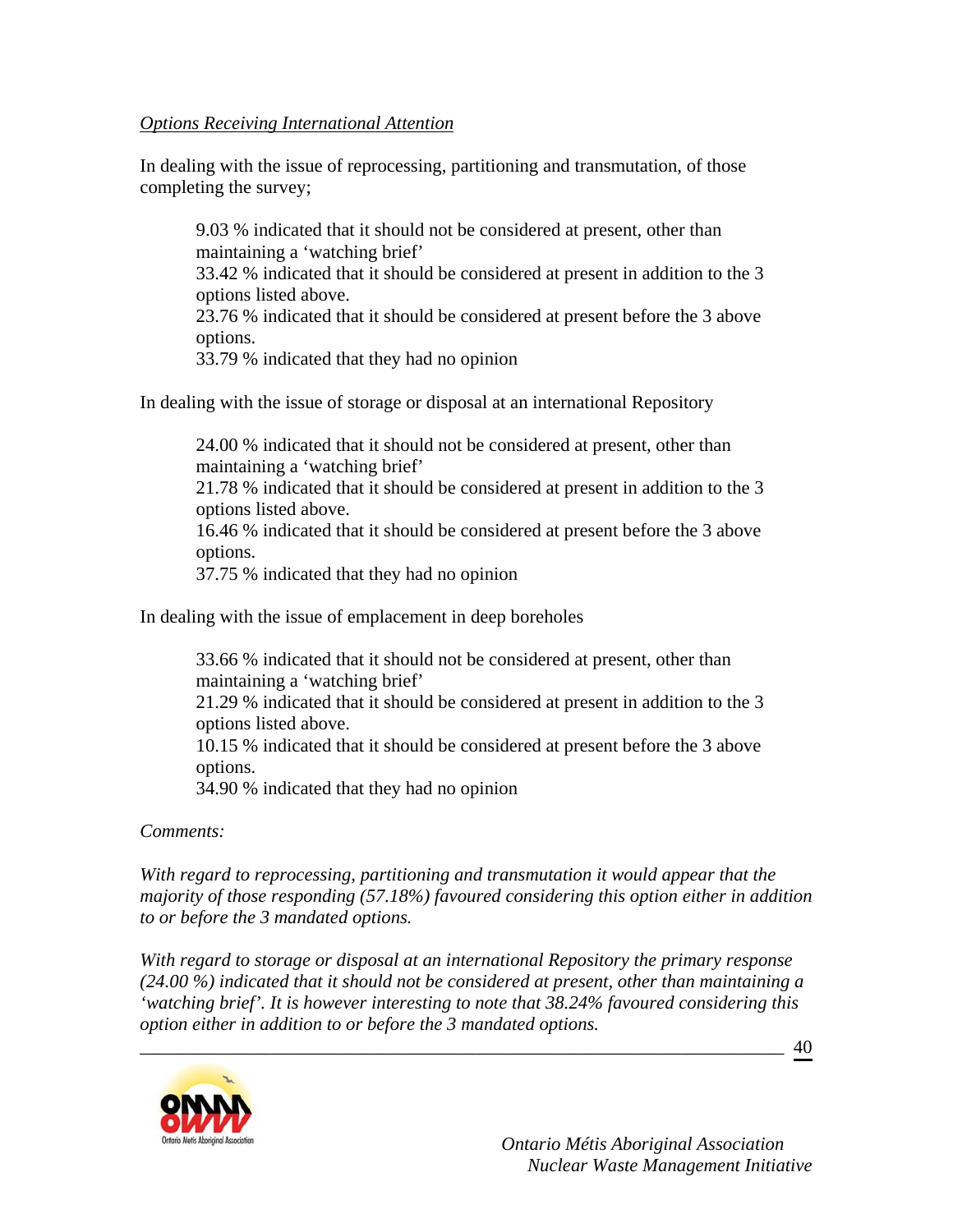#### *Options Receiving International Attention*

In dealing with the issue of reprocessing, partitioning and transmutation, of those completing the survey;

9.03 % indicated that it should not be considered at present, other than maintaining a 'watching brief' 33.42 % indicated that it should be considered at present in addition to the 3 options listed above. 23.76 % indicated that it should be considered at present before the 3 above options.

33.79 % indicated that they had no opinion

In dealing with the issue of storage or disposal at an international Repository

24.00 % indicated that it should not be considered at present, other than maintaining a 'watching brief'

21.78 % indicated that it should be considered at present in addition to the 3 options listed above.

16.46 % indicated that it should be considered at present before the 3 above options.

37.75 % indicated that they had no opinion

In dealing with the issue of emplacement in deep boreholes

33.66 % indicated that it should not be considered at present, other than maintaining a 'watching brief' 21.29 % indicated that it should be considered at present in addition to the 3 options listed above. 10.15 % indicated that it should be considered at present before the 3 above options. 34.90 % indicated that they had no opinion

*Comments:* 

*With regard to reprocessing, partitioning and transmutation it would appear that the majority of those responding (57.18%) favoured considering this option either in addition to or before the 3 mandated options.* 

*With regard to storage or disposal at an international Repository the primary response (24.00 %) indicated that it should not be considered at present, other than maintaining a 'watching brief'. It is however interesting to note that 38.24% favoured considering this option either in addition to or before the 3 mandated options.* 

\_\_\_\_\_\_\_\_\_\_\_\_\_\_\_\_\_\_\_\_\_\_\_\_\_\_\_\_\_\_\_\_\_\_\_\_\_\_\_\_\_\_\_\_\_\_\_\_\_\_\_\_\_\_\_\_\_\_\_\_\_\_\_\_\_\_\_\_\_

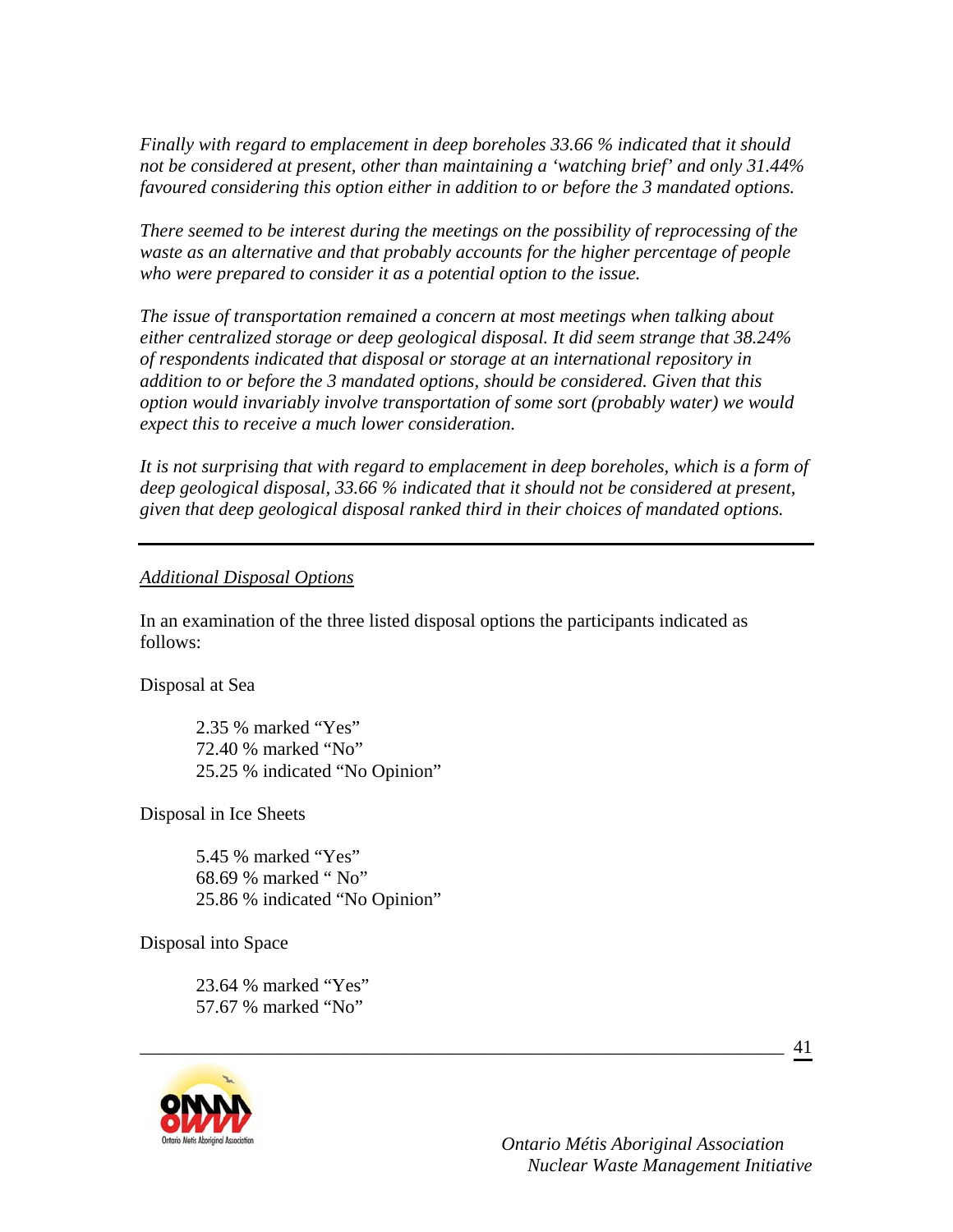*Finally with regard to emplacement in deep boreholes 33.66 % indicated that it should not be considered at present, other than maintaining a 'watching brief' and only 31.44% favoured considering this option either in addition to or before the 3 mandated options.* 

*There seemed to be interest during the meetings on the possibility of reprocessing of the waste as an alternative and that probably accounts for the higher percentage of people who were prepared to consider it as a potential option to the issue.* 

*The issue of transportation remained a concern at most meetings when talking about either centralized storage or deep geological disposal. It did seem strange that 38.24% of respondents indicated that disposal or storage at an international repository in addition to or before the 3 mandated options, should be considered. Given that this option would invariably involve transportation of some sort (probably water) we would expect this to receive a much lower consideration.* 

It is not surprising that with regard to emplacement in deep boreholes, which is a form of *deep geological disposal, 33.66 % indicated that it should not be considered at present, given that deep geological disposal ranked third in their choices of mandated options.* 

#### *Additional Disposal Options*

In an examination of the three listed disposal options the participants indicated as follows:

\_\_\_\_\_\_\_\_\_\_\_\_\_\_\_\_\_\_\_\_\_\_\_\_\_\_\_\_\_\_\_\_\_\_\_\_\_\_\_\_\_\_\_\_\_\_\_\_\_\_\_\_\_\_\_\_\_\_\_\_\_\_\_\_\_\_\_\_\_

Disposal at Sea

 2.35 % marked "Yes" 72.40 % marked "No" 25.25 % indicated "No Opinion"

Disposal in Ice Sheets

5.45 % marked "Yes" 68.69 % marked " No" 25.86 % indicated "No Opinion"

Disposal into Space

23.64 % marked "Yes" 57.67 % marked "No"



 *Ontario Métis Aboriginal Association Nuclear Waste Management Initiative*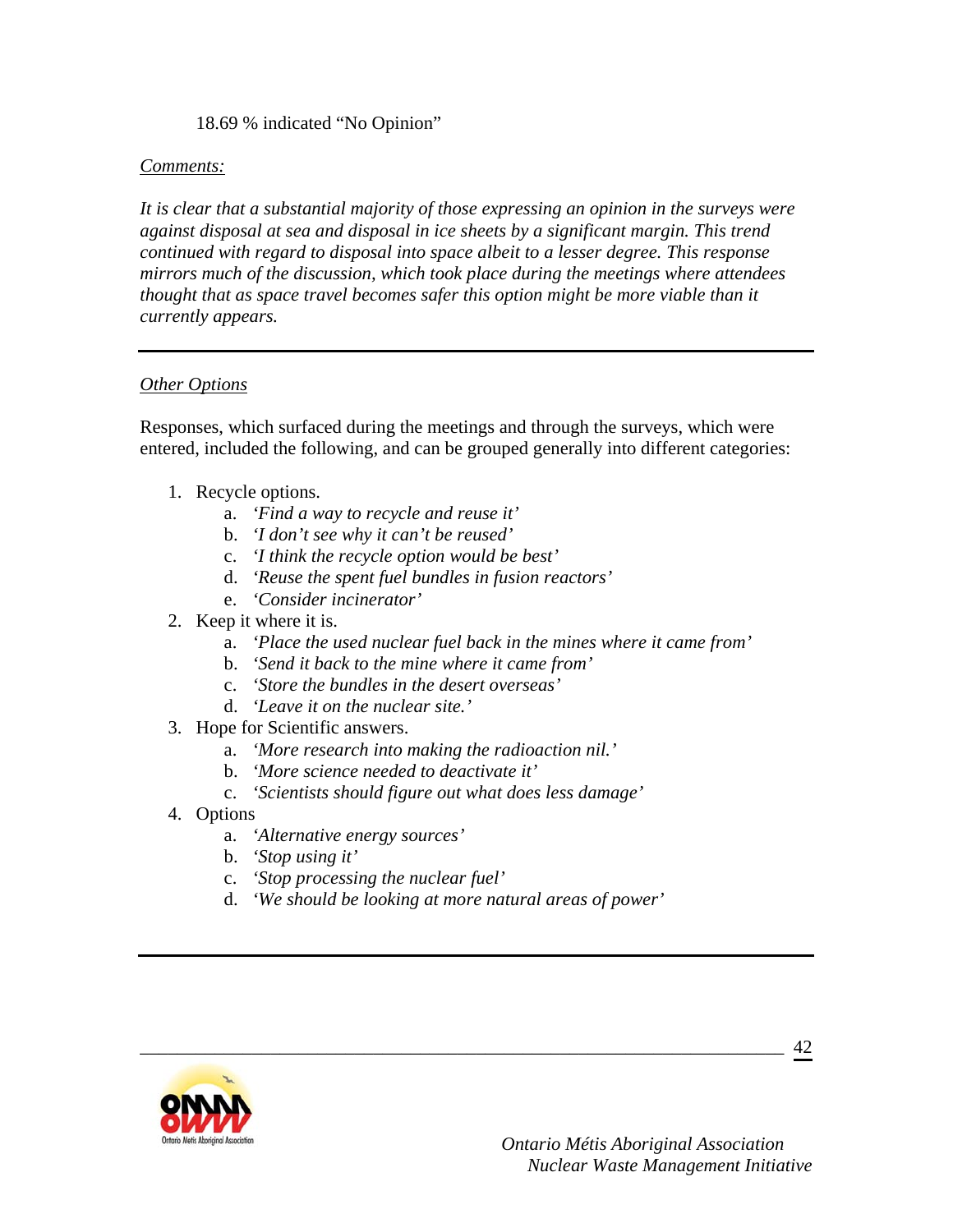### 18.69 % indicated "No Opinion"

#### *Comments:*

*It is clear that a substantial majority of those expressing an opinion in the surveys were against disposal at sea and disposal in ice sheets by a significant margin. This trend continued with regard to disposal into space albeit to a lesser degree. This response mirrors much of the discussion, which took place during the meetings where attendees thought that as space travel becomes safer this option might be more viable than it currently appears.* 

#### *Other Options*

Responses, which surfaced during the meetings and through the surveys, which were entered, included the following, and can be grouped generally into different categories:

- 1. Recycle options.
	- a. *'Find a way to recycle and reuse it'*
	- b. *'I don't see why it can't be reused'*
	- c. *'I think the recycle option would be best'*
	- d. *'Reuse the spent fuel bundles in fusion reactors'*
	- e. *'Consider incinerator'*
- 2. Keep it where it is.
	- a. *'Place the used nuclear fuel back in the mines where it came from'*
	- b. *'Send it back to the mine where it came from'*
	- c. *'Store the bundles in the desert overseas'*
	- d. *'Leave it on the nuclear site.'*
- 3. Hope for Scientific answers.
	- a. *'More research into making the radioaction nil.'*
	- b. *'More science needed to deactivate it'*
	- c. *'Scientists should figure out what does less damage'*
- 4. Options
	- a. *'Alternative energy sources'*
	- b. *'Stop using it'*
	- c. *'Stop processing the nuclear fuel'*
	- d. *'We should be looking at more natural areas of power'*

\_\_\_\_\_\_\_\_\_\_\_\_\_\_\_\_\_\_\_\_\_\_\_\_\_\_\_\_\_\_\_\_\_\_\_\_\_\_\_\_\_\_\_\_\_\_\_\_\_\_\_\_\_\_\_\_\_\_\_\_\_\_\_\_\_\_\_\_\_

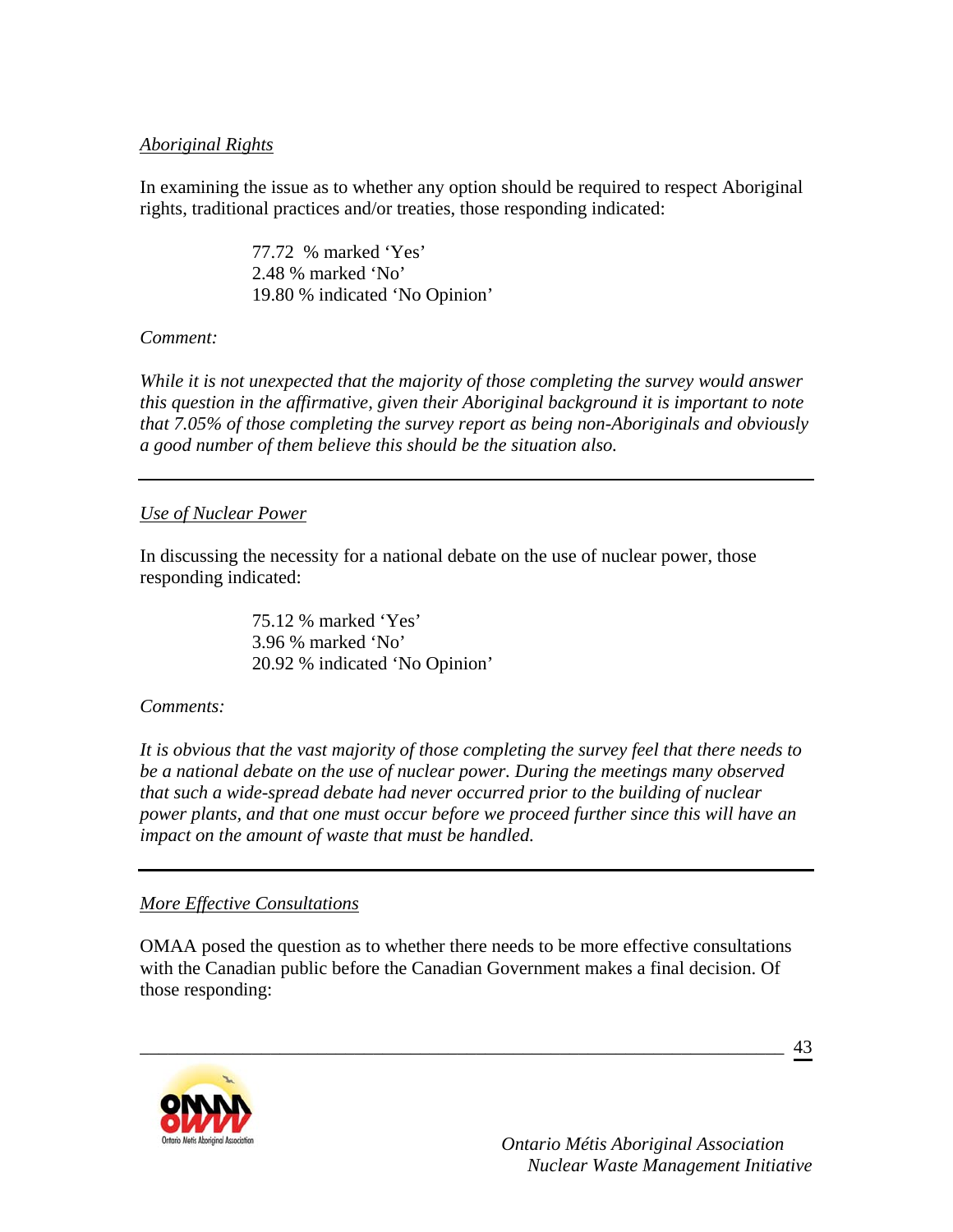### *Aboriginal Rights*

In examining the issue as to whether any option should be required to respect Aboriginal rights, traditional practices and/or treaties, those responding indicated:

> 77.72 % marked 'Yes' 2.48 % marked 'No' 19.80 % indicated 'No Opinion'

### *Comment:*

*While it is not unexpected that the majority of those completing the survey would answer this question in the affirmative, given their Aboriginal background it is important to note that 7.05% of those completing the survey report as being non-Aboriginals and obviously a good number of them believe this should be the situation also.* 

### *Use of Nuclear Power*

In discussing the necessity for a national debate on the use of nuclear power, those responding indicated:

> 75.12 % marked 'Yes' 3.96 % marked 'No' 20.92 % indicated 'No Opinion'

## *Comments:*

*It is obvious that the vast majority of those completing the survey feel that there needs to be a national debate on the use of nuclear power. During the meetings many observed that such a wide-spread debate had never occurred prior to the building of nuclear power plants, and that one must occur before we proceed further since this will have an impact on the amount of waste that must be handled.* 

## *More Effective Consultations*

OMAA posed the question as to whether there needs to be more effective consultations with the Canadian public before the Canadian Government makes a final decision. Of those responding:

\_\_\_\_\_\_\_\_\_\_\_\_\_\_\_\_\_\_\_\_\_\_\_\_\_\_\_\_\_\_\_\_\_\_\_\_\_\_\_\_\_\_\_\_\_\_\_\_\_\_\_\_\_\_\_\_\_\_\_\_\_\_\_\_\_\_\_\_\_

43

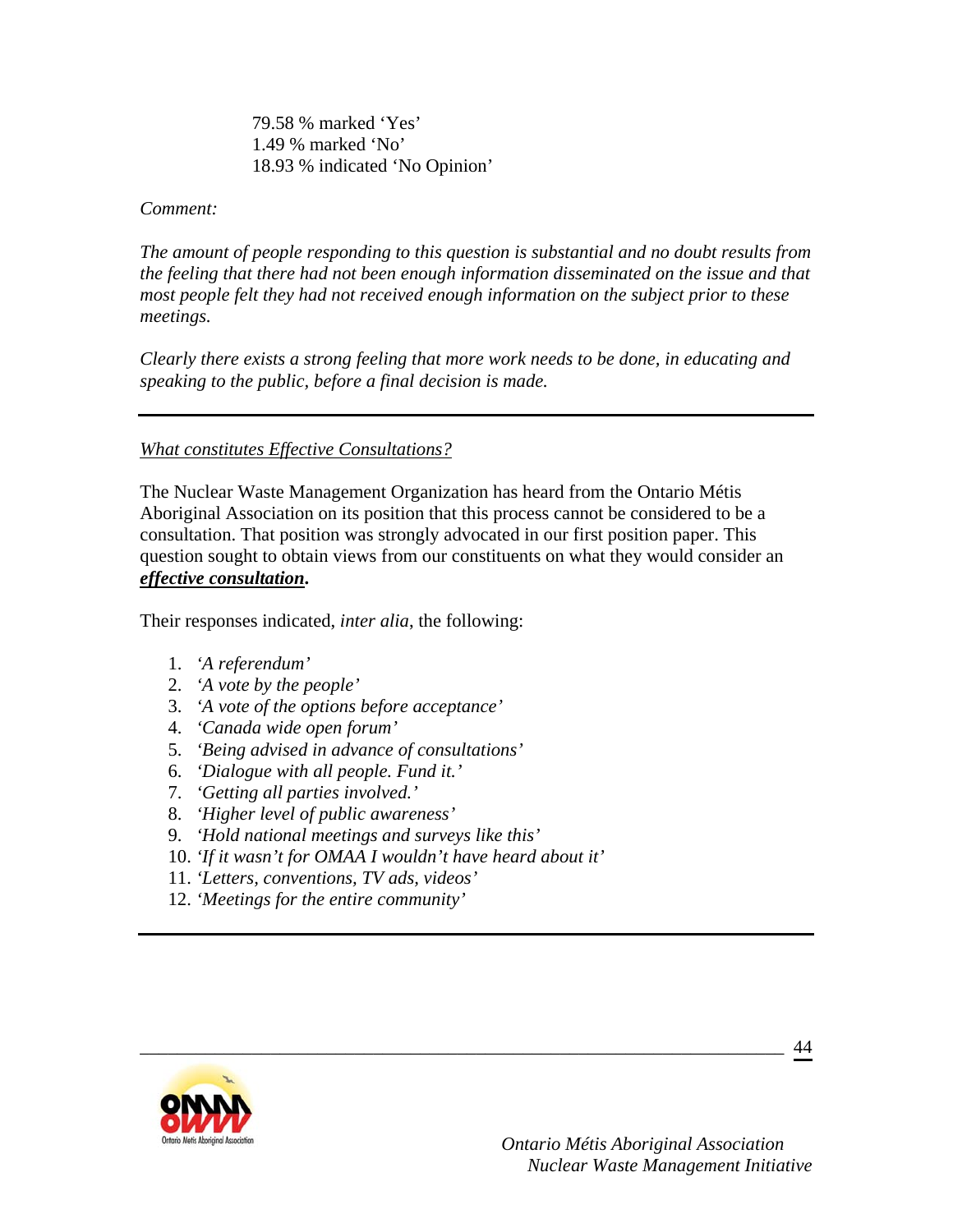79.58 % marked 'Yes' 1.49 % marked 'No' 18.93 % indicated 'No Opinion'

#### *Comment:*

*The amount of people responding to this question is substantial and no doubt results from the feeling that there had not been enough information disseminated on the issue and that most people felt they had not received enough information on the subject prior to these meetings.* 

*Clearly there exists a strong feeling that more work needs to be done, in educating and speaking to the public, before a final decision is made.* 

### *What constitutes Effective Consultations?*

The Nuclear Waste Management Organization has heard from the Ontario Métis Aboriginal Association on its position that this process cannot be considered to be a consultation. That position was strongly advocated in our first position paper. This question sought to obtain views from our constituents on what they would consider an *effective consultation***.** 

\_\_\_\_\_\_\_\_\_\_\_\_\_\_\_\_\_\_\_\_\_\_\_\_\_\_\_\_\_\_\_\_\_\_\_\_\_\_\_\_\_\_\_\_\_\_\_\_\_\_\_\_\_\_\_\_\_\_\_\_\_\_\_\_\_\_\_\_\_

Their responses indicated, *inter alia*, the following:

- 1. *'A referendum'*
- 2. *'A vote by the people'*
- 3. *'A vote of the options before acceptance'*
- 4. *'Canada wide open forum'*
- 5. *'Being advised in advance of consultations'*
- 6. *'Dialogue with all people. Fund it.'*
- 7. *'Getting all parties involved.'*
- 8. *'Higher level of public awareness'*
- 9. *'Hold national meetings and surveys like this'*
- 10. *'If it wasn't for OMAA I wouldn't have heard about it'*
- 11. *'Letters, conventions, TV ads, videos'*
- 12. *'Meetings for the entire community'*

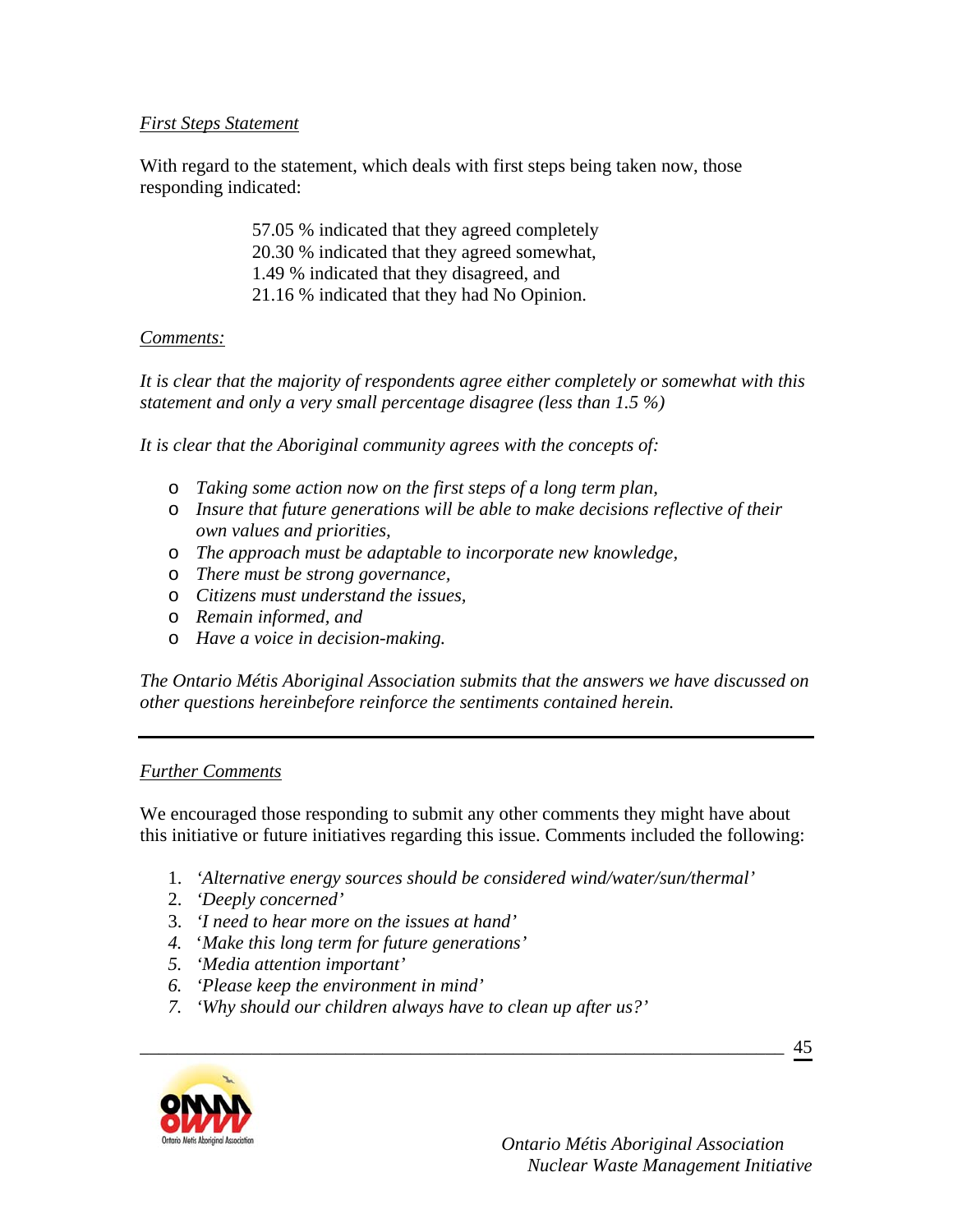### *First Steps Statement*

With regard to the statement, which deals with first steps being taken now, those responding indicated:

> 57.05 % indicated that they agreed completely 20.30 % indicated that they agreed somewhat, 1.49 % indicated that they disagreed, and 21.16 % indicated that they had No Opinion.

### *Comments:*

*It is clear that the majority of respondents agree either completely or somewhat with this statement and only a very small percentage disagree (less than 1.5 %)* 

*It is clear that the Aboriginal community agrees with the concepts of:* 

- o *Taking some action now on the first steps of a long term plan,*
- o *Insure that future generations will be able to make decisions reflective of their own values and priorities,*
- o *The approach must be adaptable to incorporate new knowledge,*
- o *There must be strong governance,*
- o *Citizens must understand the issues,*
- o *Remain informed, and*
- o *Have a voice in decision-making.*

*The Ontario Métis Aboriginal Association submits that the answers we have discussed on other questions hereinbefore reinforce the sentiments contained herein.* 

## *Further Comments*

We encouraged those responding to submit any other comments they might have about this initiative or future initiatives regarding this issue. Comments included the following:

1. *'Alternative energy sources should be considered wind/water/sun/thermal'*

\_\_\_\_\_\_\_\_\_\_\_\_\_\_\_\_\_\_\_\_\_\_\_\_\_\_\_\_\_\_\_\_\_\_\_\_\_\_\_\_\_\_\_\_\_\_\_\_\_\_\_\_\_\_\_\_\_\_\_\_\_\_\_\_\_\_\_\_\_

- 2. *'Deeply concerned'*
- 3. *'I need to hear more on the issues at hand'*
- *4.* '*Make this long term for future generations'*
- *5. 'Media attention important'*
- *6. 'Please keep the environment in mind'*
- *7. 'Why should our children always have to clean up after us?'*



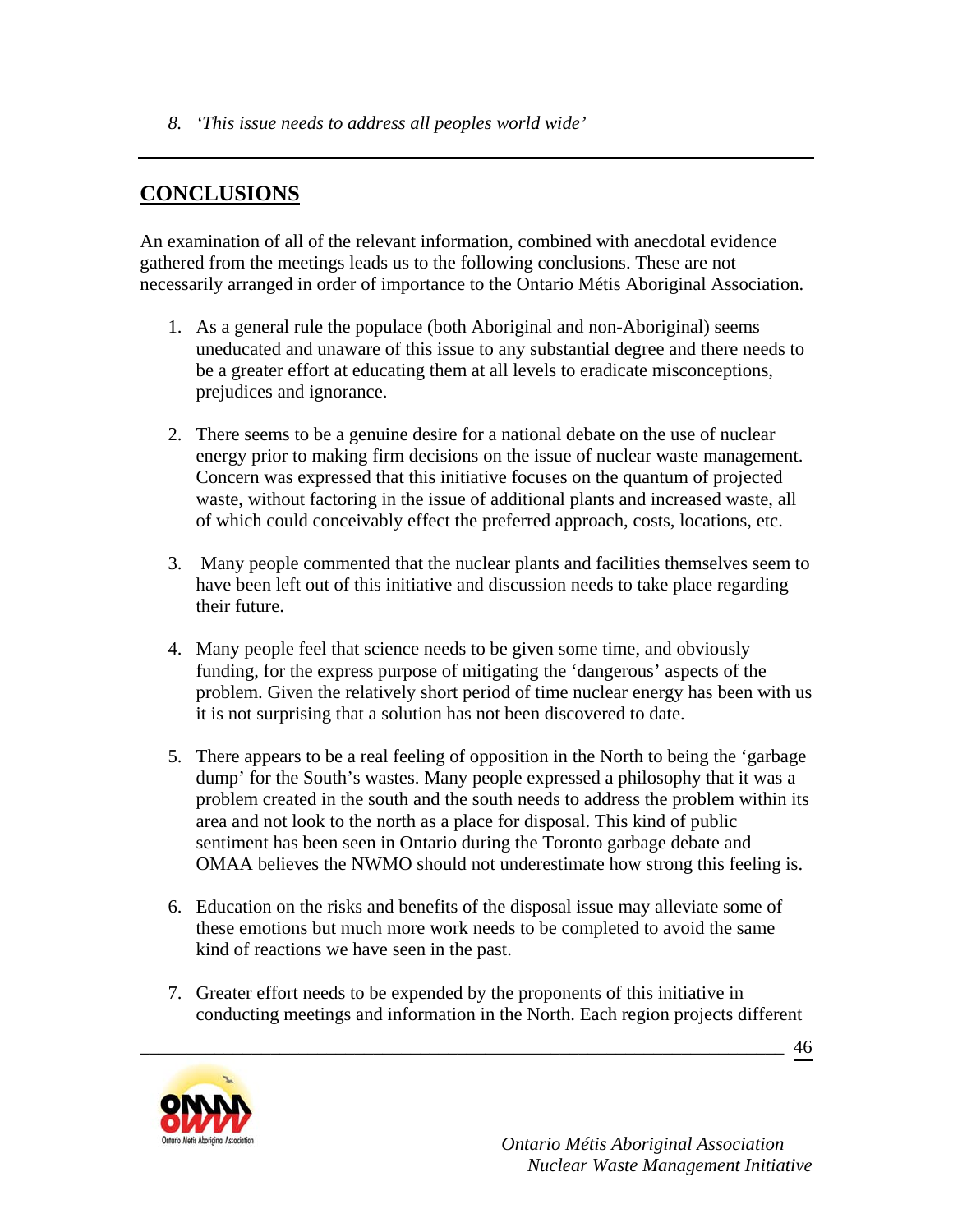*8. 'This issue needs to address all peoples world wide'* 

# **CONCLUSIONS**

An examination of all of the relevant information, combined with anecdotal evidence gathered from the meetings leads us to the following conclusions. These are not necessarily arranged in order of importance to the Ontario Métis Aboriginal Association.

- 1. As a general rule the populace (both Aboriginal and non-Aboriginal) seems uneducated and unaware of this issue to any substantial degree and there needs to be a greater effort at educating them at all levels to eradicate misconceptions, prejudices and ignorance.
- 2. There seems to be a genuine desire for a national debate on the use of nuclear energy prior to making firm decisions on the issue of nuclear waste management. Concern was expressed that this initiative focuses on the quantum of projected waste, without factoring in the issue of additional plants and increased waste, all of which could conceivably effect the preferred approach, costs, locations, etc.
- 3. Many people commented that the nuclear plants and facilities themselves seem to have been left out of this initiative and discussion needs to take place regarding their future.
- 4. Many people feel that science needs to be given some time, and obviously funding, for the express purpose of mitigating the 'dangerous' aspects of the problem. Given the relatively short period of time nuclear energy has been with us it is not surprising that a solution has not been discovered to date.
- 5. There appears to be a real feeling of opposition in the North to being the 'garbage dump' for the South's wastes. Many people expressed a philosophy that it was a problem created in the south and the south needs to address the problem within its area and not look to the north as a place for disposal. This kind of public sentiment has been seen in Ontario during the Toronto garbage debate and OMAA believes the NWMO should not underestimate how strong this feeling is.
- 6. Education on the risks and benefits of the disposal issue may alleviate some of these emotions but much more work needs to be completed to avoid the same kind of reactions we have seen in the past.
- 7. Greater effort needs to be expended by the proponents of this initiative in conducting meetings and information in the North. Each region projects different

\_\_\_\_\_\_\_\_\_\_\_\_\_\_\_\_\_\_\_\_\_\_\_\_\_\_\_\_\_\_\_\_\_\_\_\_\_\_\_\_\_\_\_\_\_\_\_\_\_\_\_\_\_\_\_\_\_\_\_\_\_\_\_\_\_\_\_\_\_